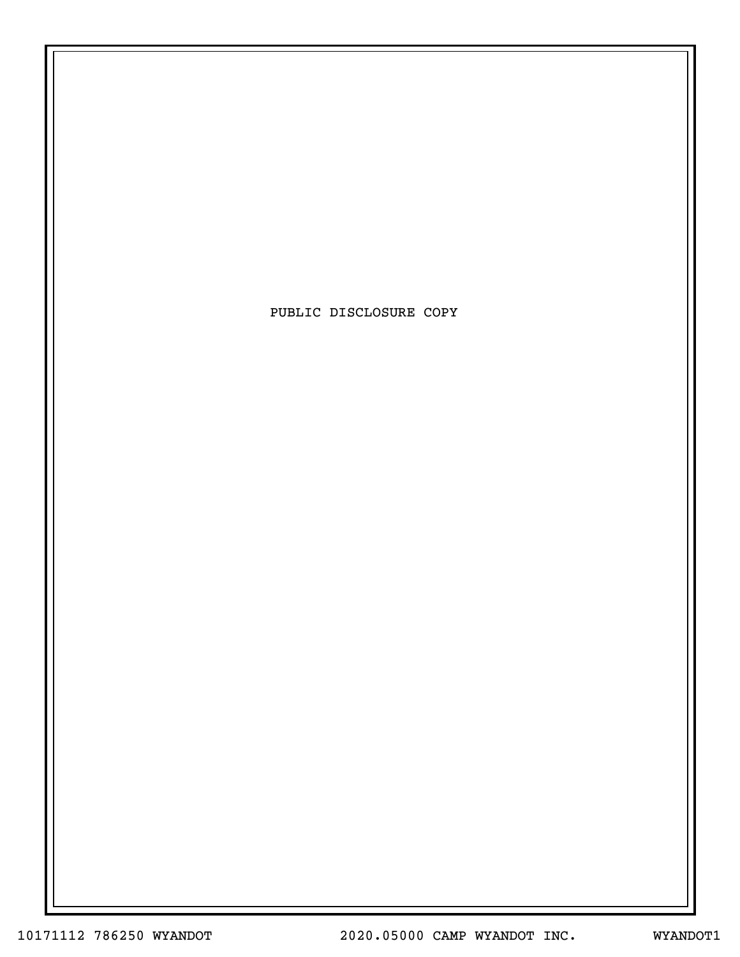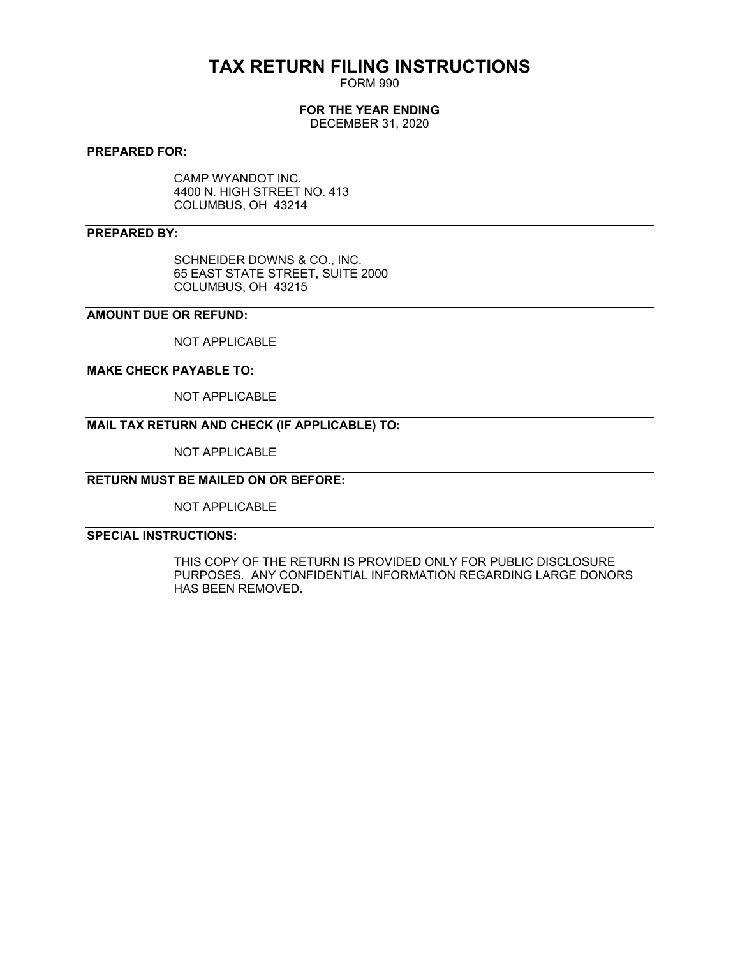# **TAX RETURN FILING INSTRUCTIONS**

FORM 990

## **FOR THE YEAR ENDING**

DECEMBER 31, 2020

## **PREPARED FOR:**

CAMP WYANDOT INC. 4400 N. HIGH STREET NO. 413 COLUMBUS, OH 43214

## **PREPARED BY:**

SCHNEIDER DOWNS & CO., INC. 65 EAST STATE STREET, SUITE 2000 COLUMBUS, OH 43215

## **AMOUNT DUE OR REFUND:**

NOT APPLICABLE

## **MAKE CHECK PAYABLE TO:**

NOT APPLICABLE

## **MAIL TAX RETURN AND CHECK (IF APPLICABLE) TO:**

NOT APPLICABLE

## **RETURN MUST BE MAILED ON OR BEFORE:**

NOT APPLICABLE

## **SPECIAL INSTRUCTIONS:**

THIS COPY OF THE RETURN IS PROVIDED ONLY FOR PUBLIC DISCLOSURE PURPOSES. ANY CONFIDENTIAL INFORMATION REGARDING LARGE DONORS HAS BEEN REMOVED.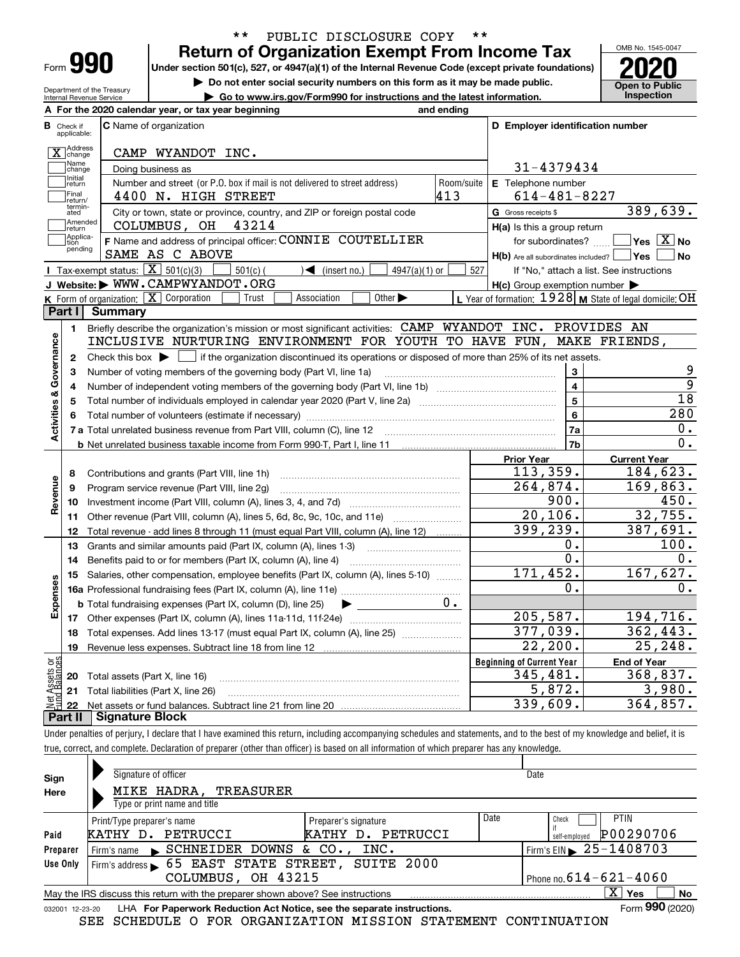| ⊦orm |  |
|------|--|

## **Return of Organization Exempt From Income Tax** \*\* PUBLIC DISCLOSURE COPY \*\*

**Under section 501(c), 527, or 4947(a)(1) of the Internal Revenue Code (except private foundations) 2020**

**| Do not enter social security numbers on this form as it may be made public.**

Department of the Treasury Internal Revenue Service **| Go to www.irs.gov/Form990 for instructions and the latest information. Inspection** **Open to Public** 

OMB No. 1545-0047

|                         |                   | A For the 2020 calendar year, or tax year beginning                                                                                         | and ending |                                                     |                                                           |
|-------------------------|-------------------|---------------------------------------------------------------------------------------------------------------------------------------------|------------|-----------------------------------------------------|-----------------------------------------------------------|
| В<br>Check if           | applicable:       | <b>C</b> Name of organization                                                                                                               |            | D Employer identification number                    |                                                           |
|                         | X Address         | CAMP WYANDOT INC.                                                                                                                           |            |                                                     |                                                           |
|                         | Name<br>change    | Doing business as                                                                                                                           |            | 31-4379434                                          |                                                           |
|                         | Initial<br>return | Number and street (or P.O. box if mail is not delivered to street address)                                                                  | Room/suite | E Telephone number                                  |                                                           |
|                         | Final<br>return/  | 4400 N. HIGH STREET                                                                                                                         | 413        | $614 - 481 - 8227$                                  |                                                           |
|                         | termin-<br>ated   | City or town, state or province, country, and ZIP or foreign postal code                                                                    |            | G Gross receipts \$                                 | 389,639.                                                  |
|                         | Amended<br>return | 43214<br>COLUMBUS, OH                                                                                                                       |            | H(a) Is this a group return                         |                                                           |
|                         | Applica-<br>tion  | F Name and address of principal officer: CONNIE COUTELLIER                                                                                  |            | for subordinates?  L                                | $\boxed{\phantom{1}}$ Yes $\boxed{\mathrm{X}}$ No         |
|                         | pending           | SAME AS C ABOVE                                                                                                                             |            | H(b) Are all subordinates included?   Yes           | No                                                        |
|                         |                   | <b>I</b> Tax-exempt status: $\boxed{\mathbf{X}}$ 501(c)(3)<br>$501(c)$ (<br>$\sqrt{\frac{1}{1}}$ (insert no.)<br>$4947(a)(1)$ or            | 527        |                                                     | If "No," attach a list. See instructions                  |
|                         |                   | J Website: WWW.CAMPWYANDOT.ORG                                                                                                              |            | $H(c)$ Group exemption number $\blacktriangleright$ |                                                           |
|                         |                   | <b>K</b> Form of organization: $\boxed{\mathbf{X}}$ Corporation<br>Other $\blacktriangleright$<br>Trust<br>Association                      |            |                                                     | L Year of formation: $1928$ M State of legal domicile: OH |
| Part I                  |                   | <b>Summary</b>                                                                                                                              |            |                                                     |                                                           |
|                         | 1.                | Briefly describe the organization's mission or most significant activities: CAMP WYANDOT INC. PROVIDES AN                                   |            |                                                     |                                                           |
| Activities & Governance |                   | INCLUSIVE NURTURING ENVIRONMENT FOR YOUTH TO HAVE FUN, MAKE FRIENDS,                                                                        |            |                                                     |                                                           |
|                         | 2                 | Check this box $\blacktriangleright$ $\Box$ if the organization discontinued its operations or disposed of more than 25% of its net assets. |            |                                                     |                                                           |
|                         | 3                 | Number of voting members of the governing body (Part VI, line 1a)                                                                           |            | 3                                                   | 9                                                         |
|                         |                   |                                                                                                                                             |            | $\overline{\mathbf{4}}$                             | $\overline{9}$                                            |
|                         | 5                 |                                                                                                                                             | 5          | 18                                                  |                                                           |
|                         |                   |                                                                                                                                             |            | 6                                                   | 280                                                       |
|                         |                   |                                                                                                                                             |            | 7a                                                  | 0.                                                        |
|                         |                   |                                                                                                                                             |            | 7b                                                  | $0$ .                                                     |
|                         |                   |                                                                                                                                             |            | <b>Prior Year</b>                                   | <b>Current Year</b>                                       |
|                         | 8                 | Contributions and grants (Part VIII, line 1h)                                                                                               |            | 113,359.                                            | 184,623.                                                  |
| Revenue                 | 9                 | Program service revenue (Part VIII, line 2g)                                                                                                |            | 264,874.                                            | 169,863.                                                  |
|                         | 10                |                                                                                                                                             |            | 900.                                                | 450.                                                      |
|                         | 11                | Other revenue (Part VIII, column (A), lines 5, 6d, 8c, 9c, 10c, and 11e)                                                                    |            | 20, 106.                                            | 32,755.                                                   |
|                         | 12                | Total revenue - add lines 8 through 11 (must equal Part VIII, column (A), line 12)                                                          |            | 399, 239.                                           | 387,691.                                                  |
|                         | 13                | Grants and similar amounts paid (Part IX, column (A), lines 1-3)                                                                            |            | 0.                                                  | 100.                                                      |
|                         | 14                | Benefits paid to or for members (Part IX, column (A), line 4)                                                                               |            | $\overline{0}$ .                                    | 0.                                                        |
|                         | 15                | Salaries, other compensation, employee benefits (Part IX, column (A), lines 5-10)                                                           |            | 171,452.                                            | 167,627.                                                  |
|                         |                   |                                                                                                                                             |            | о.                                                  | 0.                                                        |
| Expenses                |                   | <b>b</b> Total fundraising expenses (Part IX, column (D), line 25)<br>▶                                                                     | υ.         |                                                     |                                                           |
|                         |                   |                                                                                                                                             |            | 205,587.                                            | 194,716.                                                  |
|                         | 18                | Total expenses. Add lines 13-17 (must equal Part IX, column (A), line 25)                                                                   |            | 377,039.                                            | 362,443.                                                  |
|                         | 19                |                                                                                                                                             |            | 22, 200.                                            | 25, 248.                                                  |
| ăğ                      |                   |                                                                                                                                             |            | <b>Beginning of Current Year</b>                    | <b>End of Year</b>                                        |
| sets                    | 20                | Total assets (Part X, line 16)                                                                                                              |            | 345,481.                                            | 368,837.                                                  |
|                         | 21                | Total liabilities (Part X, line 26)                                                                                                         |            | 5,872.                                              | 3,980.                                                    |
|                         | 22                |                                                                                                                                             |            | 339,609.                                            | 364,857.                                                  |
| Part II                 |                   | <b>Signature Block</b>                                                                                                                      |            |                                                     |                                                           |

Under penalties of perjury, I declare that I have examined this return, including accompanying schedules and statements, and to the best of my knowledge and belief, it is true, correct, and complete. Declaration of preparer (other than officer) is based on all information of which preparer has any knowledge.

| Sign     | Signature of officer                                                                                         |                                                           |                              | Date                                               |  |  |  |  |  |  |  |  |
|----------|--------------------------------------------------------------------------------------------------------------|-----------------------------------------------------------|------------------------------|----------------------------------------------------|--|--|--|--|--|--|--|--|
| Here     | MIKE HADRA,<br>TREASURER<br>Type or print name and title                                                     |                                                           |                              |                                                    |  |  |  |  |  |  |  |  |
| Paid     | Print/Type preparer's name<br>PETRUCCI<br>KATHY D.                                                           | Preparer's signature<br>PETRUCCI<br><b>KATHY</b><br>$D$ . | Date                         | <b>PTIN</b><br>Check<br>P00290706<br>self-employed |  |  |  |  |  |  |  |  |
| Preparer | Firm's name $\blacktriangleright$ SCHNEIDER DOWNS & CO.,                                                     | INC.                                                      |                              | Firm's EIN $\triangleright$ 25-1408703             |  |  |  |  |  |  |  |  |
| Use Only | Firm's address 65 EAST STATE STREET, SUITE 2000                                                              |                                                           |                              |                                                    |  |  |  |  |  |  |  |  |
|          | COLUMBUS, OH 43215                                                                                           |                                                           | Phone no. $614 - 621 - 4060$ |                                                    |  |  |  |  |  |  |  |  |
|          | May the IRS discuss this return with the preparer shown above? See instructions                              |                                                           |                              | $\overline{\mathrm{X}}$ Yes<br><b>No</b>           |  |  |  |  |  |  |  |  |
|          | Form 990 (2020)<br>LHA For Paperwork Reduction Act Notice, see the separate instructions.<br>032001 12-23-20 |                                                           |                              |                                                    |  |  |  |  |  |  |  |  |

SEE SCHEDULE O FOR ORGANIZATION MISSION STATEMENT CONTINUATION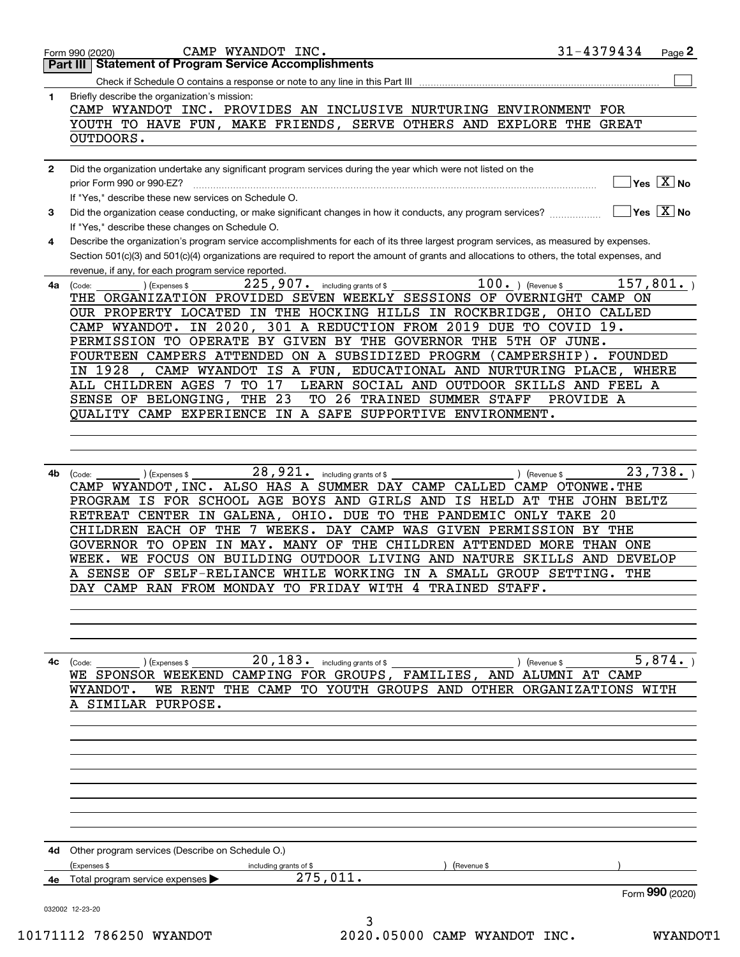|              | 31-4379434<br>CAMP WYANDOT INC.<br>Page 2<br>Form 990 (2020)                                                                                              |
|--------------|-----------------------------------------------------------------------------------------------------------------------------------------------------------|
|              | <b>Statement of Program Service Accomplishments</b><br>Part III                                                                                           |
|              | Check if Schedule O contains a response or note to any line in this Part III                                                                              |
| 1            | Briefly describe the organization's mission:                                                                                                              |
|              | CAMP WYANDOT INC. PROVIDES AN INCLUSIVE NURTURING ENVIRONMENT FOR                                                                                         |
|              | YOUTH TO HAVE FUN, MAKE FRIENDS, SERVE OTHERS AND EXPLORE THE GREAT                                                                                       |
|              | OUTDOORS.                                                                                                                                                 |
|              |                                                                                                                                                           |
| $\mathbf{2}$ | Did the organization undertake any significant program services during the year which were not listed on the                                              |
|              | $Yes \ \boxed{X}$ No<br>prior Form 990 or 990-EZ?                                                                                                         |
|              | If "Yes," describe these new services on Schedule O.                                                                                                      |
| 3            | $\overline{\ }$ Yes $\overline{\ \ X}$ No<br>Did the organization cease conducting, or make significant changes in how it conducts, any program services? |
|              | If "Yes," describe these changes on Schedule O.                                                                                                           |
| 4            | Describe the organization's program service accomplishments for each of its three largest program services, as measured by expenses.                      |
|              | Section 501(c)(3) and 501(c)(4) organizations are required to report the amount of grants and allocations to others, the total expenses, and              |
|              | revenue, if any, for each program service reported.                                                                                                       |
| 4a           | $\overline{1}00.$ (Revenue \$<br>157,801.<br>$225,907$ . including grants of \$<br>(Expenses \$<br>(Code:                                                 |
|              | THE ORGANIZATION PROVIDED SEVEN WEEKLY SESSIONS OF OVERNIGHT CAMP ON                                                                                      |
|              | OUR PROPERTY LOCATED IN THE HOCKING HILLS IN ROCKBRIDGE, OHIO CALLED                                                                                      |
|              | IN 2020, 301 A REDUCTION FROM 2019 DUE TO COVID 19.<br>CAMP WYANDOT.                                                                                      |
|              | PERMISSION TO OPERATE BY GIVEN BY THE GOVERNOR THE 5TH OF JUNE.                                                                                           |
|              | FOURTEEN CAMPERS ATTENDED ON A SUBSIDIZED PROGRM<br>(CAMPERSHIP). FOUNDED                                                                                 |
|              | IN 1928<br>CAMP WYANDOT IS A FUN, EDUCATIONAL AND NURTURING PLACE, WHERE                                                                                  |
|              | ALL CHILDREN AGES 7 TO<br>17<br>LEARN SOCIAL AND OUTDOOR SKILLS AND FEEL A                                                                                |
|              | THE 23<br>SENSE OF BELONGING,<br>TO 26 TRAINED SUMMER STAFF<br>PROVIDE A                                                                                  |
|              | QUALITY CAMP EXPERIENCE IN A SAFE SUPPORTIVE ENVIRONMENT.                                                                                                 |
|              |                                                                                                                                                           |
|              |                                                                                                                                                           |
|              | 23,738.                                                                                                                                                   |
| 4b           | 28,921. including grants of \$<br>) (Revenue \$<br>(Expenses \$<br>(Code:<br>CAMP WYANDOT, INC. ALSO HAS A SUMMER DAY CAMP CALLED CAMP<br>OTONWE.THE      |
|              | PROGRAM IS FOR SCHOOL AGE BOYS AND GIRLS AND<br>IS HELD AT<br>THE JOHN BELTZ                                                                              |
|              | OHIO. DUE TO<br>THE PANDEMIC<br>20<br>RETREAT CENTER<br>IN GALENA,<br>ONLY<br>TAKE                                                                        |
|              | CHILDREN EACH OF<br>THE<br>$\overline{7}$<br>WEEKS.<br>DAY CAMP<br>WAS GIVEN PERMISSION<br>BY THE                                                         |
|              | MANY OF THE CHILDREN ATTENDED MORE<br>GOVERNOR TO OPEN<br>IN MAY.<br>THAN ONE                                                                             |
|              | NATURE SKILLS<br>FOCUS ON BUILDING OUTDOOR LIVING AND<br>AND DEVELOP<br>WEEK.<br>WЕ                                                                       |
|              | A SENSE OF SELF-RELIANCE WHILE WORKING IN A SMALL GROUP SETTING.<br>THE                                                                                   |
|              | DAY CAMP RAN FROM MONDAY TO FRIDAY WITH 4 TRAINED STAFF.                                                                                                  |
|              |                                                                                                                                                           |
|              |                                                                                                                                                           |
|              |                                                                                                                                                           |
|              |                                                                                                                                                           |
| 4с           | $20, 183$ . including grants of \$<br>5,874.<br>) (Revenue \$<br>(Code:<br>) (Expenses \$                                                                 |
|              | WE SPONSOR WEEKEND CAMPING FOR GROUPS, FAMILIES, AND ALUMNI AT CAMP                                                                                       |
|              | WE RENT THE CAMP TO YOUTH GROUPS AND OTHER ORGANIZATIONS WITH<br>WYANDOT.                                                                                 |
|              | A SIMILAR PURPOSE.                                                                                                                                        |
|              |                                                                                                                                                           |
|              |                                                                                                                                                           |
|              |                                                                                                                                                           |
|              |                                                                                                                                                           |
|              |                                                                                                                                                           |
|              |                                                                                                                                                           |
|              |                                                                                                                                                           |
|              |                                                                                                                                                           |
|              |                                                                                                                                                           |
|              | 4d Other program services (Describe on Schedule O.)                                                                                                       |
|              | (Expenses \$<br>including grants of \$<br>(Revenue \$<br>275,011.                                                                                         |
|              | 4e Total program service expenses ><br>Form 990 (2020)                                                                                                    |
|              |                                                                                                                                                           |
|              | 032002 12-23-20<br>3                                                                                                                                      |
|              |                                                                                                                                                           |

10171112 786250 WYANDOT 2020.05000 CAMP WYANDOT INC. WYANDOT1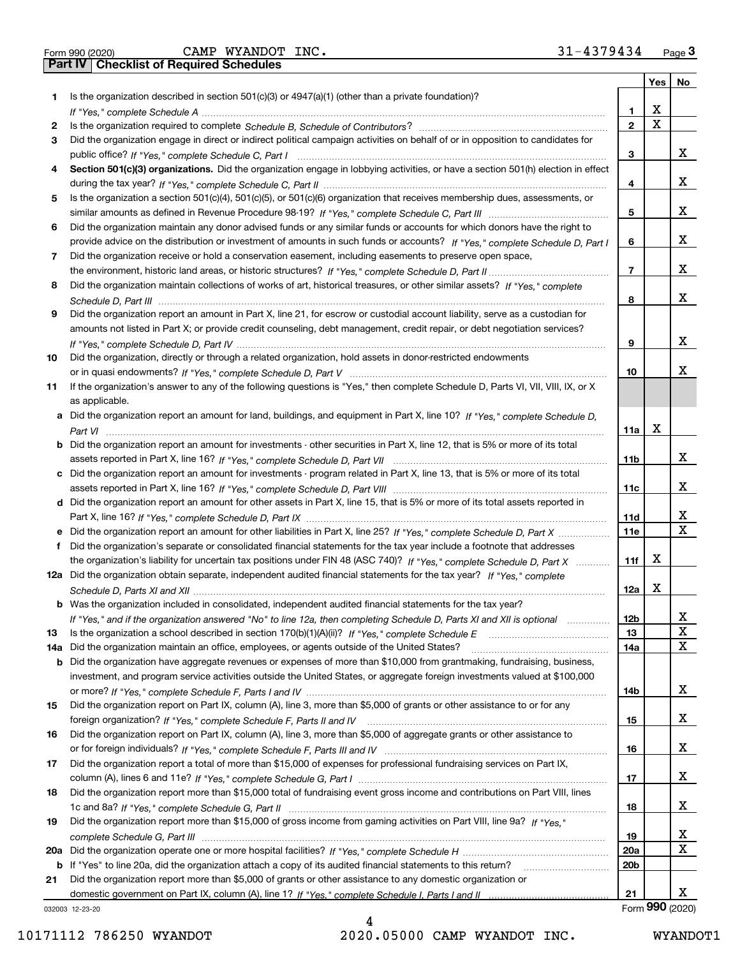Form 990 (2020) Page **3Part IV Checklist of Required Schedules** CAMP WYANDOT INC. 31-4379434

|     |                                                                                                                                       |                 | Yes | No |
|-----|---------------------------------------------------------------------------------------------------------------------------------------|-----------------|-----|----|
| 1.  | Is the organization described in section $501(c)(3)$ or $4947(a)(1)$ (other than a private foundation)?                               |                 |     |    |
|     |                                                                                                                                       | 1               | х   |    |
| 2   |                                                                                                                                       | $\mathbf{2}$    | Χ   |    |
| 3   | Did the organization engage in direct or indirect political campaign activities on behalf of or in opposition to candidates for       |                 |     |    |
|     |                                                                                                                                       | 3               |     | X. |
| 4   | Section 501(c)(3) organizations. Did the organization engage in lobbying activities, or have a section 501(h) election in effect      |                 |     |    |
|     |                                                                                                                                       | 4               |     | х  |
| 5   | Is the organization a section 501(c)(4), 501(c)(5), or 501(c)(6) organization that receives membership dues, assessments, or          |                 |     |    |
|     |                                                                                                                                       | 5               |     | х  |
| 6   | Did the organization maintain any donor advised funds or any similar funds or accounts for which donors have the right to             |                 |     |    |
|     | provide advice on the distribution or investment of amounts in such funds or accounts? If "Yes," complete Schedule D, Part I          | 6               |     | X. |
| 7   | Did the organization receive or hold a conservation easement, including easements to preserve open space,                             |                 |     |    |
|     |                                                                                                                                       | 7               |     | х  |
| 8   | Did the organization maintain collections of works of art, historical treasures, or other similar assets? If "Yes," complete          |                 |     |    |
|     |                                                                                                                                       | 8               |     | x  |
| 9   | Did the organization report an amount in Part X, line 21, for escrow or custodial account liability, serve as a custodian for         |                 |     |    |
|     | amounts not listed in Part X; or provide credit counseling, debt management, credit repair, or debt negotiation services?             |                 |     |    |
|     |                                                                                                                                       | 9               |     | х  |
|     |                                                                                                                                       |                 |     |    |
| 10  | Did the organization, directly or through a related organization, hold assets in donor-restricted endowments                          |                 |     | x  |
|     |                                                                                                                                       | 10              |     |    |
| 11  | If the organization's answer to any of the following questions is "Yes," then complete Schedule D, Parts VI, VII, VIII, IX, or X      |                 |     |    |
|     | as applicable.                                                                                                                        |                 |     |    |
|     | a Did the organization report an amount for land, buildings, and equipment in Part X, line 10? If "Yes," complete Schedule D,         |                 |     |    |
|     |                                                                                                                                       | 11a             | x   |    |
|     | <b>b</b> Did the organization report an amount for investments - other securities in Part X, line 12, that is 5% or more of its total |                 |     |    |
|     |                                                                                                                                       | 11 <sub>b</sub> |     | x  |
|     | c Did the organization report an amount for investments - program related in Part X, line 13, that is 5% or more of its total         |                 |     |    |
|     |                                                                                                                                       | 11c             |     | X. |
|     | d Did the organization report an amount for other assets in Part X, line 15, that is 5% or more of its total assets reported in       |                 |     |    |
|     |                                                                                                                                       | 11d             |     | x  |
| е   | Did the organization report an amount for other liabilities in Part X, line 25? If "Yes," complete Schedule D, Part X                 | 11e             |     | x  |
| f   | Did the organization's separate or consolidated financial statements for the tax year include a footnote that addresses               |                 |     |    |
|     | the organization's liability for uncertain tax positions under FIN 48 (ASC 740)? If "Yes," complete Schedule D, Part X                | 11f             | X   |    |
|     | 12a Did the organization obtain separate, independent audited financial statements for the tax year? If "Yes," complete               |                 |     |    |
|     |                                                                                                                                       | 12a             | X   |    |
|     | <b>b</b> Was the organization included in consolidated, independent audited financial statements for the tax year?                    |                 |     |    |
|     | If "Yes," and if the organization answered "No" to line 12a, then completing Schedule D, Parts XI and XII is optional                 | 12 <sub>b</sub> |     | х  |
| 13  | Is the organization a school described in section 170(b)(1)(A)(ii)? If "Yes," complete Schedule E                                     | 13              |     | X  |
| 14a | Did the organization maintain an office, employees, or agents outside of the United States?                                           | 14a             |     | X. |
|     | b Did the organization have aggregate revenues or expenses of more than \$10,000 from grantmaking, fundraising, business,             |                 |     |    |
|     | investment, and program service activities outside the United States, or aggregate foreign investments valued at \$100,000            |                 |     |    |
|     |                                                                                                                                       | 14b             |     | X. |
| 15  | Did the organization report on Part IX, column (A), line 3, more than \$5,000 of grants or other assistance to or for any             |                 |     |    |
|     |                                                                                                                                       | 15              |     | X. |
| 16  | Did the organization report on Part IX, column (A), line 3, more than \$5,000 of aggregate grants or other assistance to              |                 |     |    |
|     |                                                                                                                                       | 16              |     | x  |
| 17  | Did the organization report a total of more than \$15,000 of expenses for professional fundraising services on Part IX,               |                 |     |    |
|     |                                                                                                                                       | 17              |     | X. |
| 18  | Did the organization report more than \$15,000 total of fundraising event gross income and contributions on Part VIII, lines          |                 |     |    |
|     |                                                                                                                                       | 18              |     | x  |
| 19  | Did the organization report more than \$15,000 of gross income from gaming activities on Part VIII, line 9a? If "Yes."                |                 |     |    |
|     |                                                                                                                                       | 19              |     | X. |
| 20a |                                                                                                                                       | 20a             |     | х  |
|     | b If "Yes" to line 20a, did the organization attach a copy of its audited financial statements to this return?                        | 20 <sub>b</sub> |     |    |
| 21  | Did the organization report more than \$5,000 of grants or other assistance to any domestic organization or                           |                 |     |    |
|     |                                                                                                                                       | 21              |     | X. |
|     |                                                                                                                                       |                 |     |    |

032003 12-23-20

Form (2020) **990**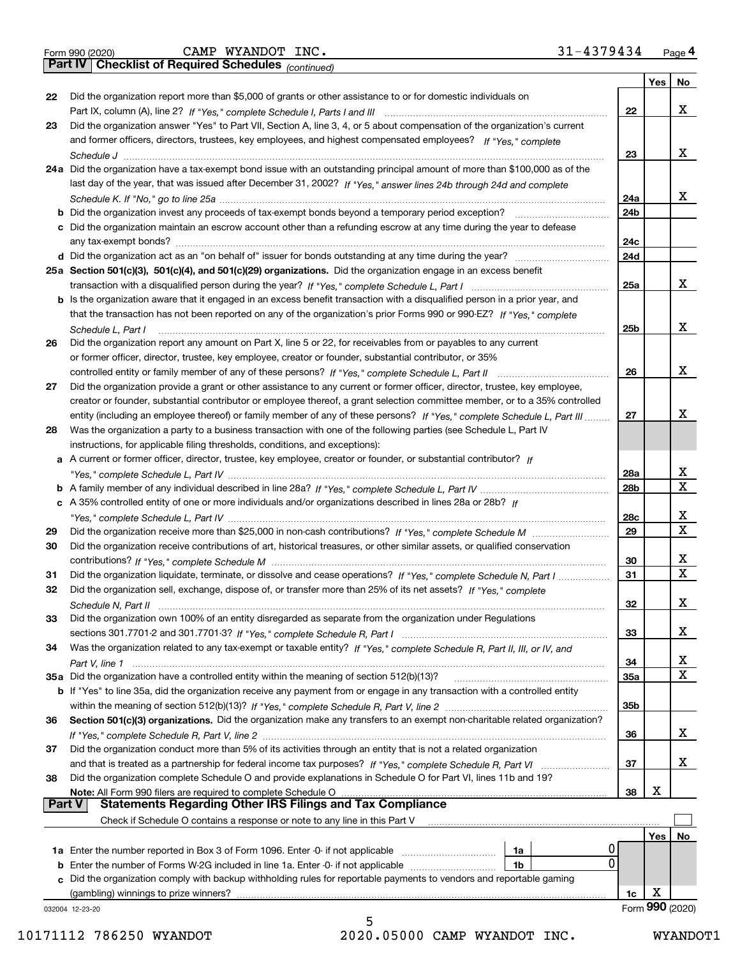|  | Form 990 (2020) |
|--|-----------------|
|  |                 |

*(continued)*

| Did the organization report more than \$5,000 of grants or other assistance to or for domestic individuals on<br>22<br>22<br>Did the organization answer "Yes" to Part VII, Section A, line 3, 4, or 5 about compensation of the organization's current<br>23<br>and former officers, directors, trustees, key employees, and highest compensated employees? If "Yes," complete<br>23<br>24a Did the organization have a tax-exempt bond issue with an outstanding principal amount of more than \$100,000 as of the<br>last day of the year, that was issued after December 31, 2002? If "Yes," answer lines 24b through 24d and complete<br>24a<br><b>b</b> Did the organization invest any proceeds of tax-exempt bonds beyond a temporary period exception?<br>24 <sub>b</sub><br>c Did the organization maintain an escrow account other than a refunding escrow at any time during the year to defease<br>24c<br>24d<br>25a Section 501(c)(3), 501(c)(4), and 501(c)(29) organizations. Did the organization engage in an excess benefit<br>25a<br>b Is the organization aware that it engaged in an excess benefit transaction with a disqualified person in a prior year, and<br>that the transaction has not been reported on any of the organization's prior Forms 990 or 990-EZ? If "Yes," complete<br>25b<br>Schedule L, Part I<br>Did the organization report any amount on Part X, line 5 or 22, for receivables from or payables to any current<br>26<br>or former officer, director, trustee, key employee, creator or founder, substantial contributor, or 35%<br>26<br>Did the organization provide a grant or other assistance to any current or former officer, director, trustee, key employee,<br>27<br>creator or founder, substantial contributor or employee thereof, a grant selection committee member, or to a 35% controlled<br>entity (including an employee thereof) or family member of any of these persons? If "Yes," complete Schedule L, Part III<br>27<br>Was the organization a party to a business transaction with one of the following parties (see Schedule L, Part IV<br>28<br>instructions, for applicable filing thresholds, conditions, and exceptions):<br>a A current or former officer, director, trustee, key employee, creator or founder, or substantial contributor? If<br>28a<br>28 <sub>b</sub><br>c A 35% controlled entity of one or more individuals and/or organizations described in lines 28a or 28b? If<br>28c<br>29<br>29<br>Did the organization receive contributions of art, historical treasures, or other similar assets, or qualified conservation<br>30<br>30<br>31<br>Did the organization liquidate, terminate, or dissolve and cease operations? If "Yes," complete Schedule N, Part I<br>31<br>Did the organization sell, exchange, dispose of, or transfer more than 25% of its net assets? If "Yes," complete<br>32<br>32<br>Did the organization own 100% of an entity disregarded as separate from the organization under Regulations<br>33<br>33<br>Was the organization related to any tax-exempt or taxable entity? If "Yes," complete Schedule R, Part II, III, or IV, and<br>34<br>x<br>34<br>35a Did the organization have a controlled entity within the meaning of section 512(b)(13)?<br>35a<br><b>b</b> If "Yes" to line 35a, did the organization receive any payment from or engage in any transaction with a controlled entity<br>35b<br>Section 501(c)(3) organizations. Did the organization make any transfers to an exempt non-charitable related organization?<br>36<br>36<br>Did the organization conduct more than 5% of its activities through an entity that is not a related organization<br>37<br>37<br>Did the organization complete Schedule O and provide explanations in Schedule O for Part VI, lines 11b and 19?<br>38<br>X<br>Note: All Form 990 filers are required to complete Schedule O<br>38<br>Part V<br><b>Statements Regarding Other IRS Filings and Tax Compliance</b><br>Check if Schedule O contains a response or note to any line in this Part V<br>Yes<br>1a<br>0<br><b>b</b> Enter the number of Forms W-2G included in line 1a. Enter -0- if not applicable<br>1b<br>Did the organization comply with backup withholding rules for reportable payments to vendors and reportable gaming<br>c<br>X<br>(gambling) winnings to prize winners?<br>1c<br>Form 990 (2020)<br>032004 12-23-20 |   | Yes | No          |
|---------------------------------------------------------------------------------------------------------------------------------------------------------------------------------------------------------------------------------------------------------------------------------------------------------------------------------------------------------------------------------------------------------------------------------------------------------------------------------------------------------------------------------------------------------------------------------------------------------------------------------------------------------------------------------------------------------------------------------------------------------------------------------------------------------------------------------------------------------------------------------------------------------------------------------------------------------------------------------------------------------------------------------------------------------------------------------------------------------------------------------------------------------------------------------------------------------------------------------------------------------------------------------------------------------------------------------------------------------------------------------------------------------------------------------------------------------------------------------------------------------------------------------------------------------------------------------------------------------------------------------------------------------------------------------------------------------------------------------------------------------------------------------------------------------------------------------------------------------------------------------------------------------------------------------------------------------------------------------------------------------------------------------------------------------------------------------------------------------------------------------------------------------------------------------------------------------------------------------------------------------------------------------------------------------------------------------------------------------------------------------------------------------------------------------------------------------------------------------------------------------------------------------------------------------------------------------------------------------------------------------------------------------------------------------------------------------------------------------------------------------------------------------------------------------------------------------------------------------------------------------------------------------------------------------------------------------------------------------------------------------------------------------------------------------------------------------------------------------------------------------------------------------------------------------------------------------------------------------------------------------------------------------------------------------------------------------------------------------------------------------------------------------------------------------------------------------------------------------------------------------------------------------------------------------------------------------------------------------------------------------------------------------------------------------------------------------------------------------------------------------------------------------------------------------------------------------------------------------------------------------------------------------------------------------------------------------------------------------------------------------------------------------------------------------------------------------------------------------------------------------------------------------------------------------------------------------------------------------------------------------------------------------------------------------------------------------------------------------------------------------------------------------------------|---|-----|-------------|
|                                                                                                                                                                                                                                                                                                                                                                                                                                                                                                                                                                                                                                                                                                                                                                                                                                                                                                                                                                                                                                                                                                                                                                                                                                                                                                                                                                                                                                                                                                                                                                                                                                                                                                                                                                                                                                                                                                                                                                                                                                                                                                                                                                                                                                                                                                                                                                                                                                                                                                                                                                                                                                                                                                                                                                                                                                                                                                                                                                                                                                                                                                                                                                                                                                                                                                                                                                                                                                                                                                                                                                                                                                                                                                                                                                                                                                                                                                                                                                                                                                                                                                                                                                                                                                                                                                                                                                                                                     |   |     |             |
|                                                                                                                                                                                                                                                                                                                                                                                                                                                                                                                                                                                                                                                                                                                                                                                                                                                                                                                                                                                                                                                                                                                                                                                                                                                                                                                                                                                                                                                                                                                                                                                                                                                                                                                                                                                                                                                                                                                                                                                                                                                                                                                                                                                                                                                                                                                                                                                                                                                                                                                                                                                                                                                                                                                                                                                                                                                                                                                                                                                                                                                                                                                                                                                                                                                                                                                                                                                                                                                                                                                                                                                                                                                                                                                                                                                                                                                                                                                                                                                                                                                                                                                                                                                                                                                                                                                                                                                                                     |   |     | x           |
|                                                                                                                                                                                                                                                                                                                                                                                                                                                                                                                                                                                                                                                                                                                                                                                                                                                                                                                                                                                                                                                                                                                                                                                                                                                                                                                                                                                                                                                                                                                                                                                                                                                                                                                                                                                                                                                                                                                                                                                                                                                                                                                                                                                                                                                                                                                                                                                                                                                                                                                                                                                                                                                                                                                                                                                                                                                                                                                                                                                                                                                                                                                                                                                                                                                                                                                                                                                                                                                                                                                                                                                                                                                                                                                                                                                                                                                                                                                                                                                                                                                                                                                                                                                                                                                                                                                                                                                                                     |   |     |             |
|                                                                                                                                                                                                                                                                                                                                                                                                                                                                                                                                                                                                                                                                                                                                                                                                                                                                                                                                                                                                                                                                                                                                                                                                                                                                                                                                                                                                                                                                                                                                                                                                                                                                                                                                                                                                                                                                                                                                                                                                                                                                                                                                                                                                                                                                                                                                                                                                                                                                                                                                                                                                                                                                                                                                                                                                                                                                                                                                                                                                                                                                                                                                                                                                                                                                                                                                                                                                                                                                                                                                                                                                                                                                                                                                                                                                                                                                                                                                                                                                                                                                                                                                                                                                                                                                                                                                                                                                                     |   |     |             |
|                                                                                                                                                                                                                                                                                                                                                                                                                                                                                                                                                                                                                                                                                                                                                                                                                                                                                                                                                                                                                                                                                                                                                                                                                                                                                                                                                                                                                                                                                                                                                                                                                                                                                                                                                                                                                                                                                                                                                                                                                                                                                                                                                                                                                                                                                                                                                                                                                                                                                                                                                                                                                                                                                                                                                                                                                                                                                                                                                                                                                                                                                                                                                                                                                                                                                                                                                                                                                                                                                                                                                                                                                                                                                                                                                                                                                                                                                                                                                                                                                                                                                                                                                                                                                                                                                                                                                                                                                     |   |     | x           |
|                                                                                                                                                                                                                                                                                                                                                                                                                                                                                                                                                                                                                                                                                                                                                                                                                                                                                                                                                                                                                                                                                                                                                                                                                                                                                                                                                                                                                                                                                                                                                                                                                                                                                                                                                                                                                                                                                                                                                                                                                                                                                                                                                                                                                                                                                                                                                                                                                                                                                                                                                                                                                                                                                                                                                                                                                                                                                                                                                                                                                                                                                                                                                                                                                                                                                                                                                                                                                                                                                                                                                                                                                                                                                                                                                                                                                                                                                                                                                                                                                                                                                                                                                                                                                                                                                                                                                                                                                     |   |     |             |
|                                                                                                                                                                                                                                                                                                                                                                                                                                                                                                                                                                                                                                                                                                                                                                                                                                                                                                                                                                                                                                                                                                                                                                                                                                                                                                                                                                                                                                                                                                                                                                                                                                                                                                                                                                                                                                                                                                                                                                                                                                                                                                                                                                                                                                                                                                                                                                                                                                                                                                                                                                                                                                                                                                                                                                                                                                                                                                                                                                                                                                                                                                                                                                                                                                                                                                                                                                                                                                                                                                                                                                                                                                                                                                                                                                                                                                                                                                                                                                                                                                                                                                                                                                                                                                                                                                                                                                                                                     |   |     |             |
|                                                                                                                                                                                                                                                                                                                                                                                                                                                                                                                                                                                                                                                                                                                                                                                                                                                                                                                                                                                                                                                                                                                                                                                                                                                                                                                                                                                                                                                                                                                                                                                                                                                                                                                                                                                                                                                                                                                                                                                                                                                                                                                                                                                                                                                                                                                                                                                                                                                                                                                                                                                                                                                                                                                                                                                                                                                                                                                                                                                                                                                                                                                                                                                                                                                                                                                                                                                                                                                                                                                                                                                                                                                                                                                                                                                                                                                                                                                                                                                                                                                                                                                                                                                                                                                                                                                                                                                                                     |   |     | x           |
|                                                                                                                                                                                                                                                                                                                                                                                                                                                                                                                                                                                                                                                                                                                                                                                                                                                                                                                                                                                                                                                                                                                                                                                                                                                                                                                                                                                                                                                                                                                                                                                                                                                                                                                                                                                                                                                                                                                                                                                                                                                                                                                                                                                                                                                                                                                                                                                                                                                                                                                                                                                                                                                                                                                                                                                                                                                                                                                                                                                                                                                                                                                                                                                                                                                                                                                                                                                                                                                                                                                                                                                                                                                                                                                                                                                                                                                                                                                                                                                                                                                                                                                                                                                                                                                                                                                                                                                                                     |   |     |             |
|                                                                                                                                                                                                                                                                                                                                                                                                                                                                                                                                                                                                                                                                                                                                                                                                                                                                                                                                                                                                                                                                                                                                                                                                                                                                                                                                                                                                                                                                                                                                                                                                                                                                                                                                                                                                                                                                                                                                                                                                                                                                                                                                                                                                                                                                                                                                                                                                                                                                                                                                                                                                                                                                                                                                                                                                                                                                                                                                                                                                                                                                                                                                                                                                                                                                                                                                                                                                                                                                                                                                                                                                                                                                                                                                                                                                                                                                                                                                                                                                                                                                                                                                                                                                                                                                                                                                                                                                                     |   |     |             |
|                                                                                                                                                                                                                                                                                                                                                                                                                                                                                                                                                                                                                                                                                                                                                                                                                                                                                                                                                                                                                                                                                                                                                                                                                                                                                                                                                                                                                                                                                                                                                                                                                                                                                                                                                                                                                                                                                                                                                                                                                                                                                                                                                                                                                                                                                                                                                                                                                                                                                                                                                                                                                                                                                                                                                                                                                                                                                                                                                                                                                                                                                                                                                                                                                                                                                                                                                                                                                                                                                                                                                                                                                                                                                                                                                                                                                                                                                                                                                                                                                                                                                                                                                                                                                                                                                                                                                                                                                     |   |     |             |
|                                                                                                                                                                                                                                                                                                                                                                                                                                                                                                                                                                                                                                                                                                                                                                                                                                                                                                                                                                                                                                                                                                                                                                                                                                                                                                                                                                                                                                                                                                                                                                                                                                                                                                                                                                                                                                                                                                                                                                                                                                                                                                                                                                                                                                                                                                                                                                                                                                                                                                                                                                                                                                                                                                                                                                                                                                                                                                                                                                                                                                                                                                                                                                                                                                                                                                                                                                                                                                                                                                                                                                                                                                                                                                                                                                                                                                                                                                                                                                                                                                                                                                                                                                                                                                                                                                                                                                                                                     |   |     |             |
|                                                                                                                                                                                                                                                                                                                                                                                                                                                                                                                                                                                                                                                                                                                                                                                                                                                                                                                                                                                                                                                                                                                                                                                                                                                                                                                                                                                                                                                                                                                                                                                                                                                                                                                                                                                                                                                                                                                                                                                                                                                                                                                                                                                                                                                                                                                                                                                                                                                                                                                                                                                                                                                                                                                                                                                                                                                                                                                                                                                                                                                                                                                                                                                                                                                                                                                                                                                                                                                                                                                                                                                                                                                                                                                                                                                                                                                                                                                                                                                                                                                                                                                                                                                                                                                                                                                                                                                                                     |   |     |             |
|                                                                                                                                                                                                                                                                                                                                                                                                                                                                                                                                                                                                                                                                                                                                                                                                                                                                                                                                                                                                                                                                                                                                                                                                                                                                                                                                                                                                                                                                                                                                                                                                                                                                                                                                                                                                                                                                                                                                                                                                                                                                                                                                                                                                                                                                                                                                                                                                                                                                                                                                                                                                                                                                                                                                                                                                                                                                                                                                                                                                                                                                                                                                                                                                                                                                                                                                                                                                                                                                                                                                                                                                                                                                                                                                                                                                                                                                                                                                                                                                                                                                                                                                                                                                                                                                                                                                                                                                                     |   |     | x           |
|                                                                                                                                                                                                                                                                                                                                                                                                                                                                                                                                                                                                                                                                                                                                                                                                                                                                                                                                                                                                                                                                                                                                                                                                                                                                                                                                                                                                                                                                                                                                                                                                                                                                                                                                                                                                                                                                                                                                                                                                                                                                                                                                                                                                                                                                                                                                                                                                                                                                                                                                                                                                                                                                                                                                                                                                                                                                                                                                                                                                                                                                                                                                                                                                                                                                                                                                                                                                                                                                                                                                                                                                                                                                                                                                                                                                                                                                                                                                                                                                                                                                                                                                                                                                                                                                                                                                                                                                                     |   |     |             |
|                                                                                                                                                                                                                                                                                                                                                                                                                                                                                                                                                                                                                                                                                                                                                                                                                                                                                                                                                                                                                                                                                                                                                                                                                                                                                                                                                                                                                                                                                                                                                                                                                                                                                                                                                                                                                                                                                                                                                                                                                                                                                                                                                                                                                                                                                                                                                                                                                                                                                                                                                                                                                                                                                                                                                                                                                                                                                                                                                                                                                                                                                                                                                                                                                                                                                                                                                                                                                                                                                                                                                                                                                                                                                                                                                                                                                                                                                                                                                                                                                                                                                                                                                                                                                                                                                                                                                                                                                     |   |     |             |
|                                                                                                                                                                                                                                                                                                                                                                                                                                                                                                                                                                                                                                                                                                                                                                                                                                                                                                                                                                                                                                                                                                                                                                                                                                                                                                                                                                                                                                                                                                                                                                                                                                                                                                                                                                                                                                                                                                                                                                                                                                                                                                                                                                                                                                                                                                                                                                                                                                                                                                                                                                                                                                                                                                                                                                                                                                                                                                                                                                                                                                                                                                                                                                                                                                                                                                                                                                                                                                                                                                                                                                                                                                                                                                                                                                                                                                                                                                                                                                                                                                                                                                                                                                                                                                                                                                                                                                                                                     |   |     | x           |
|                                                                                                                                                                                                                                                                                                                                                                                                                                                                                                                                                                                                                                                                                                                                                                                                                                                                                                                                                                                                                                                                                                                                                                                                                                                                                                                                                                                                                                                                                                                                                                                                                                                                                                                                                                                                                                                                                                                                                                                                                                                                                                                                                                                                                                                                                                                                                                                                                                                                                                                                                                                                                                                                                                                                                                                                                                                                                                                                                                                                                                                                                                                                                                                                                                                                                                                                                                                                                                                                                                                                                                                                                                                                                                                                                                                                                                                                                                                                                                                                                                                                                                                                                                                                                                                                                                                                                                                                                     |   |     |             |
|                                                                                                                                                                                                                                                                                                                                                                                                                                                                                                                                                                                                                                                                                                                                                                                                                                                                                                                                                                                                                                                                                                                                                                                                                                                                                                                                                                                                                                                                                                                                                                                                                                                                                                                                                                                                                                                                                                                                                                                                                                                                                                                                                                                                                                                                                                                                                                                                                                                                                                                                                                                                                                                                                                                                                                                                                                                                                                                                                                                                                                                                                                                                                                                                                                                                                                                                                                                                                                                                                                                                                                                                                                                                                                                                                                                                                                                                                                                                                                                                                                                                                                                                                                                                                                                                                                                                                                                                                     |   |     |             |
|                                                                                                                                                                                                                                                                                                                                                                                                                                                                                                                                                                                                                                                                                                                                                                                                                                                                                                                                                                                                                                                                                                                                                                                                                                                                                                                                                                                                                                                                                                                                                                                                                                                                                                                                                                                                                                                                                                                                                                                                                                                                                                                                                                                                                                                                                                                                                                                                                                                                                                                                                                                                                                                                                                                                                                                                                                                                                                                                                                                                                                                                                                                                                                                                                                                                                                                                                                                                                                                                                                                                                                                                                                                                                                                                                                                                                                                                                                                                                                                                                                                                                                                                                                                                                                                                                                                                                                                                                     |   |     | x           |
|                                                                                                                                                                                                                                                                                                                                                                                                                                                                                                                                                                                                                                                                                                                                                                                                                                                                                                                                                                                                                                                                                                                                                                                                                                                                                                                                                                                                                                                                                                                                                                                                                                                                                                                                                                                                                                                                                                                                                                                                                                                                                                                                                                                                                                                                                                                                                                                                                                                                                                                                                                                                                                                                                                                                                                                                                                                                                                                                                                                                                                                                                                                                                                                                                                                                                                                                                                                                                                                                                                                                                                                                                                                                                                                                                                                                                                                                                                                                                                                                                                                                                                                                                                                                                                                                                                                                                                                                                     |   |     |             |
|                                                                                                                                                                                                                                                                                                                                                                                                                                                                                                                                                                                                                                                                                                                                                                                                                                                                                                                                                                                                                                                                                                                                                                                                                                                                                                                                                                                                                                                                                                                                                                                                                                                                                                                                                                                                                                                                                                                                                                                                                                                                                                                                                                                                                                                                                                                                                                                                                                                                                                                                                                                                                                                                                                                                                                                                                                                                                                                                                                                                                                                                                                                                                                                                                                                                                                                                                                                                                                                                                                                                                                                                                                                                                                                                                                                                                                                                                                                                                                                                                                                                                                                                                                                                                                                                                                                                                                                                                     |   |     |             |
|                                                                                                                                                                                                                                                                                                                                                                                                                                                                                                                                                                                                                                                                                                                                                                                                                                                                                                                                                                                                                                                                                                                                                                                                                                                                                                                                                                                                                                                                                                                                                                                                                                                                                                                                                                                                                                                                                                                                                                                                                                                                                                                                                                                                                                                                                                                                                                                                                                                                                                                                                                                                                                                                                                                                                                                                                                                                                                                                                                                                                                                                                                                                                                                                                                                                                                                                                                                                                                                                                                                                                                                                                                                                                                                                                                                                                                                                                                                                                                                                                                                                                                                                                                                                                                                                                                                                                                                                                     |   |     | x           |
|                                                                                                                                                                                                                                                                                                                                                                                                                                                                                                                                                                                                                                                                                                                                                                                                                                                                                                                                                                                                                                                                                                                                                                                                                                                                                                                                                                                                                                                                                                                                                                                                                                                                                                                                                                                                                                                                                                                                                                                                                                                                                                                                                                                                                                                                                                                                                                                                                                                                                                                                                                                                                                                                                                                                                                                                                                                                                                                                                                                                                                                                                                                                                                                                                                                                                                                                                                                                                                                                                                                                                                                                                                                                                                                                                                                                                                                                                                                                                                                                                                                                                                                                                                                                                                                                                                                                                                                                                     |   |     |             |
|                                                                                                                                                                                                                                                                                                                                                                                                                                                                                                                                                                                                                                                                                                                                                                                                                                                                                                                                                                                                                                                                                                                                                                                                                                                                                                                                                                                                                                                                                                                                                                                                                                                                                                                                                                                                                                                                                                                                                                                                                                                                                                                                                                                                                                                                                                                                                                                                                                                                                                                                                                                                                                                                                                                                                                                                                                                                                                                                                                                                                                                                                                                                                                                                                                                                                                                                                                                                                                                                                                                                                                                                                                                                                                                                                                                                                                                                                                                                                                                                                                                                                                                                                                                                                                                                                                                                                                                                                     |   |     |             |
|                                                                                                                                                                                                                                                                                                                                                                                                                                                                                                                                                                                                                                                                                                                                                                                                                                                                                                                                                                                                                                                                                                                                                                                                                                                                                                                                                                                                                                                                                                                                                                                                                                                                                                                                                                                                                                                                                                                                                                                                                                                                                                                                                                                                                                                                                                                                                                                                                                                                                                                                                                                                                                                                                                                                                                                                                                                                                                                                                                                                                                                                                                                                                                                                                                                                                                                                                                                                                                                                                                                                                                                                                                                                                                                                                                                                                                                                                                                                                                                                                                                                                                                                                                                                                                                                                                                                                                                                                     |   |     |             |
|                                                                                                                                                                                                                                                                                                                                                                                                                                                                                                                                                                                                                                                                                                                                                                                                                                                                                                                                                                                                                                                                                                                                                                                                                                                                                                                                                                                                                                                                                                                                                                                                                                                                                                                                                                                                                                                                                                                                                                                                                                                                                                                                                                                                                                                                                                                                                                                                                                                                                                                                                                                                                                                                                                                                                                                                                                                                                                                                                                                                                                                                                                                                                                                                                                                                                                                                                                                                                                                                                                                                                                                                                                                                                                                                                                                                                                                                                                                                                                                                                                                                                                                                                                                                                                                                                                                                                                                                                     |   |     | x           |
|                                                                                                                                                                                                                                                                                                                                                                                                                                                                                                                                                                                                                                                                                                                                                                                                                                                                                                                                                                                                                                                                                                                                                                                                                                                                                                                                                                                                                                                                                                                                                                                                                                                                                                                                                                                                                                                                                                                                                                                                                                                                                                                                                                                                                                                                                                                                                                                                                                                                                                                                                                                                                                                                                                                                                                                                                                                                                                                                                                                                                                                                                                                                                                                                                                                                                                                                                                                                                                                                                                                                                                                                                                                                                                                                                                                                                                                                                                                                                                                                                                                                                                                                                                                                                                                                                                                                                                                                                     |   |     | X           |
|                                                                                                                                                                                                                                                                                                                                                                                                                                                                                                                                                                                                                                                                                                                                                                                                                                                                                                                                                                                                                                                                                                                                                                                                                                                                                                                                                                                                                                                                                                                                                                                                                                                                                                                                                                                                                                                                                                                                                                                                                                                                                                                                                                                                                                                                                                                                                                                                                                                                                                                                                                                                                                                                                                                                                                                                                                                                                                                                                                                                                                                                                                                                                                                                                                                                                                                                                                                                                                                                                                                                                                                                                                                                                                                                                                                                                                                                                                                                                                                                                                                                                                                                                                                                                                                                                                                                                                                                                     |   |     |             |
|                                                                                                                                                                                                                                                                                                                                                                                                                                                                                                                                                                                                                                                                                                                                                                                                                                                                                                                                                                                                                                                                                                                                                                                                                                                                                                                                                                                                                                                                                                                                                                                                                                                                                                                                                                                                                                                                                                                                                                                                                                                                                                                                                                                                                                                                                                                                                                                                                                                                                                                                                                                                                                                                                                                                                                                                                                                                                                                                                                                                                                                                                                                                                                                                                                                                                                                                                                                                                                                                                                                                                                                                                                                                                                                                                                                                                                                                                                                                                                                                                                                                                                                                                                                                                                                                                                                                                                                                                     |   |     | х           |
|                                                                                                                                                                                                                                                                                                                                                                                                                                                                                                                                                                                                                                                                                                                                                                                                                                                                                                                                                                                                                                                                                                                                                                                                                                                                                                                                                                                                                                                                                                                                                                                                                                                                                                                                                                                                                                                                                                                                                                                                                                                                                                                                                                                                                                                                                                                                                                                                                                                                                                                                                                                                                                                                                                                                                                                                                                                                                                                                                                                                                                                                                                                                                                                                                                                                                                                                                                                                                                                                                                                                                                                                                                                                                                                                                                                                                                                                                                                                                                                                                                                                                                                                                                                                                                                                                                                                                                                                                     |   |     | $\mathbf X$ |
|                                                                                                                                                                                                                                                                                                                                                                                                                                                                                                                                                                                                                                                                                                                                                                                                                                                                                                                                                                                                                                                                                                                                                                                                                                                                                                                                                                                                                                                                                                                                                                                                                                                                                                                                                                                                                                                                                                                                                                                                                                                                                                                                                                                                                                                                                                                                                                                                                                                                                                                                                                                                                                                                                                                                                                                                                                                                                                                                                                                                                                                                                                                                                                                                                                                                                                                                                                                                                                                                                                                                                                                                                                                                                                                                                                                                                                                                                                                                                                                                                                                                                                                                                                                                                                                                                                                                                                                                                     |   |     |             |
|                                                                                                                                                                                                                                                                                                                                                                                                                                                                                                                                                                                                                                                                                                                                                                                                                                                                                                                                                                                                                                                                                                                                                                                                                                                                                                                                                                                                                                                                                                                                                                                                                                                                                                                                                                                                                                                                                                                                                                                                                                                                                                                                                                                                                                                                                                                                                                                                                                                                                                                                                                                                                                                                                                                                                                                                                                                                                                                                                                                                                                                                                                                                                                                                                                                                                                                                                                                                                                                                                                                                                                                                                                                                                                                                                                                                                                                                                                                                                                                                                                                                                                                                                                                                                                                                                                                                                                                                                     |   |     | х           |
|                                                                                                                                                                                                                                                                                                                                                                                                                                                                                                                                                                                                                                                                                                                                                                                                                                                                                                                                                                                                                                                                                                                                                                                                                                                                                                                                                                                                                                                                                                                                                                                                                                                                                                                                                                                                                                                                                                                                                                                                                                                                                                                                                                                                                                                                                                                                                                                                                                                                                                                                                                                                                                                                                                                                                                                                                                                                                                                                                                                                                                                                                                                                                                                                                                                                                                                                                                                                                                                                                                                                                                                                                                                                                                                                                                                                                                                                                                                                                                                                                                                                                                                                                                                                                                                                                                                                                                                                                     |   |     | х           |
|                                                                                                                                                                                                                                                                                                                                                                                                                                                                                                                                                                                                                                                                                                                                                                                                                                                                                                                                                                                                                                                                                                                                                                                                                                                                                                                                                                                                                                                                                                                                                                                                                                                                                                                                                                                                                                                                                                                                                                                                                                                                                                                                                                                                                                                                                                                                                                                                                                                                                                                                                                                                                                                                                                                                                                                                                                                                                                                                                                                                                                                                                                                                                                                                                                                                                                                                                                                                                                                                                                                                                                                                                                                                                                                                                                                                                                                                                                                                                                                                                                                                                                                                                                                                                                                                                                                                                                                                                     |   |     |             |
|                                                                                                                                                                                                                                                                                                                                                                                                                                                                                                                                                                                                                                                                                                                                                                                                                                                                                                                                                                                                                                                                                                                                                                                                                                                                                                                                                                                                                                                                                                                                                                                                                                                                                                                                                                                                                                                                                                                                                                                                                                                                                                                                                                                                                                                                                                                                                                                                                                                                                                                                                                                                                                                                                                                                                                                                                                                                                                                                                                                                                                                                                                                                                                                                                                                                                                                                                                                                                                                                                                                                                                                                                                                                                                                                                                                                                                                                                                                                                                                                                                                                                                                                                                                                                                                                                                                                                                                                                     |   |     | х           |
|                                                                                                                                                                                                                                                                                                                                                                                                                                                                                                                                                                                                                                                                                                                                                                                                                                                                                                                                                                                                                                                                                                                                                                                                                                                                                                                                                                                                                                                                                                                                                                                                                                                                                                                                                                                                                                                                                                                                                                                                                                                                                                                                                                                                                                                                                                                                                                                                                                                                                                                                                                                                                                                                                                                                                                                                                                                                                                                                                                                                                                                                                                                                                                                                                                                                                                                                                                                                                                                                                                                                                                                                                                                                                                                                                                                                                                                                                                                                                                                                                                                                                                                                                                                                                                                                                                                                                                                                                     |   |     |             |
|                                                                                                                                                                                                                                                                                                                                                                                                                                                                                                                                                                                                                                                                                                                                                                                                                                                                                                                                                                                                                                                                                                                                                                                                                                                                                                                                                                                                                                                                                                                                                                                                                                                                                                                                                                                                                                                                                                                                                                                                                                                                                                                                                                                                                                                                                                                                                                                                                                                                                                                                                                                                                                                                                                                                                                                                                                                                                                                                                                                                                                                                                                                                                                                                                                                                                                                                                                                                                                                                                                                                                                                                                                                                                                                                                                                                                                                                                                                                                                                                                                                                                                                                                                                                                                                                                                                                                                                                                     |   |     | х           |
|                                                                                                                                                                                                                                                                                                                                                                                                                                                                                                                                                                                                                                                                                                                                                                                                                                                                                                                                                                                                                                                                                                                                                                                                                                                                                                                                                                                                                                                                                                                                                                                                                                                                                                                                                                                                                                                                                                                                                                                                                                                                                                                                                                                                                                                                                                                                                                                                                                                                                                                                                                                                                                                                                                                                                                                                                                                                                                                                                                                                                                                                                                                                                                                                                                                                                                                                                                                                                                                                                                                                                                                                                                                                                                                                                                                                                                                                                                                                                                                                                                                                                                                                                                                                                                                                                                                                                                                                                     |   |     |             |
|                                                                                                                                                                                                                                                                                                                                                                                                                                                                                                                                                                                                                                                                                                                                                                                                                                                                                                                                                                                                                                                                                                                                                                                                                                                                                                                                                                                                                                                                                                                                                                                                                                                                                                                                                                                                                                                                                                                                                                                                                                                                                                                                                                                                                                                                                                                                                                                                                                                                                                                                                                                                                                                                                                                                                                                                                                                                                                                                                                                                                                                                                                                                                                                                                                                                                                                                                                                                                                                                                                                                                                                                                                                                                                                                                                                                                                                                                                                                                                                                                                                                                                                                                                                                                                                                                                                                                                                                                     |   |     |             |
|                                                                                                                                                                                                                                                                                                                                                                                                                                                                                                                                                                                                                                                                                                                                                                                                                                                                                                                                                                                                                                                                                                                                                                                                                                                                                                                                                                                                                                                                                                                                                                                                                                                                                                                                                                                                                                                                                                                                                                                                                                                                                                                                                                                                                                                                                                                                                                                                                                                                                                                                                                                                                                                                                                                                                                                                                                                                                                                                                                                                                                                                                                                                                                                                                                                                                                                                                                                                                                                                                                                                                                                                                                                                                                                                                                                                                                                                                                                                                                                                                                                                                                                                                                                                                                                                                                                                                                                                                     |   |     | X           |
|                                                                                                                                                                                                                                                                                                                                                                                                                                                                                                                                                                                                                                                                                                                                                                                                                                                                                                                                                                                                                                                                                                                                                                                                                                                                                                                                                                                                                                                                                                                                                                                                                                                                                                                                                                                                                                                                                                                                                                                                                                                                                                                                                                                                                                                                                                                                                                                                                                                                                                                                                                                                                                                                                                                                                                                                                                                                                                                                                                                                                                                                                                                                                                                                                                                                                                                                                                                                                                                                                                                                                                                                                                                                                                                                                                                                                                                                                                                                                                                                                                                                                                                                                                                                                                                                                                                                                                                                                     |   |     |             |
|                                                                                                                                                                                                                                                                                                                                                                                                                                                                                                                                                                                                                                                                                                                                                                                                                                                                                                                                                                                                                                                                                                                                                                                                                                                                                                                                                                                                                                                                                                                                                                                                                                                                                                                                                                                                                                                                                                                                                                                                                                                                                                                                                                                                                                                                                                                                                                                                                                                                                                                                                                                                                                                                                                                                                                                                                                                                                                                                                                                                                                                                                                                                                                                                                                                                                                                                                                                                                                                                                                                                                                                                                                                                                                                                                                                                                                                                                                                                                                                                                                                                                                                                                                                                                                                                                                                                                                                                                     |   |     |             |
|                                                                                                                                                                                                                                                                                                                                                                                                                                                                                                                                                                                                                                                                                                                                                                                                                                                                                                                                                                                                                                                                                                                                                                                                                                                                                                                                                                                                                                                                                                                                                                                                                                                                                                                                                                                                                                                                                                                                                                                                                                                                                                                                                                                                                                                                                                                                                                                                                                                                                                                                                                                                                                                                                                                                                                                                                                                                                                                                                                                                                                                                                                                                                                                                                                                                                                                                                                                                                                                                                                                                                                                                                                                                                                                                                                                                                                                                                                                                                                                                                                                                                                                                                                                                                                                                                                                                                                                                                     |   |     |             |
|                                                                                                                                                                                                                                                                                                                                                                                                                                                                                                                                                                                                                                                                                                                                                                                                                                                                                                                                                                                                                                                                                                                                                                                                                                                                                                                                                                                                                                                                                                                                                                                                                                                                                                                                                                                                                                                                                                                                                                                                                                                                                                                                                                                                                                                                                                                                                                                                                                                                                                                                                                                                                                                                                                                                                                                                                                                                                                                                                                                                                                                                                                                                                                                                                                                                                                                                                                                                                                                                                                                                                                                                                                                                                                                                                                                                                                                                                                                                                                                                                                                                                                                                                                                                                                                                                                                                                                                                                     |   |     | х           |
|                                                                                                                                                                                                                                                                                                                                                                                                                                                                                                                                                                                                                                                                                                                                                                                                                                                                                                                                                                                                                                                                                                                                                                                                                                                                                                                                                                                                                                                                                                                                                                                                                                                                                                                                                                                                                                                                                                                                                                                                                                                                                                                                                                                                                                                                                                                                                                                                                                                                                                                                                                                                                                                                                                                                                                                                                                                                                                                                                                                                                                                                                                                                                                                                                                                                                                                                                                                                                                                                                                                                                                                                                                                                                                                                                                                                                                                                                                                                                                                                                                                                                                                                                                                                                                                                                                                                                                                                                     |   |     |             |
|                                                                                                                                                                                                                                                                                                                                                                                                                                                                                                                                                                                                                                                                                                                                                                                                                                                                                                                                                                                                                                                                                                                                                                                                                                                                                                                                                                                                                                                                                                                                                                                                                                                                                                                                                                                                                                                                                                                                                                                                                                                                                                                                                                                                                                                                                                                                                                                                                                                                                                                                                                                                                                                                                                                                                                                                                                                                                                                                                                                                                                                                                                                                                                                                                                                                                                                                                                                                                                                                                                                                                                                                                                                                                                                                                                                                                                                                                                                                                                                                                                                                                                                                                                                                                                                                                                                                                                                                                     |   |     | х           |
|                                                                                                                                                                                                                                                                                                                                                                                                                                                                                                                                                                                                                                                                                                                                                                                                                                                                                                                                                                                                                                                                                                                                                                                                                                                                                                                                                                                                                                                                                                                                                                                                                                                                                                                                                                                                                                                                                                                                                                                                                                                                                                                                                                                                                                                                                                                                                                                                                                                                                                                                                                                                                                                                                                                                                                                                                                                                                                                                                                                                                                                                                                                                                                                                                                                                                                                                                                                                                                                                                                                                                                                                                                                                                                                                                                                                                                                                                                                                                                                                                                                                                                                                                                                                                                                                                                                                                                                                                     |   |     |             |
|                                                                                                                                                                                                                                                                                                                                                                                                                                                                                                                                                                                                                                                                                                                                                                                                                                                                                                                                                                                                                                                                                                                                                                                                                                                                                                                                                                                                                                                                                                                                                                                                                                                                                                                                                                                                                                                                                                                                                                                                                                                                                                                                                                                                                                                                                                                                                                                                                                                                                                                                                                                                                                                                                                                                                                                                                                                                                                                                                                                                                                                                                                                                                                                                                                                                                                                                                                                                                                                                                                                                                                                                                                                                                                                                                                                                                                                                                                                                                                                                                                                                                                                                                                                                                                                                                                                                                                                                                     |   |     |             |
|                                                                                                                                                                                                                                                                                                                                                                                                                                                                                                                                                                                                                                                                                                                                                                                                                                                                                                                                                                                                                                                                                                                                                                                                                                                                                                                                                                                                                                                                                                                                                                                                                                                                                                                                                                                                                                                                                                                                                                                                                                                                                                                                                                                                                                                                                                                                                                                                                                                                                                                                                                                                                                                                                                                                                                                                                                                                                                                                                                                                                                                                                                                                                                                                                                                                                                                                                                                                                                                                                                                                                                                                                                                                                                                                                                                                                                                                                                                                                                                                                                                                                                                                                                                                                                                                                                                                                                                                                     |   |     |             |
|                                                                                                                                                                                                                                                                                                                                                                                                                                                                                                                                                                                                                                                                                                                                                                                                                                                                                                                                                                                                                                                                                                                                                                                                                                                                                                                                                                                                                                                                                                                                                                                                                                                                                                                                                                                                                                                                                                                                                                                                                                                                                                                                                                                                                                                                                                                                                                                                                                                                                                                                                                                                                                                                                                                                                                                                                                                                                                                                                                                                                                                                                                                                                                                                                                                                                                                                                                                                                                                                                                                                                                                                                                                                                                                                                                                                                                                                                                                                                                                                                                                                                                                                                                                                                                                                                                                                                                                                                     |   |     |             |
|                                                                                                                                                                                                                                                                                                                                                                                                                                                                                                                                                                                                                                                                                                                                                                                                                                                                                                                                                                                                                                                                                                                                                                                                                                                                                                                                                                                                                                                                                                                                                                                                                                                                                                                                                                                                                                                                                                                                                                                                                                                                                                                                                                                                                                                                                                                                                                                                                                                                                                                                                                                                                                                                                                                                                                                                                                                                                                                                                                                                                                                                                                                                                                                                                                                                                                                                                                                                                                                                                                                                                                                                                                                                                                                                                                                                                                                                                                                                                                                                                                                                                                                                                                                                                                                                                                                                                                                                                     |   |     |             |
|                                                                                                                                                                                                                                                                                                                                                                                                                                                                                                                                                                                                                                                                                                                                                                                                                                                                                                                                                                                                                                                                                                                                                                                                                                                                                                                                                                                                                                                                                                                                                                                                                                                                                                                                                                                                                                                                                                                                                                                                                                                                                                                                                                                                                                                                                                                                                                                                                                                                                                                                                                                                                                                                                                                                                                                                                                                                                                                                                                                                                                                                                                                                                                                                                                                                                                                                                                                                                                                                                                                                                                                                                                                                                                                                                                                                                                                                                                                                                                                                                                                                                                                                                                                                                                                                                                                                                                                                                     |   |     | No          |
|                                                                                                                                                                                                                                                                                                                                                                                                                                                                                                                                                                                                                                                                                                                                                                                                                                                                                                                                                                                                                                                                                                                                                                                                                                                                                                                                                                                                                                                                                                                                                                                                                                                                                                                                                                                                                                                                                                                                                                                                                                                                                                                                                                                                                                                                                                                                                                                                                                                                                                                                                                                                                                                                                                                                                                                                                                                                                                                                                                                                                                                                                                                                                                                                                                                                                                                                                                                                                                                                                                                                                                                                                                                                                                                                                                                                                                                                                                                                                                                                                                                                                                                                                                                                                                                                                                                                                                                                                     |   |     |             |
|                                                                                                                                                                                                                                                                                                                                                                                                                                                                                                                                                                                                                                                                                                                                                                                                                                                                                                                                                                                                                                                                                                                                                                                                                                                                                                                                                                                                                                                                                                                                                                                                                                                                                                                                                                                                                                                                                                                                                                                                                                                                                                                                                                                                                                                                                                                                                                                                                                                                                                                                                                                                                                                                                                                                                                                                                                                                                                                                                                                                                                                                                                                                                                                                                                                                                                                                                                                                                                                                                                                                                                                                                                                                                                                                                                                                                                                                                                                                                                                                                                                                                                                                                                                                                                                                                                                                                                                                                     |   |     |             |
|                                                                                                                                                                                                                                                                                                                                                                                                                                                                                                                                                                                                                                                                                                                                                                                                                                                                                                                                                                                                                                                                                                                                                                                                                                                                                                                                                                                                                                                                                                                                                                                                                                                                                                                                                                                                                                                                                                                                                                                                                                                                                                                                                                                                                                                                                                                                                                                                                                                                                                                                                                                                                                                                                                                                                                                                                                                                                                                                                                                                                                                                                                                                                                                                                                                                                                                                                                                                                                                                                                                                                                                                                                                                                                                                                                                                                                                                                                                                                                                                                                                                                                                                                                                                                                                                                                                                                                                                                     |   |     |             |
|                                                                                                                                                                                                                                                                                                                                                                                                                                                                                                                                                                                                                                                                                                                                                                                                                                                                                                                                                                                                                                                                                                                                                                                                                                                                                                                                                                                                                                                                                                                                                                                                                                                                                                                                                                                                                                                                                                                                                                                                                                                                                                                                                                                                                                                                                                                                                                                                                                                                                                                                                                                                                                                                                                                                                                                                                                                                                                                                                                                                                                                                                                                                                                                                                                                                                                                                                                                                                                                                                                                                                                                                                                                                                                                                                                                                                                                                                                                                                                                                                                                                                                                                                                                                                                                                                                                                                                                                                     |   |     |             |
|                                                                                                                                                                                                                                                                                                                                                                                                                                                                                                                                                                                                                                                                                                                                                                                                                                                                                                                                                                                                                                                                                                                                                                                                                                                                                                                                                                                                                                                                                                                                                                                                                                                                                                                                                                                                                                                                                                                                                                                                                                                                                                                                                                                                                                                                                                                                                                                                                                                                                                                                                                                                                                                                                                                                                                                                                                                                                                                                                                                                                                                                                                                                                                                                                                                                                                                                                                                                                                                                                                                                                                                                                                                                                                                                                                                                                                                                                                                                                                                                                                                                                                                                                                                                                                                                                                                                                                                                                     | 5 |     |             |

10171112 786250 WYANDOT 2020.05000 CAMP WYANDOT INC. WYANDOT1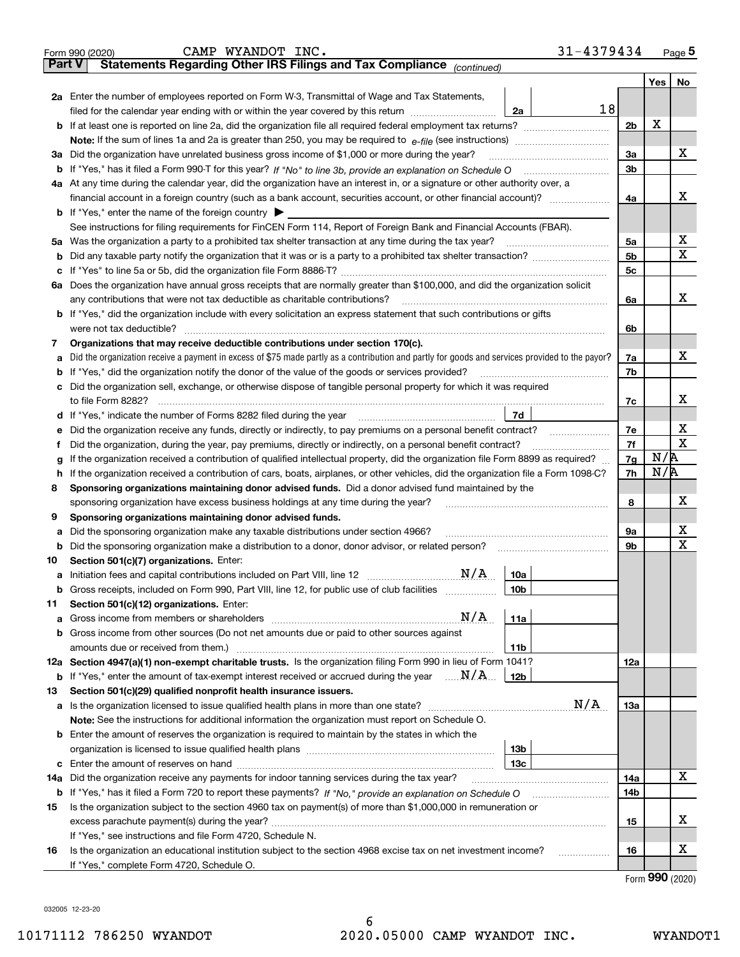| Part V | 31-4379434<br>CAMP WYANDOT INC.<br>Form 990 (2020)<br>Statements Regarding Other IRS Filings and Tax Compliance (continued)                                                                                                                                                                              |                |     | Page 5 |  |  |  |  |  |
|--------|----------------------------------------------------------------------------------------------------------------------------------------------------------------------------------------------------------------------------------------------------------------------------------------------------------|----------------|-----|--------|--|--|--|--|--|
|        |                                                                                                                                                                                                                                                                                                          |                |     |        |  |  |  |  |  |
|        | 2a Enter the number of employees reported on Form W-3, Transmittal of Wage and Tax Statements,                                                                                                                                                                                                           |                | Yes | No     |  |  |  |  |  |
|        | 18<br>2a                                                                                                                                                                                                                                                                                                 |                |     |        |  |  |  |  |  |
|        | filed for the calendar year ending with or within the year covered by this return [11] [11] filed for the calendar year ending with or within the year covered by this return<br><b>b</b> If at least one is reported on line 2a, did the organization file all required federal employment tax returns? | 2 <sub>b</sub> | х   |        |  |  |  |  |  |
|        |                                                                                                                                                                                                                                                                                                          |                |     |        |  |  |  |  |  |
|        | 3a Did the organization have unrelated business gross income of \$1,000 or more during the year?                                                                                                                                                                                                         | 3a             |     | x      |  |  |  |  |  |
|        |                                                                                                                                                                                                                                                                                                          | 3 <sub>b</sub> |     |        |  |  |  |  |  |
|        | 4a At any time during the calendar year, did the organization have an interest in, or a signature or other authority over, a                                                                                                                                                                             |                |     |        |  |  |  |  |  |
|        |                                                                                                                                                                                                                                                                                                          | 4a             |     | х      |  |  |  |  |  |
|        | <b>b</b> If "Yes," enter the name of the foreign country $\blacktriangleright$                                                                                                                                                                                                                           |                |     |        |  |  |  |  |  |
|        | See instructions for filing requirements for FinCEN Form 114, Report of Foreign Bank and Financial Accounts (FBAR).                                                                                                                                                                                      |                |     |        |  |  |  |  |  |
|        | 5a Was the organization a party to a prohibited tax shelter transaction at any time during the tax year?                                                                                                                                                                                                 | 5a             |     | X      |  |  |  |  |  |
|        |                                                                                                                                                                                                                                                                                                          | 5 <sub>b</sub> |     | X      |  |  |  |  |  |
|        |                                                                                                                                                                                                                                                                                                          | 5c             |     |        |  |  |  |  |  |
|        | 6a Does the organization have annual gross receipts that are normally greater than \$100,000, and did the organization solicit                                                                                                                                                                           |                |     |        |  |  |  |  |  |
|        | any contributions that were not tax deductible as charitable contributions?                                                                                                                                                                                                                              | 6a             |     | х      |  |  |  |  |  |
|        | b If "Yes," did the organization include with every solicitation an express statement that such contributions or gifts                                                                                                                                                                                   |                |     |        |  |  |  |  |  |
|        | were not tax deductible?                                                                                                                                                                                                                                                                                 | 6b             |     |        |  |  |  |  |  |
| 7      | Organizations that may receive deductible contributions under section 170(c).                                                                                                                                                                                                                            |                |     |        |  |  |  |  |  |
| a      | Did the organization receive a payment in excess of \$75 made partly as a contribution and partly for goods and services provided to the payor?                                                                                                                                                          | 7a             |     | x      |  |  |  |  |  |
|        | <b>b</b> If "Yes," did the organization notify the donor of the value of the goods or services provided?                                                                                                                                                                                                 | 7b             |     |        |  |  |  |  |  |
|        | c Did the organization sell, exchange, or otherwise dispose of tangible personal property for which it was required                                                                                                                                                                                      |                |     |        |  |  |  |  |  |
|        | to file Form 8282?                                                                                                                                                                                                                                                                                       | 7c             |     | х      |  |  |  |  |  |
|        | 7d<br>d If "Yes," indicate the number of Forms 8282 filed during the year                                                                                                                                                                                                                                |                |     |        |  |  |  |  |  |
| е      | Did the organization receive any funds, directly or indirectly, to pay premiums on a personal benefit contract?                                                                                                                                                                                          | 7e             |     | х      |  |  |  |  |  |
| f      | Did the organization, during the year, pay premiums, directly or indirectly, on a personal benefit contract?                                                                                                                                                                                             | 7f             |     | х      |  |  |  |  |  |
| g      | If the organization received a contribution of qualified intellectual property, did the organization file Form 8899 as required?                                                                                                                                                                         |                |     |        |  |  |  |  |  |
|        | h If the organization received a contribution of cars, boats, airplanes, or other vehicles, did the organization file a Form 1098-C?                                                                                                                                                                     |                |     |        |  |  |  |  |  |
| 8      | Sponsoring organizations maintaining donor advised funds. Did a donor advised fund maintained by the                                                                                                                                                                                                     |                |     |        |  |  |  |  |  |
|        | sponsoring organization have excess business holdings at any time during the year?                                                                                                                                                                                                                       | 8              |     | х      |  |  |  |  |  |
| 9      | Sponsoring organizations maintaining donor advised funds.                                                                                                                                                                                                                                                |                |     |        |  |  |  |  |  |
| а      | Did the sponsoring organization make any taxable distributions under section 4966?                                                                                                                                                                                                                       | 9а             |     | х      |  |  |  |  |  |
|        | <b>b</b> Did the sponsoring organization make a distribution to a donor, donor advisor, or related person?                                                                                                                                                                                               | <b>9b</b>      |     | X      |  |  |  |  |  |
| 10     | Section 501(c)(7) organizations. Enter:                                                                                                                                                                                                                                                                  |                |     |        |  |  |  |  |  |
|        | N/A<br>10a                                                                                                                                                                                                                                                                                               |                |     |        |  |  |  |  |  |
|        | <b>b</b> Gross receipts, included on Form 990, Part VIII, line 12, for public use of club facilities<br>10b                                                                                                                                                                                              |                |     |        |  |  |  |  |  |
| 11     | Section 501(c)(12) organizations. Enter:                                                                                                                                                                                                                                                                 |                |     |        |  |  |  |  |  |
| а      | N/A<br>11a                                                                                                                                                                                                                                                                                               |                |     |        |  |  |  |  |  |
|        | b Gross income from other sources (Do not net amounts due or paid to other sources against                                                                                                                                                                                                               |                |     |        |  |  |  |  |  |
|        | 11 <sub>b</sub>                                                                                                                                                                                                                                                                                          |                |     |        |  |  |  |  |  |
|        | 12a Section 4947(a)(1) non-exempt charitable trusts. Is the organization filing Form 990 in lieu of Form 1041?                                                                                                                                                                                           | 12a            |     |        |  |  |  |  |  |
|        | <b>b</b> If "Yes," enter the amount of tax-exempt interest received or accrued during the year $\ldots \mathbf{N}/\mathbf{A}$<br>12b                                                                                                                                                                     |                |     |        |  |  |  |  |  |
| 13     | Section 501(c)(29) qualified nonprofit health insurance issuers.                                                                                                                                                                                                                                         |                |     |        |  |  |  |  |  |
|        | N/A                                                                                                                                                                                                                                                                                                      | 13a            |     |        |  |  |  |  |  |
|        | Note: See the instructions for additional information the organization must report on Schedule O.                                                                                                                                                                                                        |                |     |        |  |  |  |  |  |
|        | <b>b</b> Enter the amount of reserves the organization is required to maintain by the states in which the                                                                                                                                                                                                |                |     |        |  |  |  |  |  |
|        | 13 <sub>b</sub>                                                                                                                                                                                                                                                                                          |                |     |        |  |  |  |  |  |
|        | 13с                                                                                                                                                                                                                                                                                                      |                |     |        |  |  |  |  |  |
| 14a    | Did the organization receive any payments for indoor tanning services during the tax year?                                                                                                                                                                                                               | 14a            |     | х      |  |  |  |  |  |
|        |                                                                                                                                                                                                                                                                                                          | 14b            |     |        |  |  |  |  |  |
| 15     | Is the organization subject to the section 4960 tax on payment(s) of more than \$1,000,000 in remuneration or                                                                                                                                                                                            |                |     |        |  |  |  |  |  |
|        |                                                                                                                                                                                                                                                                                                          | 15             |     | х      |  |  |  |  |  |
|        | If "Yes," see instructions and file Form 4720, Schedule N.                                                                                                                                                                                                                                               |                |     |        |  |  |  |  |  |
| 16     | Is the organization an educational institution subject to the section 4968 excise tax on net investment income?<br>.                                                                                                                                                                                     | 16             |     | х      |  |  |  |  |  |
|        | If "Yes," complete Form 4720, Schedule O.                                                                                                                                                                                                                                                                |                |     |        |  |  |  |  |  |

Form (2020) **990**

032005 12-23-20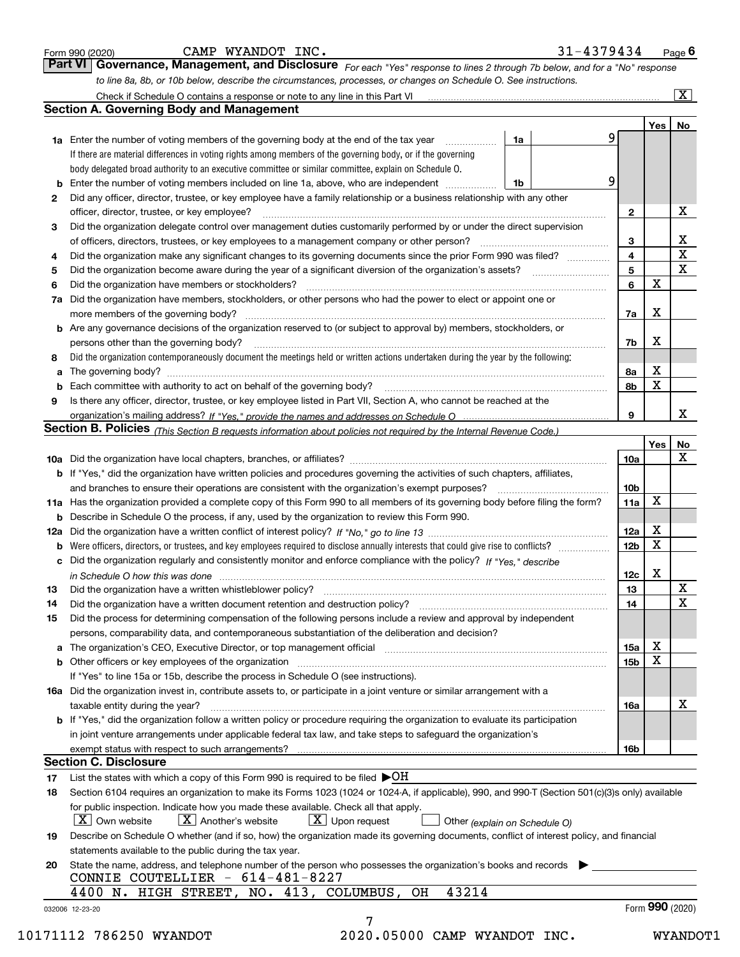|    | Check if Schedule O contains a response or note to any line in this Part VI [11] [12] [12] Check if Schedule O contains a response or note to any line in this Part VI     |                 |          | $\overline{\mathbf{x}}$ |
|----|----------------------------------------------------------------------------------------------------------------------------------------------------------------------------|-----------------|----------|-------------------------|
|    | <b>Section A. Governing Body and Management</b>                                                                                                                            |                 |          |                         |
|    |                                                                                                                                                                            |                 | Yes   No |                         |
|    | <b>1a</b> Enter the number of voting members of the governing body at the end of the tax year<br>1a                                                                        | 9               |          |                         |
|    | If there are material differences in voting rights among members of the governing body, or if the governing                                                                |                 |          |                         |
|    | body delegated broad authority to an executive committee or similar committee, explain on Schedule O.                                                                      |                 |          |                         |
|    | Enter the number of voting members included on line 1a, above, who are independent<br>1b                                                                                   | 9               |          |                         |
| 2  | Did any officer, director, trustee, or key employee have a family relationship or a business relationship with any other                                                   |                 |          |                         |
|    | officer, director, trustee, or key employee?                                                                                                                               | $\mathbf{2}$    |          | х                       |
| 3  | Did the organization delegate control over management duties customarily performed by or under the direct supervision                                                      |                 |          |                         |
|    | of officers, directors, trustees, or key employees to a management company or other person?                                                                                | 3               |          | $\frac{X}{X}$           |
| 4  | Did the organization make any significant changes to its governing documents since the prior Form 990 was filed?                                                           | 4               |          |                         |
| 5  |                                                                                                                                                                            | 5               |          | $\overline{\mathbf{x}}$ |
| 6  | Did the organization have members or stockholders?                                                                                                                         | 6               | X        |                         |
| 7a | Did the organization have members, stockholders, or other persons who had the power to elect or appoint one or                                                             |                 |          |                         |
|    |                                                                                                                                                                            | 7a              | х        |                         |
|    | <b>b</b> Are any governance decisions of the organization reserved to (or subject to approval by) members, stockholders, or                                                |                 |          |                         |
|    | persons other than the governing body?                                                                                                                                     | 7b              | x        |                         |
| 8  | Did the organization contemporaneously document the meetings held or written actions undertaken during the year by the following:                                          |                 |          |                         |
| а  |                                                                                                                                                                            | 8а              | х        |                         |
| b  |                                                                                                                                                                            | 8b              | X        |                         |
| 9  | Is there any officer, director, trustee, or key employee listed in Part VII, Section A, who cannot be reached at the                                                       |                 |          |                         |
|    |                                                                                                                                                                            | 9               |          | x                       |
|    | Section B. Policies (This Section B requests information about policies not required by the Internal Revenue Code.)                                                        |                 |          |                         |
|    |                                                                                                                                                                            |                 | Yes      | No                      |
|    |                                                                                                                                                                            | 10a             |          | X                       |
|    | <b>b</b> If "Yes," did the organization have written policies and procedures governing the activities of such chapters, affiliates,                                        |                 |          |                         |
|    |                                                                                                                                                                            | 10 <sub>b</sub> |          |                         |
|    | 11a Has the organization provided a complete copy of this Form 990 to all members of its governing body before filing the form?                                            | 11a             | x        |                         |
|    | <b>b</b> Describe in Schedule O the process, if any, used by the organization to review this Form 990.                                                                     |                 |          |                         |
|    |                                                                                                                                                                            | 12a             | x        |                         |
| b  |                                                                                                                                                                            | 12 <sub>b</sub> | x        |                         |
|    | c Did the organization regularly and consistently monitor and enforce compliance with the policy? If "Yes," describe                                                       |                 |          |                         |
|    |                                                                                                                                                                            | 12c             | X        |                         |
| 13 | in Schedule O how this was done measured and contained a state of the state of the state of the state of the s                                                             | 13              |          | $\overline{\textbf{X}}$ |
|    | Did the organization have a written document retention and destruction policy? manufactured and the organization have a written document retention and destruction policy? | 14              |          | $\mathbf X$             |
| 14 |                                                                                                                                                                            |                 |          |                         |
| 15 | Did the process for determining compensation of the following persons include a review and approval by independent                                                         |                 |          |                         |
|    | persons, comparability data, and contemporaneous substantiation of the deliberation and decision?                                                                          |                 |          |                         |
|    | a The organization's CEO, Executive Director, or top management official [111] [11] manument material manument                                                             | 15a             | x        |                         |
|    |                                                                                                                                                                            | 15b             | X        |                         |
|    | If "Yes" to line 15a or 15b, describe the process in Schedule O (see instructions).                                                                                        |                 |          |                         |
|    | 16a Did the organization invest in, contribute assets to, or participate in a joint venture or similar arrangement with a                                                  |                 |          |                         |
|    | taxable entity during the year?                                                                                                                                            | 16a             |          | х                       |
|    | b If "Yes," did the organization follow a written policy or procedure requiring the organization to evaluate its participation                                             |                 |          |                         |
|    | in joint venture arrangements under applicable federal tax law, and take steps to safeguard the organization's                                                             |                 |          |                         |
|    |                                                                                                                                                                            | 16b             |          |                         |
|    | <b>Section C. Disclosure</b>                                                                                                                                               |                 |          |                         |
| 17 | List the states with which a copy of this Form 990 is required to be filed $\blacktriangleright$ OH                                                                        |                 |          |                         |
| 18 | Section 6104 requires an organization to make its Forms 1023 (1024 or 1024-A, if applicable), 990, and 990-T (Section 501(c)(3)s only) available                           |                 |          |                         |
|    | for public inspection. Indicate how you made these available. Check all that apply.                                                                                        |                 |          |                         |
|    | $\mid$ $\rm X\mid$ Own website<br>$X$ Another's website<br>$\lfloor X \rfloor$ Upon request<br>Other (explain on Schedule O)                                               |                 |          |                         |
| 19 | Describe on Schedule O whether (and if so, how) the organization made its governing documents, conflict of interest policy, and financial                                  |                 |          |                         |
|    | statements available to the public during the tax year.                                                                                                                    |                 |          |                         |
| 20 | State the name, address, and telephone number of the person who possesses the organization's books and records                                                             |                 |          |                         |
|    | CONNIE COUTELLIER - 614-481-8227                                                                                                                                           |                 |          |                         |
|    | 43214<br>4400 N. HIGH STREET, NO. 413, COLUMBUS,<br>OH                                                                                                                     |                 |          |                         |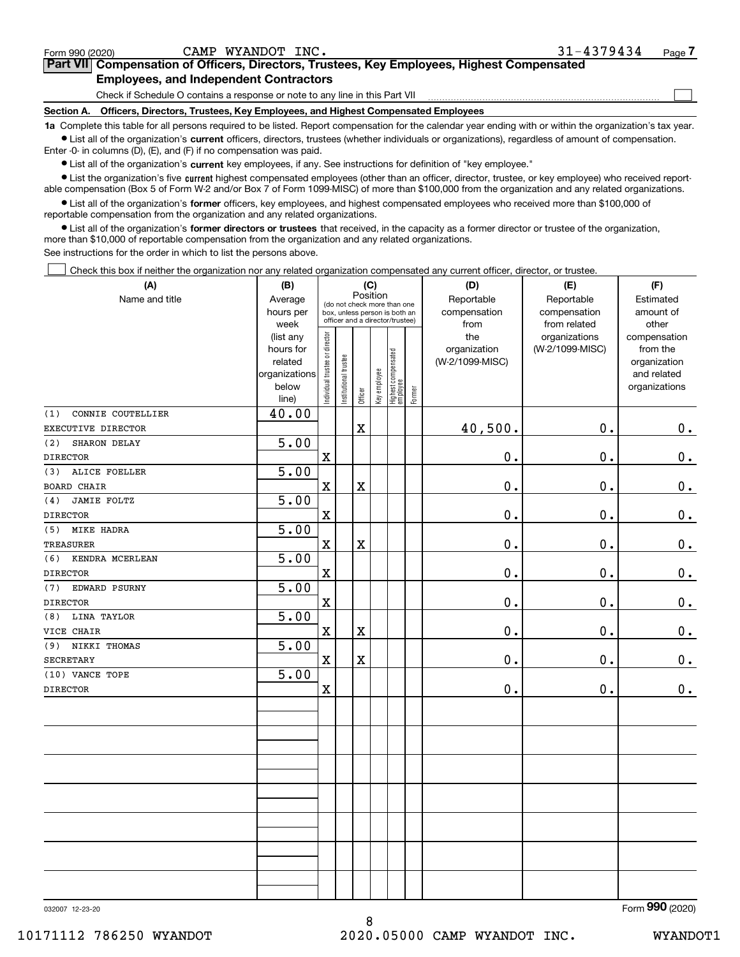| Form 990 (2020)                                                                                                                                            | CAMP WYANDOT INC.                                                            | $31 - 4379434$ | Page . |  |  |  |  |  |  |  |
|------------------------------------------------------------------------------------------------------------------------------------------------------------|------------------------------------------------------------------------------|----------------|--------|--|--|--|--|--|--|--|
| Part VII Compensation of Officers, Directors, Trustees, Key Employees, Highest Compensated                                                                 |                                                                              |                |        |  |  |  |  |  |  |  |
| <b>Employees, and Independent Contractors</b>                                                                                                              |                                                                              |                |        |  |  |  |  |  |  |  |
|                                                                                                                                                            | Check if Schedule O contains a response or note to any line in this Part VII |                |        |  |  |  |  |  |  |  |
| Officers, Directors, Trustees, Key Employees, and Highest Compensated Employees<br>Section A.                                                              |                                                                              |                |        |  |  |  |  |  |  |  |
| 10. Complete this table for all persons required to be listed. Penert compensation for the colondar vear ending with or within the examization's tax vear. |                                                                              |                |        |  |  |  |  |  |  |  |

**1a •** List all of the organization's current officers, directors, trustees (whether individuals or organizations), regardless of amount of compensation. for all persons required to be listed. Report compensation for the calendar year ending with or within the organization's tax ye Enter -0- in columns (D), (E), and (F) if no compensation was paid.

 $\bullet$  List all of the organization's  $\,$ current key employees, if any. See instructions for definition of "key employee."

**•** List the organization's five current highest compensated employees (other than an officer, director, trustee, or key employee) who received reportable compensation (Box 5 of Form W-2 and/or Box 7 of Form 1099-MISC) of more than \$100,000 from the organization and any related organizations.

**•** List all of the organization's former officers, key employees, and highest compensated employees who received more than \$100,000 of reportable compensation from the organization and any related organizations.

**former directors or trustees**  ¥ List all of the organization's that received, in the capacity as a former director or trustee of the organization, more than \$10,000 of reportable compensation from the organization and any related organizations.

See instructions for the order in which to list the persons above.

Check this box if neither the organization nor any related organization compensated any current officer, director, or trustee.  $\mathcal{L}^{\text{max}}$ 

| (A)                      | (B)               | (C)                            |                                         |                                                                  |              |                                  |        | (D)             | (E)                           | (F)                   |              |           |
|--------------------------|-------------------|--------------------------------|-----------------------------------------|------------------------------------------------------------------|--------------|----------------------------------|--------|-----------------|-------------------------------|-----------------------|--------------|-----------|
| Name and title           | Average           |                                | Position<br>(do not check more than one |                                                                  |              |                                  |        | Reportable      | Reportable                    | Estimated             |              |           |
|                          | hours per         |                                |                                         | box, unless person is both an<br>officer and a director/trustee) |              |                                  |        |                 |                               | compensation          | compensation | amount of |
|                          | week<br>(list any |                                |                                         |                                                                  |              |                                  |        | from<br>the     | from related<br>organizations | other<br>compensation |              |           |
|                          | hours for         |                                |                                         |                                                                  |              |                                  |        | organization    | (W-2/1099-MISC)               | from the              |              |           |
|                          | related           |                                |                                         |                                                                  |              |                                  |        | (W-2/1099-MISC) |                               | organization          |              |           |
|                          | organizations     |                                |                                         |                                                                  |              |                                  |        |                 |                               | and related           |              |           |
|                          | below             | Individual trustee or director | Institutional trustee                   |                                                                  | Key employee | Highest compensated<br> employee | Former |                 |                               | organizations         |              |           |
|                          | line)             |                                |                                         | Officer                                                          |              |                                  |        |                 |                               |                       |              |           |
| CONNIE COUTELLIER<br>(1) | 40.00             |                                |                                         |                                                                  |              |                                  |        |                 |                               |                       |              |           |
| EXECUTIVE DIRECTOR       |                   |                                |                                         | X                                                                |              |                                  |        | 40,500.         | 0.                            | 0.                    |              |           |
| (2)<br>SHARON DELAY      | 5.00              |                                |                                         |                                                                  |              |                                  |        |                 |                               |                       |              |           |
| <b>DIRECTOR</b>          |                   | $\mathbf X$                    |                                         |                                                                  |              |                                  |        | 0.              | 0.                            | $\mathbf 0$ .         |              |           |
| ALICE FOELLER<br>(3)     | 5.00              |                                |                                         |                                                                  |              |                                  |        |                 |                               |                       |              |           |
| <b>BOARD CHAIR</b>       |                   | $\mathbf x$                    |                                         | X                                                                |              |                                  |        | 0.              | 0.                            | $0_{.}$               |              |           |
| JAMIE FOLTZ<br>(4)       | 5.00              |                                |                                         |                                                                  |              |                                  |        |                 |                               |                       |              |           |
| <b>DIRECTOR</b>          |                   | $\mathbf x$                    |                                         |                                                                  |              |                                  |        | 0.              | 0.                            | $\mathbf 0$ .         |              |           |
| (5)<br><b>MIKE HADRA</b> | 5.00              |                                |                                         |                                                                  |              |                                  |        |                 |                               |                       |              |           |
| <b>TREASURER</b>         |                   | $\mathbf x$                    |                                         | $\mathbf X$                                                      |              |                                  |        | 0.              | 0.                            | 0.                    |              |           |
| (6)<br>KENDRA MCERLEAN   | 5.00              |                                |                                         |                                                                  |              |                                  |        |                 |                               |                       |              |           |
| <b>DIRECTOR</b>          |                   | $\mathbf X$                    |                                         |                                                                  |              |                                  |        | 0.              | 0.                            | $0_{.}$               |              |           |
| EDWARD PSURNY<br>(7)     | 5.00              |                                |                                         |                                                                  |              |                                  |        |                 |                               |                       |              |           |
| <b>DIRECTOR</b>          |                   | $\mathbf x$                    |                                         |                                                                  |              |                                  |        | 0.              | 0.                            | 0.                    |              |           |
| LINA TAYLOR<br>(8)       | $\overline{5.00}$ |                                |                                         |                                                                  |              |                                  |        |                 |                               |                       |              |           |
| VICE CHAIR               |                   | $\mathbf x$                    |                                         | $\overline{\textbf{X}}$                                          |              |                                  |        | 0.              | 0.                            | 0.                    |              |           |
| NIKKI THOMAS<br>(9)      | 5.00              |                                |                                         |                                                                  |              |                                  |        |                 |                               |                       |              |           |
| <b>SECRETARY</b>         |                   | $\mathbf x$                    |                                         | X                                                                |              |                                  |        | 0.              | 0.                            | 0.                    |              |           |
| (10) VANCE TOPE          | $\overline{5.00}$ |                                |                                         |                                                                  |              |                                  |        |                 |                               |                       |              |           |
| <b>DIRECTOR</b>          |                   | $\mathbf x$                    |                                         |                                                                  |              |                                  |        | 0.              | 0.                            | $0_{.}$               |              |           |
|                          |                   |                                |                                         |                                                                  |              |                                  |        |                 |                               |                       |              |           |
|                          |                   |                                |                                         |                                                                  |              |                                  |        |                 |                               |                       |              |           |
|                          |                   |                                |                                         |                                                                  |              |                                  |        |                 |                               |                       |              |           |
|                          |                   |                                |                                         |                                                                  |              |                                  |        |                 |                               |                       |              |           |
|                          |                   |                                |                                         |                                                                  |              |                                  |        |                 |                               |                       |              |           |
|                          |                   |                                |                                         |                                                                  |              |                                  |        |                 |                               |                       |              |           |
|                          |                   |                                |                                         |                                                                  |              |                                  |        |                 |                               |                       |              |           |
|                          |                   |                                |                                         |                                                                  |              |                                  |        |                 |                               |                       |              |           |
|                          |                   |                                |                                         |                                                                  |              |                                  |        |                 |                               |                       |              |           |
|                          |                   |                                |                                         |                                                                  |              |                                  |        |                 |                               |                       |              |           |
|                          |                   |                                |                                         |                                                                  |              |                                  |        |                 |                               |                       |              |           |
|                          |                   |                                |                                         |                                                                  |              |                                  |        |                 |                               |                       |              |           |

8

032007 12-23-20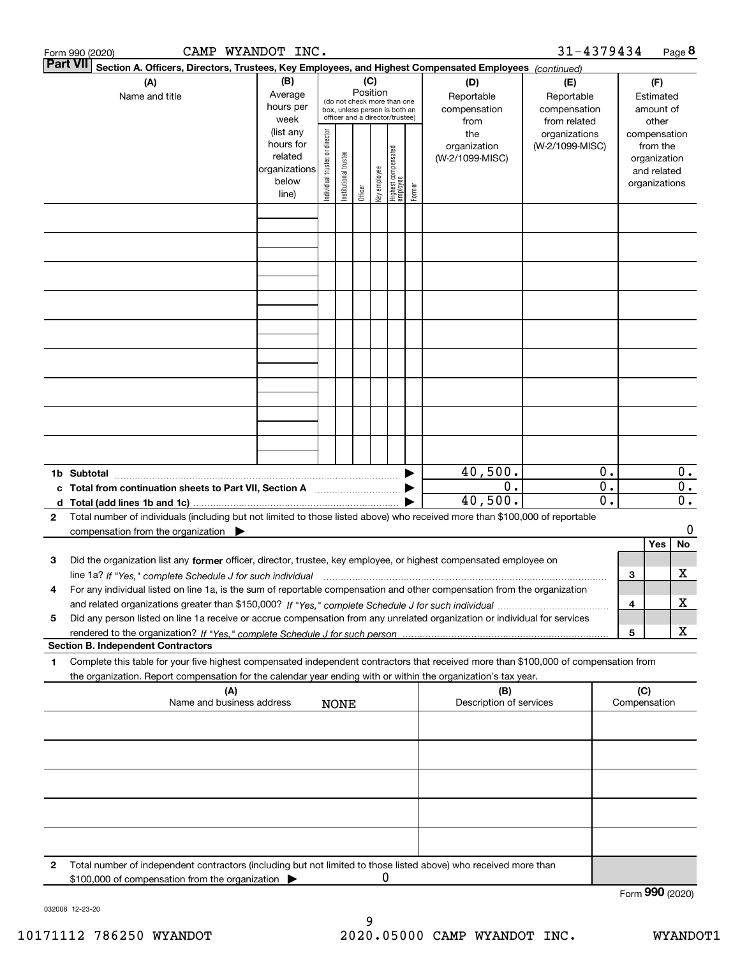|              | CAMP WYANDOT INC.<br>Form 990 (2020)                                                                                                                                                                                                                   |                                            |                                |                        |                 |              |                                                                                                 |        |                                                                  | 31-4379434                                                                            |                             |                     |                                                                    | Page 8                      |
|--------------|--------------------------------------------------------------------------------------------------------------------------------------------------------------------------------------------------------------------------------------------------------|--------------------------------------------|--------------------------------|------------------------|-----------------|--------------|-------------------------------------------------------------------------------------------------|--------|------------------------------------------------------------------|---------------------------------------------------------------------------------------|-----------------------------|---------------------|--------------------------------------------------------------------|-----------------------------|
|              | <b>Part VII</b><br>Section A. Officers, Directors, Trustees, Key Employees, and Highest Compensated Employees (continued)                                                                                                                              |                                            |                                |                        |                 |              |                                                                                                 |        |                                                                  |                                                                                       |                             |                     |                                                                    |                             |
|              | (B)<br>(A)<br>Average<br>Name and title<br>hours per<br>week<br>(list any<br>hours for                                                                                                                                                                 |                                            |                                |                        | (C)<br>Position |              | (do not check more than one<br>box, unless person is both an<br>officer and a director/trustee) |        | (D)<br>Reportable<br>compensation<br>from<br>the<br>organization | (E)<br>Reportable<br>compensation<br>from related<br>organizations<br>(W-2/1099-MISC) |                             |                     | (F)<br>Estimated<br>amount of<br>other<br>compensation<br>from the |                             |
|              |                                                                                                                                                                                                                                                        | related<br>organizations<br>below<br>line) | Individual trustee or director | In stitutional trustee | Officer         | Key employee | Highest compensated<br>employee                                                                 | Former | (W-2/1099-MISC)                                                  |                                                                                       |                             |                     | organization<br>and related<br>organizations                       |                             |
|              |                                                                                                                                                                                                                                                        |                                            |                                |                        |                 |              |                                                                                                 |        |                                                                  |                                                                                       |                             |                     |                                                                    |                             |
|              |                                                                                                                                                                                                                                                        |                                            |                                |                        |                 |              |                                                                                                 |        |                                                                  |                                                                                       |                             |                     |                                                                    |                             |
|              |                                                                                                                                                                                                                                                        |                                            |                                |                        |                 |              |                                                                                                 |        |                                                                  |                                                                                       |                             |                     |                                                                    |                             |
|              | 1b Subtotal<br>c Total from continuation sheets to Part VII, Section A manufactured in the Total from continuum                                                                                                                                        |                                            |                                |                        |                 |              |                                                                                                 |        | 40,500.<br>$\overline{0}$ .                                      |                                                                                       | 0.<br>$\overline{0}$ .      |                     |                                                                    | 0.<br>0.                    |
| $\mathbf{2}$ | d Total (add lines 1b and 1c)<br>Total number of individuals (including but not limited to those listed above) who received more than \$100,000 of reportable<br>compensation from the organization $\blacktriangleright$                              |                                            |                                |                        |                 |              |                                                                                                 |        | 40,500.                                                          |                                                                                       | $\overline{\mathfrak{o}}$ . |                     | Yes                                                                | $\overline{0}$ .<br>0<br>No |
| 3<br>4       | Did the organization list any former officer, director, trustee, key employee, or highest compensated employee on<br>For any individual listed on line 1a, is the sum of reportable compensation and other compensation from the organization          |                                            |                                |                        |                 |              |                                                                                                 |        |                                                                  |                                                                                       |                             | 3                   |                                                                    | х                           |
| 5            | Did any person listed on line 1a receive or accrue compensation from any unrelated organization or individual for services                                                                                                                             |                                            |                                |                        |                 |              |                                                                                                 |        |                                                                  |                                                                                       |                             | 4                   |                                                                    | х<br>x                      |
|              | <b>Section B. Independent Contractors</b>                                                                                                                                                                                                              |                                            |                                |                        |                 |              |                                                                                                 |        |                                                                  |                                                                                       |                             | 5                   |                                                                    |                             |
| 1            | Complete this table for your five highest compensated independent contractors that received more than \$100,000 of compensation from<br>the organization. Report compensation for the calendar year ending with or within the organization's tax year. |                                            |                                |                        |                 |              |                                                                                                 |        |                                                                  |                                                                                       |                             |                     |                                                                    |                             |
|              | (A)<br>Name and business address                                                                                                                                                                                                                       |                                            |                                | <b>NONE</b>            |                 |              |                                                                                                 |        | (B)<br>Description of services                                   |                                                                                       |                             | (C)<br>Compensation |                                                                    |                             |
|              |                                                                                                                                                                                                                                                        |                                            |                                |                        |                 |              |                                                                                                 |        |                                                                  |                                                                                       |                             |                     |                                                                    |                             |
|              |                                                                                                                                                                                                                                                        |                                            |                                |                        |                 |              |                                                                                                 |        |                                                                  |                                                                                       |                             |                     |                                                                    |                             |
| 2            | Total number of independent contractors (including but not limited to those listed above) who received more than<br>\$100,000 of compensation from the organization                                                                                    |                                            |                                |                        |                 | 0            |                                                                                                 |        |                                                                  |                                                                                       |                             |                     |                                                                    |                             |
|              |                                                                                                                                                                                                                                                        |                                            |                                |                        |                 |              |                                                                                                 |        |                                                                  |                                                                                       |                             | Form 990 (2020)     |                                                                    |                             |

032008 12-23-20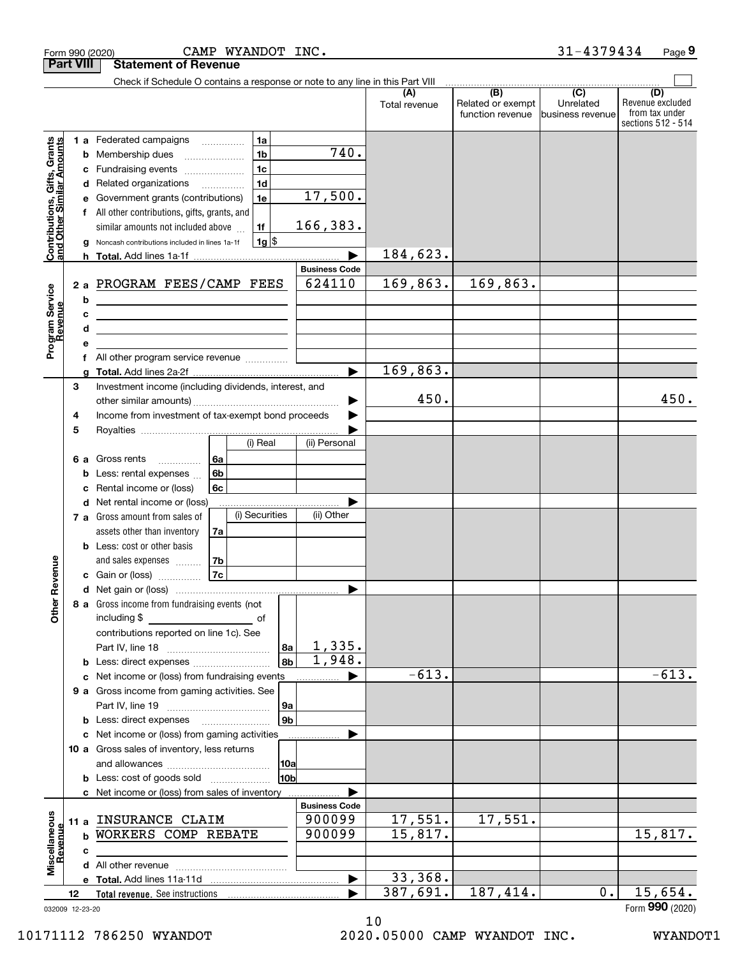|                                                           | <b>Part VIII</b> | <b>Statement of Revenue</b>                                                                                                                                        |                                                        |                       |               |                                              |                                                 |                                                                 |
|-----------------------------------------------------------|------------------|--------------------------------------------------------------------------------------------------------------------------------------------------------------------|--------------------------------------------------------|-----------------------|---------------|----------------------------------------------|-------------------------------------------------|-----------------------------------------------------------------|
|                                                           |                  | Check if Schedule O contains a response or note to any line in this Part VIII                                                                                      |                                                        |                       |               |                                              |                                                 |                                                                 |
|                                                           |                  |                                                                                                                                                                    |                                                        |                       | Total revenue | (B)<br>Related or exempt<br>function revenue | $\overline{C}$<br>Unrelated<br>business revenue | (D)<br>Revenue excluded<br>from tax under<br>sections 512 - 514 |
|                                                           |                  | 1 a Federated campaigns                                                                                                                                            | 1a                                                     |                       |               |                                              |                                                 |                                                                 |
| Contributions, Gifts, Grants<br>and Other Similar Amounts | b                | Membership dues                                                                                                                                                    | 1 <sub>b</sub><br>$\ldots \ldots \ldots \ldots \ldots$ | $\overline{740}$ .    |               |                                              |                                                 |                                                                 |
|                                                           | c                | Fundraising events                                                                                                                                                 | 1 <sub>c</sub>                                         |                       |               |                                              |                                                 |                                                                 |
|                                                           | d                | Related organizations                                                                                                                                              | 1 <sub>d</sub>                                         |                       |               |                                              |                                                 |                                                                 |
|                                                           |                  | Government grants (contributions)                                                                                                                                  | 1e                                                     | 17,500.               |               |                                              |                                                 |                                                                 |
|                                                           |                  | All other contributions, gifts, grants, and                                                                                                                        |                                                        |                       |               |                                              |                                                 |                                                                 |
|                                                           |                  | similar amounts not included above                                                                                                                                 | 1f                                                     | 166,383.              |               |                                              |                                                 |                                                                 |
|                                                           |                  | Noncash contributions included in lines 1a-1f                                                                                                                      | $1g$ \$                                                |                       |               |                                              |                                                 |                                                                 |
|                                                           |                  |                                                                                                                                                                    |                                                        | <b>Business Code</b>  | 184,623.      |                                              |                                                 |                                                                 |
|                                                           |                  | PROGRAM FEES/CAMP FEES                                                                                                                                             |                                                        | 624110                | 169,863.      | 169,863.                                     |                                                 |                                                                 |
|                                                           | 2a<br>b          |                                                                                                                                                                    |                                                        |                       |               |                                              |                                                 |                                                                 |
|                                                           | c                | the contract of the contract of the contract of the contract of the                                                                                                |                                                        |                       |               |                                              |                                                 |                                                                 |
|                                                           | d                | the contract of the contract of the contract of the contract of the contract of<br>the contract of the contract of the contract of the contract of the contract of |                                                        |                       |               |                                              |                                                 |                                                                 |
| Program Service<br>Revenue                                |                  |                                                                                                                                                                    |                                                        |                       |               |                                              |                                                 |                                                                 |
|                                                           | f                | All other program service revenue                                                                                                                                  |                                                        |                       |               |                                              |                                                 |                                                                 |
|                                                           |                  |                                                                                                                                                                    |                                                        | $\blacktriangleright$ | 169,863.      |                                              |                                                 |                                                                 |
|                                                           | 3                | Investment income (including dividends, interest, and                                                                                                              |                                                        |                       |               |                                              |                                                 |                                                                 |
|                                                           |                  |                                                                                                                                                                    |                                                        |                       | 450.          |                                              |                                                 | 450.                                                            |
|                                                           | 4                | Income from investment of tax-exempt bond proceeds                                                                                                                 |                                                        |                       |               |                                              |                                                 |                                                                 |
|                                                           | 5                |                                                                                                                                                                    |                                                        |                       |               |                                              |                                                 |                                                                 |
|                                                           |                  |                                                                                                                                                                    | (i) Real                                               | (ii) Personal         |               |                                              |                                                 |                                                                 |
|                                                           | 6а               | Gross rents<br>.                                                                                                                                                   | 6a                                                     |                       |               |                                              |                                                 |                                                                 |
|                                                           | b                | Less: rental expenses                                                                                                                                              | 6b                                                     |                       |               |                                              |                                                 |                                                                 |
|                                                           | c                | Rental income or (loss)                                                                                                                                            | 6с                                                     |                       |               |                                              |                                                 |                                                                 |
|                                                           | d                | Net rental income or (loss)<br>7 a Gross amount from sales of                                                                                                      | (i) Securities                                         | (ii) Other            |               |                                              |                                                 |                                                                 |
|                                                           |                  | assets other than inventory                                                                                                                                        | 7a                                                     |                       |               |                                              |                                                 |                                                                 |
|                                                           |                  | <b>b</b> Less: cost or other basis                                                                                                                                 |                                                        |                       |               |                                              |                                                 |                                                                 |
|                                                           |                  | and sales expenses                                                                                                                                                 | 7b                                                     |                       |               |                                              |                                                 |                                                                 |
|                                                           |                  | c Gain or (loss)                                                                                                                                                   | 7c                                                     |                       |               |                                              |                                                 |                                                                 |
| Revenue                                                   |                  |                                                                                                                                                                    |                                                        |                       |               |                                              |                                                 |                                                                 |
|                                                           |                  | 8 a Gross income from fundraising events (not                                                                                                                      |                                                        |                       |               |                                              |                                                 |                                                                 |
| <b>Other</b>                                              |                  | including $$$                                                                                                                                                      | _________________________ of                           |                       |               |                                              |                                                 |                                                                 |
|                                                           |                  | contributions reported on line 1c). See                                                                                                                            |                                                        |                       |               |                                              |                                                 |                                                                 |
|                                                           |                  |                                                                                                                                                                    |                                                        | 1,335.<br>8a          |               |                                              |                                                 |                                                                 |
|                                                           |                  | <b>b</b> Less: direct expenses                                                                                                                                     |                                                        | 1,948.<br>8b          |               |                                              |                                                 |                                                                 |
|                                                           |                  | c Net income or (loss) from fundraising events                                                                                                                     |                                                        |                       | $-613.$       |                                              |                                                 | $-613.$                                                         |
|                                                           |                  | 9 a Gross income from gaming activities. See                                                                                                                       |                                                        |                       |               |                                              |                                                 |                                                                 |
|                                                           |                  |                                                                                                                                                                    |                                                        | 9a                    |               |                                              |                                                 |                                                                 |
|                                                           |                  | <b>b</b> Less: direct expenses                                                                                                                                     |                                                        | 9 <sub>b</sub>        |               |                                              |                                                 |                                                                 |
|                                                           |                  | c Net income or (loss) from gaming activities<br>10 a Gross sales of inventory, less returns                                                                       |                                                        |                       |               |                                              |                                                 |                                                                 |
|                                                           |                  |                                                                                                                                                                    |                                                        | 10a                   |               |                                              |                                                 |                                                                 |
|                                                           |                  | <b>b</b> Less: cost of goods sold                                                                                                                                  |                                                        | 10b                   |               |                                              |                                                 |                                                                 |
|                                                           |                  | c Net income or (loss) from sales of inventory                                                                                                                     |                                                        |                       |               |                                              |                                                 |                                                                 |
|                                                           |                  |                                                                                                                                                                    |                                                        | <b>Business Code</b>  |               |                                              |                                                 |                                                                 |
|                                                           |                  | 11 a INSURANCE CLAIM                                                                                                                                               |                                                        | 900099                | 17,551.       | 17,551.                                      |                                                 |                                                                 |
|                                                           |                  | <b>b WORKERS COMP REBATE</b>                                                                                                                                       |                                                        | 900099                | 15,817.       |                                              |                                                 | 15,817.                                                         |
|                                                           | c                |                                                                                                                                                                    |                                                        |                       |               |                                              |                                                 |                                                                 |
| Miscellaneous<br>Revenue                                  |                  |                                                                                                                                                                    |                                                        |                       |               |                                              |                                                 |                                                                 |
|                                                           |                  |                                                                                                                                                                    |                                                        | ▶                     | 33,368.       |                                              |                                                 |                                                                 |
|                                                           | 12               |                                                                                                                                                                    |                                                        |                       | 387,691.      | 187,414.                                     | 0.                                              | 15,654.                                                         |
|                                                           | 032009 12-23-20  |                                                                                                                                                                    |                                                        |                       |               |                                              |                                                 | Form 990 (2020)                                                 |

Form 990 (2020) Page

CAMP WYANDOT INC. 31-4379434

032009 12-23-20

10 10171112 786250 WYANDOT 2020.05000 CAMP WYANDOT INC. WYANDOT1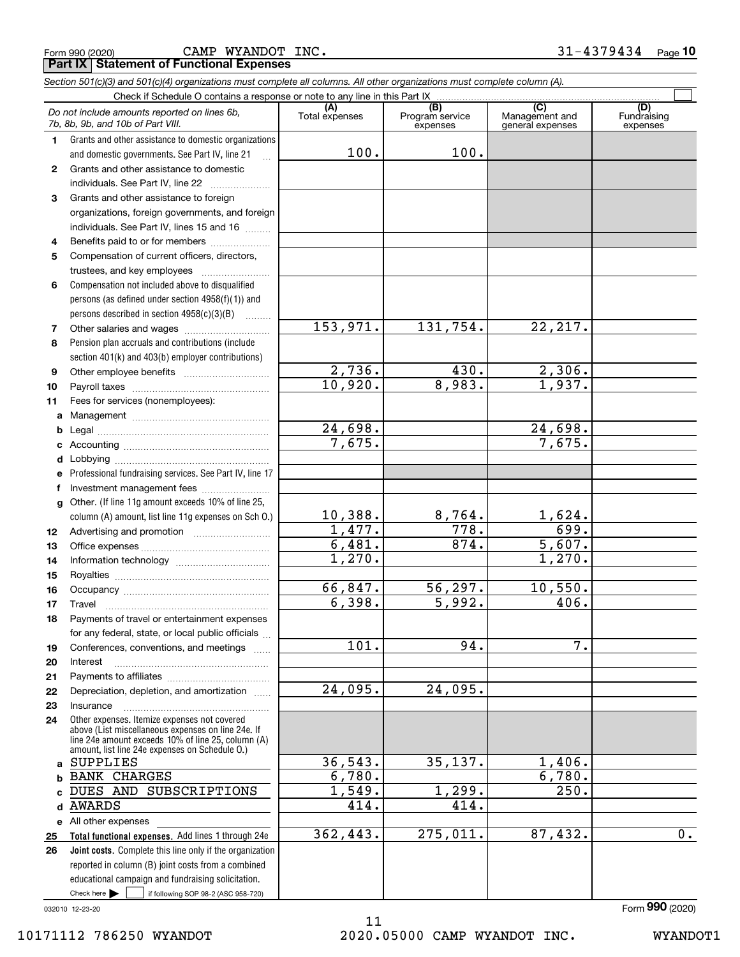Form 990 (2020) Page **Part IX Statement of Functional Expenses** CAMP WYANDOT INC.

|              | Section 501(c)(3) and 501(c)(4) organizations must complete all columns. All other organizations must complete column (A).                                 |                          |                                    |                                           |                                |
|--------------|------------------------------------------------------------------------------------------------------------------------------------------------------------|--------------------------|------------------------------------|-------------------------------------------|--------------------------------|
|              | Check if Schedule O contains a response or note to any line in this Part IX                                                                                |                          |                                    |                                           |                                |
|              | Do not include amounts reported on lines 6b,<br>7b, 8b, 9b, and 10b of Part VIII.                                                                          | (A)<br>Total expenses    | (B)<br>Program service<br>expenses | (C)<br>Management and<br>general expenses | (D)<br>Fundraising<br>expenses |
| 1.           | Grants and other assistance to domestic organizations                                                                                                      |                          |                                    |                                           |                                |
|              | and domestic governments. See Part IV, line 21<br>$\ddotsc$                                                                                                | 100.                     | 100.                               |                                           |                                |
| $\mathbf{2}$ | Grants and other assistance to domestic                                                                                                                    |                          |                                    |                                           |                                |
|              | individuals. See Part IV, line 22                                                                                                                          |                          |                                    |                                           |                                |
| 3            | Grants and other assistance to foreign                                                                                                                     |                          |                                    |                                           |                                |
|              | organizations, foreign governments, and foreign                                                                                                            |                          |                                    |                                           |                                |
|              | individuals. See Part IV, lines 15 and 16                                                                                                                  |                          |                                    |                                           |                                |
| 4            | Benefits paid to or for members                                                                                                                            |                          |                                    |                                           |                                |
| 5            | Compensation of current officers, directors,                                                                                                               |                          |                                    |                                           |                                |
|              | trustees, and key employees                                                                                                                                |                          |                                    |                                           |                                |
| 6            | Compensation not included above to disqualified                                                                                                            |                          |                                    |                                           |                                |
|              | persons (as defined under section 4958(f)(1)) and                                                                                                          |                          |                                    |                                           |                                |
|              | persons described in section 4958(c)(3)(B)                                                                                                                 |                          |                                    |                                           |                                |
| 7            |                                                                                                                                                            | 153,971.                 | 131,754.                           | 22, 217.                                  |                                |
| 8            | Pension plan accruals and contributions (include                                                                                                           |                          |                                    |                                           |                                |
|              | section 401(k) and 403(b) employer contributions)                                                                                                          |                          |                                    |                                           |                                |
| 9            |                                                                                                                                                            | $\frac{2,736}{10,920}$ . | 430.                               | 2,306.                                    |                                |
| 10           |                                                                                                                                                            |                          | 8,983.                             | 1,937.                                    |                                |
| 11           | Fees for services (nonemployees):                                                                                                                          |                          |                                    |                                           |                                |
| a            |                                                                                                                                                            |                          |                                    |                                           |                                |
| b            |                                                                                                                                                            | $\overline{24,698}$ .    |                                    | 24,698.                                   |                                |
| c            |                                                                                                                                                            | 7,675.                   |                                    | 7,675.                                    |                                |
| d            |                                                                                                                                                            |                          |                                    |                                           |                                |
| е            | Professional fundraising services. See Part IV, line 17                                                                                                    |                          |                                    |                                           |                                |
| f            | Investment management fees                                                                                                                                 |                          |                                    |                                           |                                |
| g            | Other. (If line 11g amount exceeds 10% of line 25,                                                                                                         |                          |                                    |                                           |                                |
|              | column (A) amount, list line 11g expenses on Sch 0.)                                                                                                       | 10,388.                  | 8,764.                             | $\frac{1,624}{699}$ .                     |                                |
| 12           |                                                                                                                                                            | 1,477.                   | 778.                               |                                           |                                |
| 13           |                                                                                                                                                            | 6,481.                   | 874.                               | 5,607.                                    |                                |
| 14           |                                                                                                                                                            | $\overline{1,270}$ .     |                                    | 1,270.                                    |                                |
| 15           |                                                                                                                                                            |                          |                                    |                                           |                                |
| 16           |                                                                                                                                                            | 66,847.                  | 56,297.                            | 10,550.                                   |                                |
| 17           |                                                                                                                                                            | 6,398.                   | $\overline{5,992}$ .               | 406.                                      |                                |
|              | Payments of travel or entertainment expenses                                                                                                               |                          |                                    |                                           |                                |
|              | for any federal, state, or local public officials                                                                                                          | $\overline{101}$ .       | 94.                                | 7.                                        |                                |
| 19           | Conferences, conventions, and meetings                                                                                                                     |                          |                                    |                                           |                                |
| 20           | Interest                                                                                                                                                   |                          |                                    |                                           |                                |
| 21           |                                                                                                                                                            | $\overline{24,095}$ .    | $\overline{24,095}$ .              |                                           |                                |
| 22           | Depreciation, depletion, and amortization                                                                                                                  |                          |                                    |                                           |                                |
| 23           | Insurance<br>Other expenses. Itemize expenses not covered                                                                                                  |                          |                                    |                                           |                                |
| 24           | above (List miscellaneous expenses on line 24e. If<br>line 24e amount exceeds 10% of line 25, column (A)<br>amount, list line 24e expenses on Schedule O.) |                          |                                    |                                           |                                |
| a            | <b>SUPPLIES</b>                                                                                                                                            | 36, 543.                 | 35,137.                            | 1,406.                                    |                                |
| b            | <b>BANK CHARGES</b>                                                                                                                                        | 6,780.                   |                                    | 6,780.                                    |                                |
|              | DUES AND SUBSCRIPTIONS                                                                                                                                     | $\overline{1,549}$ .     | 1,299.                             | 250.                                      |                                |
| d            | <b>AWARDS</b>                                                                                                                                              | 414.                     | 414.                               |                                           |                                |
|              | e All other expenses                                                                                                                                       |                          |                                    |                                           |                                |
| 25           | Total functional expenses. Add lines 1 through 24e                                                                                                         | 362,443.                 | 275,011.                           | 87,432.                                   | 0.                             |
| 26           | Joint costs. Complete this line only if the organization                                                                                                   |                          |                                    |                                           |                                |
|              | reported in column (B) joint costs from a combined                                                                                                         |                          |                                    |                                           |                                |
|              | educational campaign and fundraising solicitation.                                                                                                         |                          |                                    |                                           |                                |

032010 12-23-20

Check here  $\blacktriangleright$ 

Check here  $\bullet$  if following SOP 98-2 (ASC 958-720)

11 10171112 786250 WYANDOT 2020.05000 CAMP WYANDOT INC. WYANDOT1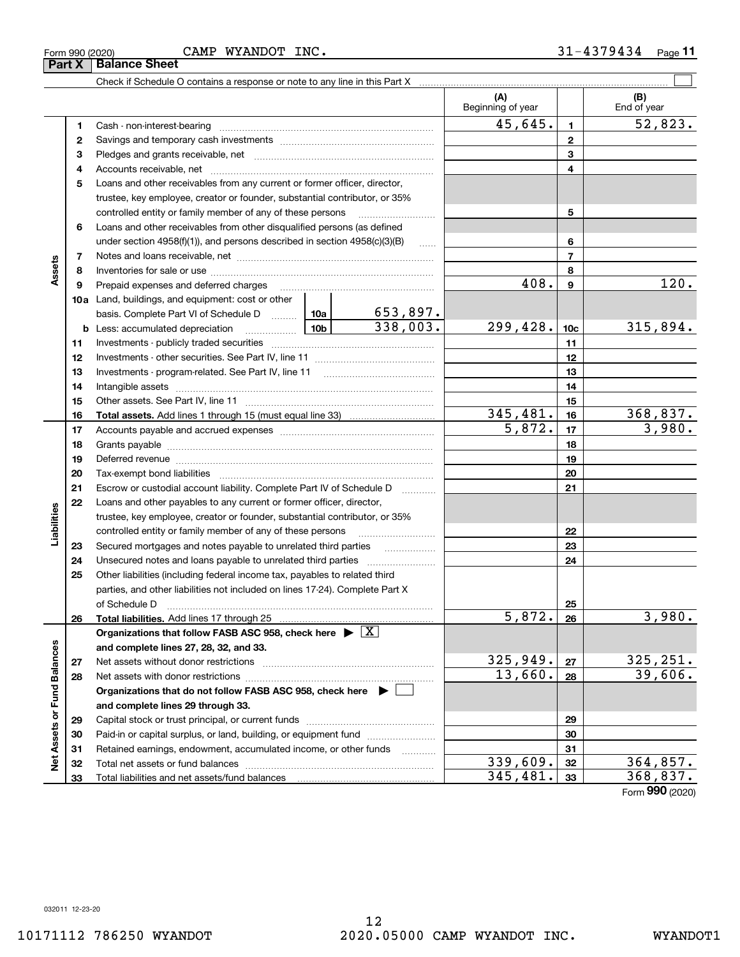L,

### Form 990 (2020) CAMP WYANDOT INC 3 $1\text{--}4379434 Page$ **Part X Balance Sheet**

| 45,645.<br>52,823.<br>1<br>1<br>$\mathbf{2}$<br>2<br>3<br>з<br>4<br>4<br>5<br>Loans and other receivables from any current or former officer, director,<br>trustee, key employee, creator or founder, substantial contributor, or 35%<br>5<br>controlled entity or family member of any of these persons<br>Loans and other receivables from other disqualified persons (as defined<br>6<br>under section $4958(f)(1)$ , and persons described in section $4958(c)(3)(B)$<br>6<br>$\overline{7}$<br>7<br>Assets<br>8<br>8<br>408.<br>9<br>9<br>Prepaid expenses and deferred charges<br>10a Land, buildings, and equipment: cost or other<br>653,897.<br>basis. Complete Part VI of Schedule D  10a<br>338,003.<br>299,428.<br>10 <sub>c</sub><br>b<br>11<br>11<br>12<br>12<br>13<br>13<br>14<br>14<br>15<br>15<br>345,481.<br>16<br>16<br>5,872.<br>3,980.<br>17<br>17<br>18<br>18<br>19<br>19<br>Deferred revenue manual contracts and contracts are contracted and contract and contract are contracted and contract are contracted and contract are contracted and contract are contracted and contract are contracted and co<br>20<br>20<br>21<br>Escrow or custodial account liability. Complete Part IV of Schedule D<br>21<br>1.1.1.1.1.1.1.1.1.1<br>Loans and other payables to any current or former officer, director,<br>22<br>Liabilities<br>trustee, key employee, creator or founder, substantial contributor, or 35%<br>controlled entity or family member of any of these persons<br>22<br>23<br>Secured mortgages and notes payable to unrelated third parties<br>23<br>24<br>24<br>25<br>Other liabilities (including federal income tax, payables to related third<br>parties, and other liabilities not included on lines 17-24). Complete Part X<br>25<br>of Schedule D<br>5,872.<br>3,980.<br>26<br>26<br>Organizations that follow FASB ASC 958, check here $\blacktriangleright \boxed{X}$<br>Net Assets or Fund Balances<br>and complete lines 27, 28, 32, and 33.<br>325,949.<br>325, 251.<br>27<br>Net assets without donor restrictions<br>27<br>39,606.<br>13,660.<br>28<br>28<br>Net assets with donor restrictions<br>Organizations that do not follow FASB ASC 958, check here $\blacktriangleright$<br>and complete lines 29 through 33.<br>29<br>29<br>Paid-in or capital surplus, or land, building, or equipment fund<br>30<br>30<br>Retained earnings, endowment, accumulated income, or other funds<br>31<br>31<br>339,609.<br>364,857.<br>32<br>32<br>Total net assets or fund balances<br>345,481.<br>368,837.<br>33<br>33 |  |  |  |  | (A)<br>Beginning of year | (B)<br>End of year |
|---------------------------------------------------------------------------------------------------------------------------------------------------------------------------------------------------------------------------------------------------------------------------------------------------------------------------------------------------------------------------------------------------------------------------------------------------------------------------------------------------------------------------------------------------------------------------------------------------------------------------------------------------------------------------------------------------------------------------------------------------------------------------------------------------------------------------------------------------------------------------------------------------------------------------------------------------------------------------------------------------------------------------------------------------------------------------------------------------------------------------------------------------------------------------------------------------------------------------------------------------------------------------------------------------------------------------------------------------------------------------------------------------------------------------------------------------------------------------------------------------------------------------------------------------------------------------------------------------------------------------------------------------------------------------------------------------------------------------------------------------------------------------------------------------------------------------------------------------------------------------------------------------------------------------------------------------------------------------------------------------------------------------------------------------------------------------------------------------------------------------------------------------------------------------------------------------------------------------------------------------------------------------------------------------------------------------------------------------------------------------------------------------------------------------------------------------------------------------------------------------------------------------------------------------------------------|--|--|--|--|--------------------------|--------------------|
|                                                                                                                                                                                                                                                                                                                                                                                                                                                                                                                                                                                                                                                                                                                                                                                                                                                                                                                                                                                                                                                                                                                                                                                                                                                                                                                                                                                                                                                                                                                                                                                                                                                                                                                                                                                                                                                                                                                                                                                                                                                                                                                                                                                                                                                                                                                                                                                                                                                                                                                                                                     |  |  |  |  |                          |                    |
|                                                                                                                                                                                                                                                                                                                                                                                                                                                                                                                                                                                                                                                                                                                                                                                                                                                                                                                                                                                                                                                                                                                                                                                                                                                                                                                                                                                                                                                                                                                                                                                                                                                                                                                                                                                                                                                                                                                                                                                                                                                                                                                                                                                                                                                                                                                                                                                                                                                                                                                                                                     |  |  |  |  |                          |                    |
|                                                                                                                                                                                                                                                                                                                                                                                                                                                                                                                                                                                                                                                                                                                                                                                                                                                                                                                                                                                                                                                                                                                                                                                                                                                                                                                                                                                                                                                                                                                                                                                                                                                                                                                                                                                                                                                                                                                                                                                                                                                                                                                                                                                                                                                                                                                                                                                                                                                                                                                                                                     |  |  |  |  |                          |                    |
|                                                                                                                                                                                                                                                                                                                                                                                                                                                                                                                                                                                                                                                                                                                                                                                                                                                                                                                                                                                                                                                                                                                                                                                                                                                                                                                                                                                                                                                                                                                                                                                                                                                                                                                                                                                                                                                                                                                                                                                                                                                                                                                                                                                                                                                                                                                                                                                                                                                                                                                                                                     |  |  |  |  |                          |                    |
|                                                                                                                                                                                                                                                                                                                                                                                                                                                                                                                                                                                                                                                                                                                                                                                                                                                                                                                                                                                                                                                                                                                                                                                                                                                                                                                                                                                                                                                                                                                                                                                                                                                                                                                                                                                                                                                                                                                                                                                                                                                                                                                                                                                                                                                                                                                                                                                                                                                                                                                                                                     |  |  |  |  |                          |                    |
|                                                                                                                                                                                                                                                                                                                                                                                                                                                                                                                                                                                                                                                                                                                                                                                                                                                                                                                                                                                                                                                                                                                                                                                                                                                                                                                                                                                                                                                                                                                                                                                                                                                                                                                                                                                                                                                                                                                                                                                                                                                                                                                                                                                                                                                                                                                                                                                                                                                                                                                                                                     |  |  |  |  |                          |                    |
|                                                                                                                                                                                                                                                                                                                                                                                                                                                                                                                                                                                                                                                                                                                                                                                                                                                                                                                                                                                                                                                                                                                                                                                                                                                                                                                                                                                                                                                                                                                                                                                                                                                                                                                                                                                                                                                                                                                                                                                                                                                                                                                                                                                                                                                                                                                                                                                                                                                                                                                                                                     |  |  |  |  |                          |                    |
|                                                                                                                                                                                                                                                                                                                                                                                                                                                                                                                                                                                                                                                                                                                                                                                                                                                                                                                                                                                                                                                                                                                                                                                                                                                                                                                                                                                                                                                                                                                                                                                                                                                                                                                                                                                                                                                                                                                                                                                                                                                                                                                                                                                                                                                                                                                                                                                                                                                                                                                                                                     |  |  |  |  |                          |                    |
|                                                                                                                                                                                                                                                                                                                                                                                                                                                                                                                                                                                                                                                                                                                                                                                                                                                                                                                                                                                                                                                                                                                                                                                                                                                                                                                                                                                                                                                                                                                                                                                                                                                                                                                                                                                                                                                                                                                                                                                                                                                                                                                                                                                                                                                                                                                                                                                                                                                                                                                                                                     |  |  |  |  |                          |                    |
|                                                                                                                                                                                                                                                                                                                                                                                                                                                                                                                                                                                                                                                                                                                                                                                                                                                                                                                                                                                                                                                                                                                                                                                                                                                                                                                                                                                                                                                                                                                                                                                                                                                                                                                                                                                                                                                                                                                                                                                                                                                                                                                                                                                                                                                                                                                                                                                                                                                                                                                                                                     |  |  |  |  |                          |                    |
|                                                                                                                                                                                                                                                                                                                                                                                                                                                                                                                                                                                                                                                                                                                                                                                                                                                                                                                                                                                                                                                                                                                                                                                                                                                                                                                                                                                                                                                                                                                                                                                                                                                                                                                                                                                                                                                                                                                                                                                                                                                                                                                                                                                                                                                                                                                                                                                                                                                                                                                                                                     |  |  |  |  |                          |                    |
|                                                                                                                                                                                                                                                                                                                                                                                                                                                                                                                                                                                                                                                                                                                                                                                                                                                                                                                                                                                                                                                                                                                                                                                                                                                                                                                                                                                                                                                                                                                                                                                                                                                                                                                                                                                                                                                                                                                                                                                                                                                                                                                                                                                                                                                                                                                                                                                                                                                                                                                                                                     |  |  |  |  |                          | 120.               |
|                                                                                                                                                                                                                                                                                                                                                                                                                                                                                                                                                                                                                                                                                                                                                                                                                                                                                                                                                                                                                                                                                                                                                                                                                                                                                                                                                                                                                                                                                                                                                                                                                                                                                                                                                                                                                                                                                                                                                                                                                                                                                                                                                                                                                                                                                                                                                                                                                                                                                                                                                                     |  |  |  |  |                          |                    |
|                                                                                                                                                                                                                                                                                                                                                                                                                                                                                                                                                                                                                                                                                                                                                                                                                                                                                                                                                                                                                                                                                                                                                                                                                                                                                                                                                                                                                                                                                                                                                                                                                                                                                                                                                                                                                                                                                                                                                                                                                                                                                                                                                                                                                                                                                                                                                                                                                                                                                                                                                                     |  |  |  |  |                          |                    |
|                                                                                                                                                                                                                                                                                                                                                                                                                                                                                                                                                                                                                                                                                                                                                                                                                                                                                                                                                                                                                                                                                                                                                                                                                                                                                                                                                                                                                                                                                                                                                                                                                                                                                                                                                                                                                                                                                                                                                                                                                                                                                                                                                                                                                                                                                                                                                                                                                                                                                                                                                                     |  |  |  |  |                          | 315,894.           |
|                                                                                                                                                                                                                                                                                                                                                                                                                                                                                                                                                                                                                                                                                                                                                                                                                                                                                                                                                                                                                                                                                                                                                                                                                                                                                                                                                                                                                                                                                                                                                                                                                                                                                                                                                                                                                                                                                                                                                                                                                                                                                                                                                                                                                                                                                                                                                                                                                                                                                                                                                                     |  |  |  |  |                          |                    |
|                                                                                                                                                                                                                                                                                                                                                                                                                                                                                                                                                                                                                                                                                                                                                                                                                                                                                                                                                                                                                                                                                                                                                                                                                                                                                                                                                                                                                                                                                                                                                                                                                                                                                                                                                                                                                                                                                                                                                                                                                                                                                                                                                                                                                                                                                                                                                                                                                                                                                                                                                                     |  |  |  |  |                          |                    |
|                                                                                                                                                                                                                                                                                                                                                                                                                                                                                                                                                                                                                                                                                                                                                                                                                                                                                                                                                                                                                                                                                                                                                                                                                                                                                                                                                                                                                                                                                                                                                                                                                                                                                                                                                                                                                                                                                                                                                                                                                                                                                                                                                                                                                                                                                                                                                                                                                                                                                                                                                                     |  |  |  |  |                          |                    |
|                                                                                                                                                                                                                                                                                                                                                                                                                                                                                                                                                                                                                                                                                                                                                                                                                                                                                                                                                                                                                                                                                                                                                                                                                                                                                                                                                                                                                                                                                                                                                                                                                                                                                                                                                                                                                                                                                                                                                                                                                                                                                                                                                                                                                                                                                                                                                                                                                                                                                                                                                                     |  |  |  |  |                          |                    |
|                                                                                                                                                                                                                                                                                                                                                                                                                                                                                                                                                                                                                                                                                                                                                                                                                                                                                                                                                                                                                                                                                                                                                                                                                                                                                                                                                                                                                                                                                                                                                                                                                                                                                                                                                                                                                                                                                                                                                                                                                                                                                                                                                                                                                                                                                                                                                                                                                                                                                                                                                                     |  |  |  |  |                          |                    |
|                                                                                                                                                                                                                                                                                                                                                                                                                                                                                                                                                                                                                                                                                                                                                                                                                                                                                                                                                                                                                                                                                                                                                                                                                                                                                                                                                                                                                                                                                                                                                                                                                                                                                                                                                                                                                                                                                                                                                                                                                                                                                                                                                                                                                                                                                                                                                                                                                                                                                                                                                                     |  |  |  |  |                          | 368,837.           |
|                                                                                                                                                                                                                                                                                                                                                                                                                                                                                                                                                                                                                                                                                                                                                                                                                                                                                                                                                                                                                                                                                                                                                                                                                                                                                                                                                                                                                                                                                                                                                                                                                                                                                                                                                                                                                                                                                                                                                                                                                                                                                                                                                                                                                                                                                                                                                                                                                                                                                                                                                                     |  |  |  |  |                          |                    |
|                                                                                                                                                                                                                                                                                                                                                                                                                                                                                                                                                                                                                                                                                                                                                                                                                                                                                                                                                                                                                                                                                                                                                                                                                                                                                                                                                                                                                                                                                                                                                                                                                                                                                                                                                                                                                                                                                                                                                                                                                                                                                                                                                                                                                                                                                                                                                                                                                                                                                                                                                                     |  |  |  |  |                          |                    |
|                                                                                                                                                                                                                                                                                                                                                                                                                                                                                                                                                                                                                                                                                                                                                                                                                                                                                                                                                                                                                                                                                                                                                                                                                                                                                                                                                                                                                                                                                                                                                                                                                                                                                                                                                                                                                                                                                                                                                                                                                                                                                                                                                                                                                                                                                                                                                                                                                                                                                                                                                                     |  |  |  |  |                          |                    |
|                                                                                                                                                                                                                                                                                                                                                                                                                                                                                                                                                                                                                                                                                                                                                                                                                                                                                                                                                                                                                                                                                                                                                                                                                                                                                                                                                                                                                                                                                                                                                                                                                                                                                                                                                                                                                                                                                                                                                                                                                                                                                                                                                                                                                                                                                                                                                                                                                                                                                                                                                                     |  |  |  |  |                          |                    |
|                                                                                                                                                                                                                                                                                                                                                                                                                                                                                                                                                                                                                                                                                                                                                                                                                                                                                                                                                                                                                                                                                                                                                                                                                                                                                                                                                                                                                                                                                                                                                                                                                                                                                                                                                                                                                                                                                                                                                                                                                                                                                                                                                                                                                                                                                                                                                                                                                                                                                                                                                                     |  |  |  |  |                          |                    |
|                                                                                                                                                                                                                                                                                                                                                                                                                                                                                                                                                                                                                                                                                                                                                                                                                                                                                                                                                                                                                                                                                                                                                                                                                                                                                                                                                                                                                                                                                                                                                                                                                                                                                                                                                                                                                                                                                                                                                                                                                                                                                                                                                                                                                                                                                                                                                                                                                                                                                                                                                                     |  |  |  |  |                          |                    |
|                                                                                                                                                                                                                                                                                                                                                                                                                                                                                                                                                                                                                                                                                                                                                                                                                                                                                                                                                                                                                                                                                                                                                                                                                                                                                                                                                                                                                                                                                                                                                                                                                                                                                                                                                                                                                                                                                                                                                                                                                                                                                                                                                                                                                                                                                                                                                                                                                                                                                                                                                                     |  |  |  |  |                          |                    |
|                                                                                                                                                                                                                                                                                                                                                                                                                                                                                                                                                                                                                                                                                                                                                                                                                                                                                                                                                                                                                                                                                                                                                                                                                                                                                                                                                                                                                                                                                                                                                                                                                                                                                                                                                                                                                                                                                                                                                                                                                                                                                                                                                                                                                                                                                                                                                                                                                                                                                                                                                                     |  |  |  |  |                          |                    |
|                                                                                                                                                                                                                                                                                                                                                                                                                                                                                                                                                                                                                                                                                                                                                                                                                                                                                                                                                                                                                                                                                                                                                                                                                                                                                                                                                                                                                                                                                                                                                                                                                                                                                                                                                                                                                                                                                                                                                                                                                                                                                                                                                                                                                                                                                                                                                                                                                                                                                                                                                                     |  |  |  |  |                          |                    |
|                                                                                                                                                                                                                                                                                                                                                                                                                                                                                                                                                                                                                                                                                                                                                                                                                                                                                                                                                                                                                                                                                                                                                                                                                                                                                                                                                                                                                                                                                                                                                                                                                                                                                                                                                                                                                                                                                                                                                                                                                                                                                                                                                                                                                                                                                                                                                                                                                                                                                                                                                                     |  |  |  |  |                          |                    |
|                                                                                                                                                                                                                                                                                                                                                                                                                                                                                                                                                                                                                                                                                                                                                                                                                                                                                                                                                                                                                                                                                                                                                                                                                                                                                                                                                                                                                                                                                                                                                                                                                                                                                                                                                                                                                                                                                                                                                                                                                                                                                                                                                                                                                                                                                                                                                                                                                                                                                                                                                                     |  |  |  |  |                          |                    |
|                                                                                                                                                                                                                                                                                                                                                                                                                                                                                                                                                                                                                                                                                                                                                                                                                                                                                                                                                                                                                                                                                                                                                                                                                                                                                                                                                                                                                                                                                                                                                                                                                                                                                                                                                                                                                                                                                                                                                                                                                                                                                                                                                                                                                                                                                                                                                                                                                                                                                                                                                                     |  |  |  |  |                          |                    |
|                                                                                                                                                                                                                                                                                                                                                                                                                                                                                                                                                                                                                                                                                                                                                                                                                                                                                                                                                                                                                                                                                                                                                                                                                                                                                                                                                                                                                                                                                                                                                                                                                                                                                                                                                                                                                                                                                                                                                                                                                                                                                                                                                                                                                                                                                                                                                                                                                                                                                                                                                                     |  |  |  |  |                          |                    |
|                                                                                                                                                                                                                                                                                                                                                                                                                                                                                                                                                                                                                                                                                                                                                                                                                                                                                                                                                                                                                                                                                                                                                                                                                                                                                                                                                                                                                                                                                                                                                                                                                                                                                                                                                                                                                                                                                                                                                                                                                                                                                                                                                                                                                                                                                                                                                                                                                                                                                                                                                                     |  |  |  |  |                          |                    |
|                                                                                                                                                                                                                                                                                                                                                                                                                                                                                                                                                                                                                                                                                                                                                                                                                                                                                                                                                                                                                                                                                                                                                                                                                                                                                                                                                                                                                                                                                                                                                                                                                                                                                                                                                                                                                                                                                                                                                                                                                                                                                                                                                                                                                                                                                                                                                                                                                                                                                                                                                                     |  |  |  |  |                          |                    |
|                                                                                                                                                                                                                                                                                                                                                                                                                                                                                                                                                                                                                                                                                                                                                                                                                                                                                                                                                                                                                                                                                                                                                                                                                                                                                                                                                                                                                                                                                                                                                                                                                                                                                                                                                                                                                                                                                                                                                                                                                                                                                                                                                                                                                                                                                                                                                                                                                                                                                                                                                                     |  |  |  |  |                          |                    |
|                                                                                                                                                                                                                                                                                                                                                                                                                                                                                                                                                                                                                                                                                                                                                                                                                                                                                                                                                                                                                                                                                                                                                                                                                                                                                                                                                                                                                                                                                                                                                                                                                                                                                                                                                                                                                                                                                                                                                                                                                                                                                                                                                                                                                                                                                                                                                                                                                                                                                                                                                                     |  |  |  |  |                          |                    |
|                                                                                                                                                                                                                                                                                                                                                                                                                                                                                                                                                                                                                                                                                                                                                                                                                                                                                                                                                                                                                                                                                                                                                                                                                                                                                                                                                                                                                                                                                                                                                                                                                                                                                                                                                                                                                                                                                                                                                                                                                                                                                                                                                                                                                                                                                                                                                                                                                                                                                                                                                                     |  |  |  |  |                          |                    |
|                                                                                                                                                                                                                                                                                                                                                                                                                                                                                                                                                                                                                                                                                                                                                                                                                                                                                                                                                                                                                                                                                                                                                                                                                                                                                                                                                                                                                                                                                                                                                                                                                                                                                                                                                                                                                                                                                                                                                                                                                                                                                                                                                                                                                                                                                                                                                                                                                                                                                                                                                                     |  |  |  |  |                          |                    |
|                                                                                                                                                                                                                                                                                                                                                                                                                                                                                                                                                                                                                                                                                                                                                                                                                                                                                                                                                                                                                                                                                                                                                                                                                                                                                                                                                                                                                                                                                                                                                                                                                                                                                                                                                                                                                                                                                                                                                                                                                                                                                                                                                                                                                                                                                                                                                                                                                                                                                                                                                                     |  |  |  |  |                          |                    |
|                                                                                                                                                                                                                                                                                                                                                                                                                                                                                                                                                                                                                                                                                                                                                                                                                                                                                                                                                                                                                                                                                                                                                                                                                                                                                                                                                                                                                                                                                                                                                                                                                                                                                                                                                                                                                                                                                                                                                                                                                                                                                                                                                                                                                                                                                                                                                                                                                                                                                                                                                                     |  |  |  |  |                          |                    |
|                                                                                                                                                                                                                                                                                                                                                                                                                                                                                                                                                                                                                                                                                                                                                                                                                                                                                                                                                                                                                                                                                                                                                                                                                                                                                                                                                                                                                                                                                                                                                                                                                                                                                                                                                                                                                                                                                                                                                                                                                                                                                                                                                                                                                                                                                                                                                                                                                                                                                                                                                                     |  |  |  |  |                          |                    |
|                                                                                                                                                                                                                                                                                                                                                                                                                                                                                                                                                                                                                                                                                                                                                                                                                                                                                                                                                                                                                                                                                                                                                                                                                                                                                                                                                                                                                                                                                                                                                                                                                                                                                                                                                                                                                                                                                                                                                                                                                                                                                                                                                                                                                                                                                                                                                                                                                                                                                                                                                                     |  |  |  |  |                          |                    |
|                                                                                                                                                                                                                                                                                                                                                                                                                                                                                                                                                                                                                                                                                                                                                                                                                                                                                                                                                                                                                                                                                                                                                                                                                                                                                                                                                                                                                                                                                                                                                                                                                                                                                                                                                                                                                                                                                                                                                                                                                                                                                                                                                                                                                                                                                                                                                                                                                                                                                                                                                                     |  |  |  |  |                          |                    |

Check if Schedule O contains a response or note to any line in this Part X

 $\mathcal{L}^{\text{max}}$ 

Form (2020) **990**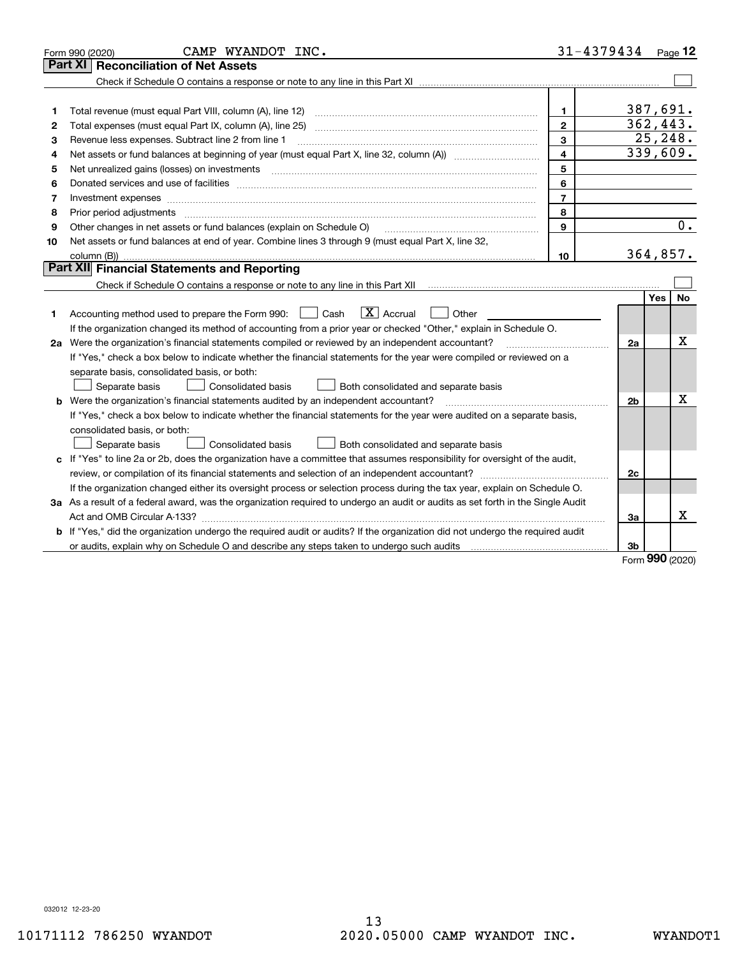|    | CAMP WYANDOT INC.<br>Form 990 (2020)                                                                                                                                                                                                                                                                                                                                                                                                                                       | $31 - 4379434$ Page 12  |                |            |                  |
|----|----------------------------------------------------------------------------------------------------------------------------------------------------------------------------------------------------------------------------------------------------------------------------------------------------------------------------------------------------------------------------------------------------------------------------------------------------------------------------|-------------------------|----------------|------------|------------------|
|    | <b>Reconciliation of Net Assets</b><br>Part XI                                                                                                                                                                                                                                                                                                                                                                                                                             |                         |                |            |                  |
|    |                                                                                                                                                                                                                                                                                                                                                                                                                                                                            |                         |                |            |                  |
|    |                                                                                                                                                                                                                                                                                                                                                                                                                                                                            |                         |                |            |                  |
| 1  | Total revenue (must equal Part VIII, column (A), line 12)                                                                                                                                                                                                                                                                                                                                                                                                                  | 1                       | 387,691.       |            |                  |
| 2  |                                                                                                                                                                                                                                                                                                                                                                                                                                                                            | $\overline{2}$          | 362, 443.      |            |                  |
| 3  | Revenue less expenses. Subtract line 2 from line 1                                                                                                                                                                                                                                                                                                                                                                                                                         | 3                       |                |            | 25, 248.         |
| 4  |                                                                                                                                                                                                                                                                                                                                                                                                                                                                            | $\overline{\mathbf{4}}$ | 339,609.       |            |                  |
| 5  | Net unrealized gains (losses) on investments<br>$\overline{a_1, \ldots, a_n, \ldots, a_n, \ldots, a_n, \ldots, a_n, \ldots, a_n, \ldots, a_n, \ldots, a_n, \ldots, a_n, \ldots, a_n, \ldots, a_n, \ldots, a_n, \ldots, a_n, \ldots, a_n, \ldots, a_n, \ldots, a_n, \ldots, a_n, \ldots, a_n, \ldots, a_n, \ldots, a_n, \ldots, a_n, \ldots, a_n, \ldots, a_n, \ldots, a_n, \ldots, a_n, \ldots, a_n, \ldots, a_n, \ldots, a_n, \ldots, a_n, \ldots, a_n, \ldots, a_n, \ld$ | 5                       |                |            |                  |
| 6  |                                                                                                                                                                                                                                                                                                                                                                                                                                                                            | 6                       |                |            |                  |
| 7  |                                                                                                                                                                                                                                                                                                                                                                                                                                                                            | $\overline{7}$          |                |            |                  |
| 8  | Prior period adjustments                                                                                                                                                                                                                                                                                                                                                                                                                                                   | 8                       |                |            |                  |
| 9  | Other changes in net assets or fund balances (explain on Schedule O)                                                                                                                                                                                                                                                                                                                                                                                                       | 9                       |                |            | $\overline{0}$ . |
| 10 | Net assets or fund balances at end of year. Combine lines 3 through 9 (must equal Part X, line 32,                                                                                                                                                                                                                                                                                                                                                                         |                         |                |            |                  |
|    |                                                                                                                                                                                                                                                                                                                                                                                                                                                                            | 10                      | 364,857.       |            |                  |
|    | Part XII Financial Statements and Reporting                                                                                                                                                                                                                                                                                                                                                                                                                                |                         |                |            |                  |
|    | Check if Schedule O contains a response or note to any line in this Part XII [11] [11] [11] [11] [11] [11] [11                                                                                                                                                                                                                                                                                                                                                             |                         |                |            |                  |
|    |                                                                                                                                                                                                                                                                                                                                                                                                                                                                            |                         |                | <b>Yes</b> | <b>No</b>        |
| 1  | $\boxed{\mathbf{X}}$ Accrual<br>Accounting method used to prepare the Form 990: <u>I</u> Cash<br>Other                                                                                                                                                                                                                                                                                                                                                                     |                         |                |            |                  |
|    | If the organization changed its method of accounting from a prior year or checked "Other," explain in Schedule O.                                                                                                                                                                                                                                                                                                                                                          |                         |                |            |                  |
|    | 2a Were the organization's financial statements compiled or reviewed by an independent accountant?                                                                                                                                                                                                                                                                                                                                                                         |                         | 2a             |            | x                |
|    | If "Yes," check a box below to indicate whether the financial statements for the year were compiled or reviewed on a                                                                                                                                                                                                                                                                                                                                                       |                         |                |            |                  |
|    | separate basis, consolidated basis, or both:                                                                                                                                                                                                                                                                                                                                                                                                                               |                         |                |            |                  |
|    | Separate basis<br>Both consolidated and separate basis<br><b>Consolidated basis</b>                                                                                                                                                                                                                                                                                                                                                                                        |                         |                |            |                  |
|    | <b>b</b> Were the organization's financial statements audited by an independent accountant?                                                                                                                                                                                                                                                                                                                                                                                |                         | 2 <sub>b</sub> |            | X                |
|    | If "Yes," check a box below to indicate whether the financial statements for the year were audited on a separate basis,                                                                                                                                                                                                                                                                                                                                                    |                         |                |            |                  |
|    | consolidated basis, or both:                                                                                                                                                                                                                                                                                                                                                                                                                                               |                         |                |            |                  |
|    | Separate basis<br>Consolidated basis<br>Both consolidated and separate basis                                                                                                                                                                                                                                                                                                                                                                                               |                         |                |            |                  |
|    | c If "Yes" to line 2a or 2b, does the organization have a committee that assumes responsibility for oversight of the audit,                                                                                                                                                                                                                                                                                                                                                |                         |                |            |                  |
|    |                                                                                                                                                                                                                                                                                                                                                                                                                                                                            |                         | 2c             |            |                  |
|    | If the organization changed either its oversight process or selection process during the tax year, explain on Schedule O.                                                                                                                                                                                                                                                                                                                                                  |                         |                |            |                  |
|    | 3a As a result of a federal award, was the organization required to undergo an audit or audits as set forth in the Single Audit                                                                                                                                                                                                                                                                                                                                            |                         |                |            |                  |
|    |                                                                                                                                                                                                                                                                                                                                                                                                                                                                            |                         | За             |            | x                |
|    | b If "Yes," did the organization undergo the required audit or audits? If the organization did not undergo the required audit                                                                                                                                                                                                                                                                                                                                              |                         |                |            |                  |
|    | or audits, explain why on Schedule O and describe any steps taken to undergo such audits manufactured university                                                                                                                                                                                                                                                                                                                                                           |                         | 3b             |            |                  |

Form (2020) **990**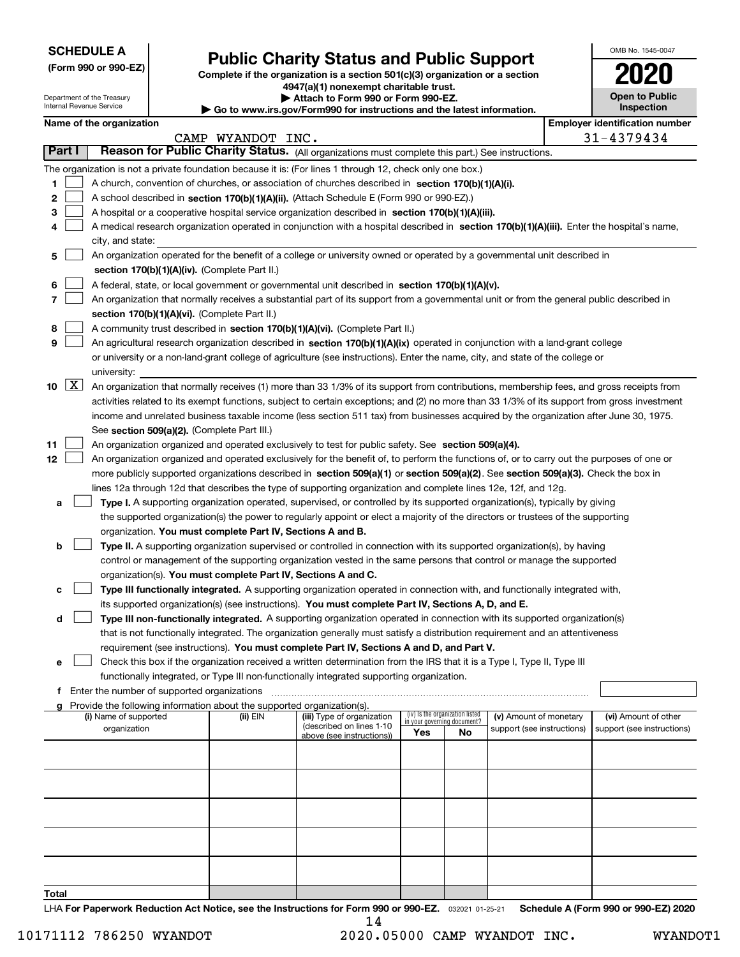| <b>SCHEDULE A</b> |
|-------------------|
|-------------------|

Department of the Treasury Internal Revenue Service

**(Form 990 or 990-EZ)**

# **Public Charity Status and Public Support**

**Complete if the organization is a section 501(c)(3) organization or a section 4947(a)(1) nonexempt charitable trust. | Attach to Form 990 or Form 990-EZ.** 

| Go to www.irs.gov/Form990 for instructions and the latest information |
|-----------------------------------------------------------------------|
|-----------------------------------------------------------------------|

| OMB No. 1545-0047                   |
|-------------------------------------|
| 11211                               |
| <b>Open to Public</b><br>Inspection |

|  | Name of the organization |
|--|--------------------------|
|--|--------------------------|

| Name of the organization                                                                                                                                              |                                                                                                  |                                                       |                             |                                 |                            |  | <b>Employer identification number</b> |  |  |  |  |  |
|-----------------------------------------------------------------------------------------------------------------------------------------------------------------------|--------------------------------------------------------------------------------------------------|-------------------------------------------------------|-----------------------------|---------------------------------|----------------------------|--|---------------------------------------|--|--|--|--|--|
|                                                                                                                                                                       | CAMP WYANDOT INC.                                                                                |                                                       |                             |                                 |                            |  | 31-4379434                            |  |  |  |  |  |
| Part I<br>Reason for Public Charity Status. (All organizations must complete this part.) See instructions.                                                            |                                                                                                  |                                                       |                             |                                 |                            |  |                                       |  |  |  |  |  |
| The organization is not a private foundation because it is: (For lines 1 through 12, check only one box.)                                                             |                                                                                                  |                                                       |                             |                                 |                            |  |                                       |  |  |  |  |  |
| 1<br>A church, convention of churches, or association of churches described in section 170(b)(1)(A)(i).                                                               |                                                                                                  |                                                       |                             |                                 |                            |  |                                       |  |  |  |  |  |
| 2                                                                                                                                                                     | A school described in section 170(b)(1)(A)(ii). (Attach Schedule E (Form 990 or 990-EZ).)        |                                                       |                             |                                 |                            |  |                                       |  |  |  |  |  |
| 3<br>A hospital or a cooperative hospital service organization described in section 170(b)(1)(A)(iii).                                                                |                                                                                                  |                                                       |                             |                                 |                            |  |                                       |  |  |  |  |  |
| A medical research organization operated in conjunction with a hospital described in section 170(b)(1)(A)(iii). Enter the hospital's name,                            |                                                                                                  |                                                       |                             |                                 |                            |  |                                       |  |  |  |  |  |
| city, and state:                                                                                                                                                      |                                                                                                  |                                                       |                             |                                 |                            |  |                                       |  |  |  |  |  |
| An organization operated for the benefit of a college or university owned or operated by a governmental unit described in<br>5                                        |                                                                                                  |                                                       |                             |                                 |                            |  |                                       |  |  |  |  |  |
|                                                                                                                                                                       | section 170(b)(1)(A)(iv). (Complete Part II.)                                                    |                                                       |                             |                                 |                            |  |                                       |  |  |  |  |  |
| 6                                                                                                                                                                     | A federal, state, or local government or governmental unit described in section 170(b)(1)(A)(v). |                                                       |                             |                                 |                            |  |                                       |  |  |  |  |  |
| 7                                                                                                                                                                     |                                                                                                  |                                                       |                             |                                 |                            |  |                                       |  |  |  |  |  |
| An organization that normally receives a substantial part of its support from a governmental unit or from the general public described in                             |                                                                                                  |                                                       |                             |                                 |                            |  |                                       |  |  |  |  |  |
| section 170(b)(1)(A)(vi). (Complete Part II.)                                                                                                                         |                                                                                                  |                                                       |                             |                                 |                            |  |                                       |  |  |  |  |  |
| A community trust described in section 170(b)(1)(A)(vi). (Complete Part II.)<br>8                                                                                     |                                                                                                  |                                                       |                             |                                 |                            |  |                                       |  |  |  |  |  |
| 9<br>An agricultural research organization described in section 170(b)(1)(A)(ix) operated in conjunction with a land-grant college                                    |                                                                                                  |                                                       |                             |                                 |                            |  |                                       |  |  |  |  |  |
| or university or a non-land-grant college of agriculture (see instructions). Enter the name, city, and state of the college or                                        |                                                                                                  |                                                       |                             |                                 |                            |  |                                       |  |  |  |  |  |
| university:                                                                                                                                                           |                                                                                                  |                                                       |                             |                                 |                            |  |                                       |  |  |  |  |  |
| $\lfloor x \rfloor$<br>10<br>An organization that normally receives (1) more than 33 1/3% of its support from contributions, membership fees, and gross receipts from |                                                                                                  |                                                       |                             |                                 |                            |  |                                       |  |  |  |  |  |
| activities related to its exempt functions, subject to certain exceptions; and (2) no more than 33 1/3% of its support from gross investment                          |                                                                                                  |                                                       |                             |                                 |                            |  |                                       |  |  |  |  |  |
| income and unrelated business taxable income (less section 511 tax) from businesses acquired by the organization after June 30, 1975.                                 |                                                                                                  |                                                       |                             |                                 |                            |  |                                       |  |  |  |  |  |
| See section 509(a)(2). (Complete Part III.)                                                                                                                           |                                                                                                  |                                                       |                             |                                 |                            |  |                                       |  |  |  |  |  |
| 11<br>An organization organized and operated exclusively to test for public safety. See section 509(a)(4).                                                            |                                                                                                  |                                                       |                             |                                 |                            |  |                                       |  |  |  |  |  |
| 12<br>An organization organized and operated exclusively for the benefit of, to perform the functions of, or to carry out the purposes of one or                      |                                                                                                  |                                                       |                             |                                 |                            |  |                                       |  |  |  |  |  |
| more publicly supported organizations described in section 509(a)(1) or section 509(a)(2). See section 509(a)(3). Check the box in                                    |                                                                                                  |                                                       |                             |                                 |                            |  |                                       |  |  |  |  |  |
| lines 12a through 12d that describes the type of supporting organization and complete lines 12e, 12f, and 12g.                                                        |                                                                                                  |                                                       |                             |                                 |                            |  |                                       |  |  |  |  |  |
| Type I. A supporting organization operated, supervised, or controlled by its supported organization(s), typically by giving<br>а                                      |                                                                                                  |                                                       |                             |                                 |                            |  |                                       |  |  |  |  |  |
| the supported organization(s) the power to regularly appoint or elect a majority of the directors or trustees of the supporting                                       |                                                                                                  |                                                       |                             |                                 |                            |  |                                       |  |  |  |  |  |
| organization. You must complete Part IV, Sections A and B.                                                                                                            |                                                                                                  |                                                       |                             |                                 |                            |  |                                       |  |  |  |  |  |
| Type II. A supporting organization supervised or controlled in connection with its supported organization(s), by having<br>b                                          |                                                                                                  |                                                       |                             |                                 |                            |  |                                       |  |  |  |  |  |
| control or management of the supporting organization vested in the same persons that control or manage the supported                                                  |                                                                                                  |                                                       |                             |                                 |                            |  |                                       |  |  |  |  |  |
| organization(s). You must complete Part IV, Sections A and C.                                                                                                         |                                                                                                  |                                                       |                             |                                 |                            |  |                                       |  |  |  |  |  |
| Type III functionally integrated. A supporting organization operated in connection with, and functionally integrated with,<br>с                                       |                                                                                                  |                                                       |                             |                                 |                            |  |                                       |  |  |  |  |  |
| its supported organization(s) (see instructions). You must complete Part IV, Sections A, D, and E.                                                                    |                                                                                                  |                                                       |                             |                                 |                            |  |                                       |  |  |  |  |  |
| Type III non-functionally integrated. A supporting organization operated in connection with its supported organization(s)<br>d                                        |                                                                                                  |                                                       |                             |                                 |                            |  |                                       |  |  |  |  |  |
| that is not functionally integrated. The organization generally must satisfy a distribution requirement and an attentiveness                                          |                                                                                                  |                                                       |                             |                                 |                            |  |                                       |  |  |  |  |  |
| requirement (see instructions). You must complete Part IV, Sections A and D, and Part V.                                                                              |                                                                                                  |                                                       |                             |                                 |                            |  |                                       |  |  |  |  |  |
| Check this box if the organization received a written determination from the IRS that it is a Type I, Type II, Type III                                               |                                                                                                  |                                                       |                             |                                 |                            |  |                                       |  |  |  |  |  |
| functionally integrated, or Type III non-functionally integrated supporting organization.                                                                             |                                                                                                  |                                                       |                             |                                 |                            |  |                                       |  |  |  |  |  |
| f Enter the number of supported organizations                                                                                                                         |                                                                                                  |                                                       |                             |                                 |                            |  |                                       |  |  |  |  |  |
| g Provide the following information about the supported organization(s).                                                                                              |                                                                                                  |                                                       |                             |                                 |                            |  |                                       |  |  |  |  |  |
| (i) Name of supported                                                                                                                                                 | (ii) EIN                                                                                         | (iii) Type of organization                            | in your governing document? | (iv) Is the organization listed | (v) Amount of monetary     |  | (vi) Amount of other                  |  |  |  |  |  |
| organization                                                                                                                                                          |                                                                                                  | (described on lines 1-10<br>above (see instructions)) | Yes                         | No                              | support (see instructions) |  | support (see instructions)            |  |  |  |  |  |
|                                                                                                                                                                       |                                                                                                  |                                                       |                             |                                 |                            |  |                                       |  |  |  |  |  |
|                                                                                                                                                                       |                                                                                                  |                                                       |                             |                                 |                            |  |                                       |  |  |  |  |  |
|                                                                                                                                                                       |                                                                                                  |                                                       |                             |                                 |                            |  |                                       |  |  |  |  |  |
|                                                                                                                                                                       |                                                                                                  |                                                       |                             |                                 |                            |  |                                       |  |  |  |  |  |
|                                                                                                                                                                       |                                                                                                  |                                                       |                             |                                 |                            |  |                                       |  |  |  |  |  |
|                                                                                                                                                                       |                                                                                                  |                                                       |                             |                                 |                            |  |                                       |  |  |  |  |  |
|                                                                                                                                                                       |                                                                                                  |                                                       |                             |                                 |                            |  |                                       |  |  |  |  |  |
|                                                                                                                                                                       |                                                                                                  |                                                       |                             |                                 |                            |  |                                       |  |  |  |  |  |
|                                                                                                                                                                       |                                                                                                  |                                                       |                             |                                 |                            |  |                                       |  |  |  |  |  |
|                                                                                                                                                                       |                                                                                                  |                                                       |                             |                                 |                            |  |                                       |  |  |  |  |  |
|                                                                                                                                                                       |                                                                                                  |                                                       |                             |                                 |                            |  |                                       |  |  |  |  |  |
| Total                                                                                                                                                                 |                                                                                                  |                                                       |                             |                                 |                            |  |                                       |  |  |  |  |  |

LHA For Paperwork Reduction Act Notice, see the Instructions for Form 990 or 990-EZ. <sub>032021</sub> o1-25-21 Schedule A (Form 990 or 990-EZ) 2020 14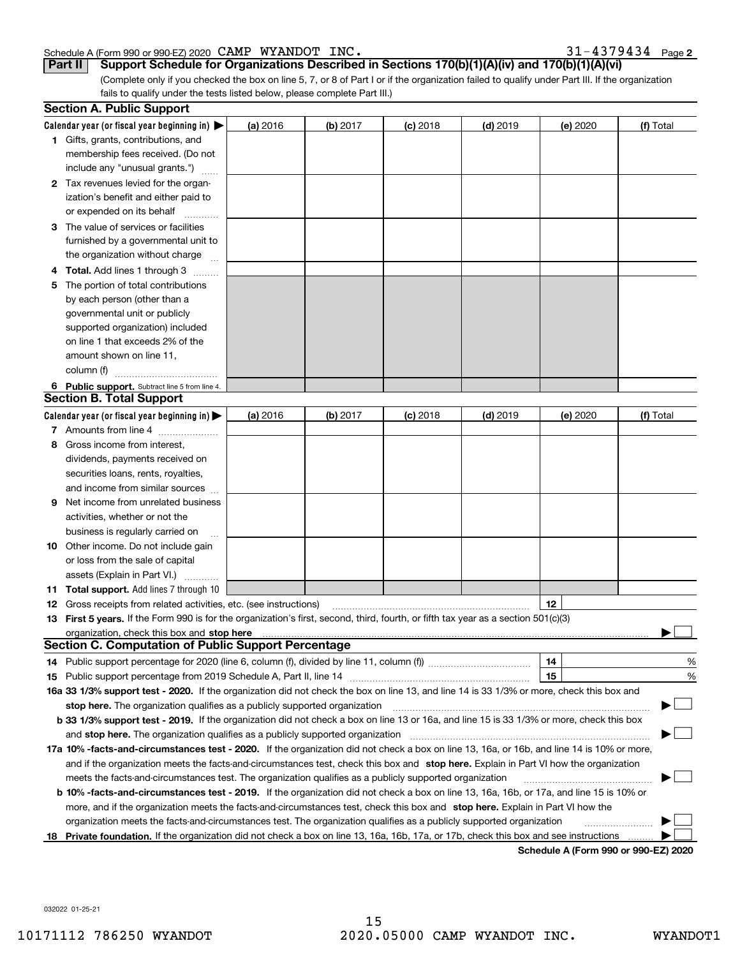#### Schedule A (Form 990 or 990-EZ) 2020 Page CAMP WYANDOT INC. 31-4379434

|  |  |  |  |  |  | 31-4379434 Page 2 |  |
|--|--|--|--|--|--|-------------------|--|
|--|--|--|--|--|--|-------------------|--|

**Part II Support Schedule for Organizations Described in Sections 170(b)(1)(A)(iv) and 170(b)(1)(A)(vi)**

(Complete only if you checked the box on line 5, 7, or 8 of Part I or if the organization failed to qualify under Part III. If the organization fails to qualify under the tests listed below, please complete Part III.)

|    | <b>Section A. Public Support</b>                                                                                                                                                                                               |          |          |            |            |          |                                      |
|----|--------------------------------------------------------------------------------------------------------------------------------------------------------------------------------------------------------------------------------|----------|----------|------------|------------|----------|--------------------------------------|
|    | Calendar year (or fiscal year beginning in) $\blacktriangleright$                                                                                                                                                              | (a) 2016 | (b) 2017 | $(c)$ 2018 | $(d)$ 2019 | (e) 2020 | (f) Total                            |
|    | <b>1</b> Gifts, grants, contributions, and                                                                                                                                                                                     |          |          |            |            |          |                                      |
|    | membership fees received. (Do not                                                                                                                                                                                              |          |          |            |            |          |                                      |
|    | include any "unusual grants.")                                                                                                                                                                                                 |          |          |            |            |          |                                      |
|    | 2 Tax revenues levied for the organ-                                                                                                                                                                                           |          |          |            |            |          |                                      |
|    | ization's benefit and either paid to                                                                                                                                                                                           |          |          |            |            |          |                                      |
|    | or expended on its behalf                                                                                                                                                                                                      |          |          |            |            |          |                                      |
|    | 3 The value of services or facilities                                                                                                                                                                                          |          |          |            |            |          |                                      |
|    | furnished by a governmental unit to                                                                                                                                                                                            |          |          |            |            |          |                                      |
|    | the organization without charge                                                                                                                                                                                                |          |          |            |            |          |                                      |
|    | 4 Total. Add lines 1 through 3                                                                                                                                                                                                 |          |          |            |            |          |                                      |
| 5. | The portion of total contributions                                                                                                                                                                                             |          |          |            |            |          |                                      |
|    | by each person (other than a                                                                                                                                                                                                   |          |          |            |            |          |                                      |
|    | governmental unit or publicly                                                                                                                                                                                                  |          |          |            |            |          |                                      |
|    | supported organization) included                                                                                                                                                                                               |          |          |            |            |          |                                      |
|    | on line 1 that exceeds 2% of the                                                                                                                                                                                               |          |          |            |            |          |                                      |
|    | amount shown on line 11,                                                                                                                                                                                                       |          |          |            |            |          |                                      |
|    | column (f)                                                                                                                                                                                                                     |          |          |            |            |          |                                      |
|    | 6 Public support. Subtract line 5 from line 4.                                                                                                                                                                                 |          |          |            |            |          |                                      |
|    | <b>Section B. Total Support</b>                                                                                                                                                                                                |          |          |            |            |          |                                      |
|    | Calendar year (or fiscal year beginning in)                                                                                                                                                                                    | (a) 2016 | (b) 2017 | $(c)$ 2018 | $(d)$ 2019 | (e) 2020 | (f) Total                            |
|    | 7 Amounts from line 4                                                                                                                                                                                                          |          |          |            |            |          |                                      |
|    | 8 Gross income from interest,                                                                                                                                                                                                  |          |          |            |            |          |                                      |
|    | dividends, payments received on                                                                                                                                                                                                |          |          |            |            |          |                                      |
|    | securities loans, rents, royalties,                                                                                                                                                                                            |          |          |            |            |          |                                      |
|    | and income from similar sources                                                                                                                                                                                                |          |          |            |            |          |                                      |
| 9  | Net income from unrelated business                                                                                                                                                                                             |          |          |            |            |          |                                      |
|    | activities, whether or not the                                                                                                                                                                                                 |          |          |            |            |          |                                      |
|    | business is regularly carried on                                                                                                                                                                                               |          |          |            |            |          |                                      |
|    | <b>10</b> Other income. Do not include gain                                                                                                                                                                                    |          |          |            |            |          |                                      |
|    | or loss from the sale of capital                                                                                                                                                                                               |          |          |            |            |          |                                      |
|    | assets (Explain in Part VI.)                                                                                                                                                                                                   |          |          |            |            |          |                                      |
|    | <b>11 Total support.</b> Add lines 7 through 10                                                                                                                                                                                |          |          |            |            |          |                                      |
|    | <b>12</b> Gross receipts from related activities, etc. (see instructions)                                                                                                                                                      |          |          |            |            | 12       |                                      |
|    | 13 First 5 years. If the Form 990 is for the organization's first, second, third, fourth, or fifth tax year as a section 501(c)(3)                                                                                             |          |          |            |            |          |                                      |
|    | organization, check this box and stop here contain and the container and the container and the container and stop here contained and stop here are all the container and stop here are all the container and stop here are all |          |          |            |            |          |                                      |
|    | <b>Section C. Computation of Public Support Percentage</b>                                                                                                                                                                     |          |          |            |            |          |                                      |
|    | 14 Public support percentage for 2020 (line 6, column (f), divided by line 11, column (f) <i>mummumumum</i>                                                                                                                    |          |          |            |            | 14       | %                                    |
|    |                                                                                                                                                                                                                                |          |          |            |            | 15       | %                                    |
|    | 16a 33 1/3% support test - 2020. If the organization did not check the box on line 13, and line 14 is 33 1/3% or more, check this box and                                                                                      |          |          |            |            |          |                                      |
|    | stop here. The organization qualifies as a publicly supported organization                                                                                                                                                     |          |          |            |            |          | $\sim$                               |
|    | b 33 1/3% support test - 2019. If the organization did not check a box on line 13 or 16a, and line 15 is 33 1/3% or more, check this box                                                                                       |          |          |            |            |          |                                      |
|    | and stop here. The organization qualifies as a publicly supported organization                                                                                                                                                 |          |          |            |            |          |                                      |
|    | 17a 10% -facts-and-circumstances test - 2020. If the organization did not check a box on line 13, 16a, or 16b, and line 14 is 10% or more,                                                                                     |          |          |            |            |          |                                      |
|    | and if the organization meets the facts and circumstances test, check this box and stop here. Explain in Part VI how the organization                                                                                          |          |          |            |            |          |                                      |
|    | meets the facts-and-circumstances test. The organization qualifies as a publicly supported organization                                                                                                                        |          |          |            |            |          |                                      |
|    | <b>b 10% -facts-and-circumstances test - 2019.</b> If the organization did not check a box on line 13, 16a, 16b, or 17a, and line 15 is 10% or                                                                                 |          |          |            |            |          |                                      |
|    | more, and if the organization meets the facts-and-circumstances test, check this box and stop here. Explain in Part VI how the                                                                                                 |          |          |            |            |          |                                      |
|    | organization meets the facts-and-circumstances test. The organization qualifies as a publicly supported organization                                                                                                           |          |          |            |            |          |                                      |
| 18 | Private foundation. If the organization did not check a box on line 13, 16a, 16b, 17a, or 17b, check this box and see instructions                                                                                             |          |          |            |            |          |                                      |
|    |                                                                                                                                                                                                                                |          |          |            |            |          | Schodule A (Form 000 or 000 F7) 2020 |

**Schedule A (Form 990 or 990-EZ) 2020**

032022 01-25-21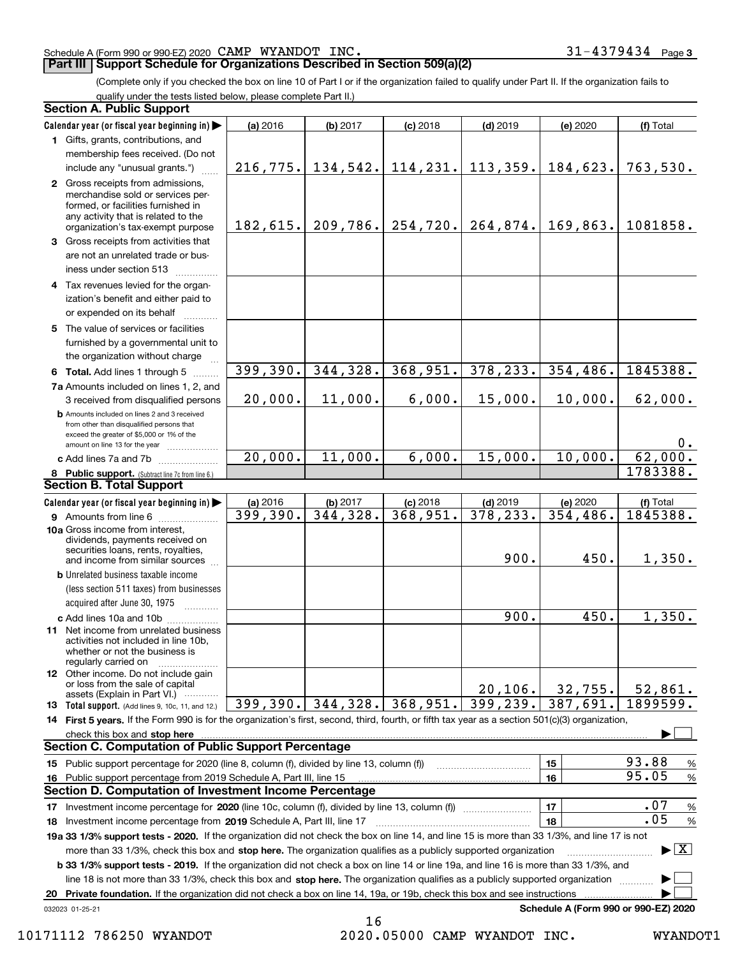#### Schedule A (Form 990 or 990-EZ) 2020 Page CAMP WYANDOT INC. 31-4379434

## **Part III Support Schedule for Organizations Described in Section 509(a)(2)**

(Complete only if you checked the box on line 10 of Part I or if the organization failed to qualify under Part II. If the organization fails to qualify under the tests listed below, please complete Part II.)

| <b>Section A. Public Support</b>                                                                                                                                                         |          |           |            |            |                                      |                                          |  |
|------------------------------------------------------------------------------------------------------------------------------------------------------------------------------------------|----------|-----------|------------|------------|--------------------------------------|------------------------------------------|--|
| Calendar year (or fiscal year beginning in)                                                                                                                                              | (a) 2016 | (b) 2017  | $(c)$ 2018 | $(d)$ 2019 | (e) 2020                             | (f) Total                                |  |
| 1 Gifts, grants, contributions, and                                                                                                                                                      |          |           |            |            |                                      |                                          |  |
| membership fees received. (Do not                                                                                                                                                        |          |           |            |            |                                      |                                          |  |
| include any "unusual grants.")                                                                                                                                                           | 216,775. | 134,542.  | 114, 231.  | 113, 359.  | 184,623.                             | 763,530.                                 |  |
| 2 Gross receipts from admissions,<br>merchandise sold or services per-<br>formed, or facilities furnished in<br>any activity that is related to the<br>organization's tax-exempt purpose | 182,615. | 209,786.  | 254,720.   | 264,874.   | 169,863.                             | 1081858.                                 |  |
| 3 Gross receipts from activities that<br>are not an unrelated trade or bus-<br>iness under section 513                                                                                   |          |           |            |            |                                      |                                          |  |
| 4 Tax revenues levied for the organ-<br>ization's benefit and either paid to<br>or expended on its behalf                                                                                |          |           |            |            |                                      |                                          |  |
| 5 The value of services or facilities<br>furnished by a governmental unit to<br>the organization without charge                                                                          |          |           |            |            |                                      |                                          |  |
| 6 Total. Add lines 1 through 5                                                                                                                                                           | 399,390. | 344, 328. | 368,951.   | 378, 233.  | 354, 486.                            | 1845388.                                 |  |
| 7a Amounts included on lines 1, 2, and                                                                                                                                                   |          |           |            |            |                                      |                                          |  |
| 3 received from disqualified persons                                                                                                                                                     | 20,000.  | 11,000.   | 6,000.     | 15,000.    | 10,000.                              | 62,000.                                  |  |
| <b>b</b> Amounts included on lines 2 and 3 received<br>from other than disqualified persons that<br>exceed the greater of \$5,000 or 1% of the<br>amount on line 13 for the year         |          |           |            |            |                                      | $0$ .                                    |  |
| c Add lines 7a and 7b                                                                                                                                                                    | 20,000.  | 11,000.   | 6,000.     | 15,000.    | 10,000.                              | 62,000.                                  |  |
| 8 Public support. (Subtract line 7c from line 6.)                                                                                                                                        |          |           |            |            |                                      | 1783388.                                 |  |
| <b>Section B. Total Support</b>                                                                                                                                                          |          |           |            |            |                                      |                                          |  |
| Calendar year (or fiscal year beginning in)                                                                                                                                              | (a) 2016 | (b) 2017  | $(c)$ 2018 | $(d)$ 2019 | (e) 2020                             | (f) Total                                |  |
| 9 Amounts from line 6                                                                                                                                                                    | 399,390. | 344, 328. | 368,951.   | 378, 233.  | 354, 486.                            | 1845388.                                 |  |
| 10a Gross income from interest,<br>dividends, payments received on<br>securities loans, rents, royalties,<br>and income from similar sources                                             |          |           |            | 900.       | 450.                                 | 1,350.                                   |  |
| <b>b</b> Unrelated business taxable income                                                                                                                                               |          |           |            |            |                                      |                                          |  |
| (less section 511 taxes) from businesses<br>acquired after June 30, 1975                                                                                                                 |          |           |            |            |                                      |                                          |  |
| c Add lines 10a and 10b                                                                                                                                                                  |          |           |            | 900.       | 450.                                 | 1,350.                                   |  |
| 11 Net income from unrelated business<br>activities not included in line 10b,<br>whether or not the business is<br>regularly carried on                                                  |          |           |            |            |                                      |                                          |  |
| <b>12</b> Other income. Do not include gain<br>or loss from the sale of capital                                                                                                          |          |           |            | 20, 106.   | 32,755.                              | 52,861.                                  |  |
| assets (Explain in Part VI.)<br><b>13</b> Total support. (Add lines 9, 10c, 11, and 12.)                                                                                                 | 399,390. | 344,328.  | 368,951.   | 399,239.   | 387,691.                             | 1899599.                                 |  |
| 14 First 5 years. If the Form 990 is for the organization's first, second, third, fourth, or fifth tax year as a section 501(c)(3) organization,                                         |          |           |            |            |                                      |                                          |  |
| check this box and stop here                                                                                                                                                             |          |           |            |            |                                      |                                          |  |
| <b>Section C. Computation of Public Support Percentage</b>                                                                                                                               |          |           |            |            |                                      |                                          |  |
| 15 Public support percentage for 2020 (line 8, column (f), divided by line 13, column (f))                                                                                               |          |           |            |            | 15                                   | 93.88<br>$\%$                            |  |
| 16 Public support percentage from 2019 Schedule A, Part III, line 15                                                                                                                     |          |           |            |            | 16                                   | 95.05<br>$\%$                            |  |
| Section D. Computation of Investment Income Percentage                                                                                                                                   |          |           |            |            |                                      |                                          |  |
| .07<br>17<br>17 Investment income percentage for 2020 (line 10c, column (f), divided by line 13, column (f))<br>$\%$                                                                     |          |           |            |            |                                      |                                          |  |
| 18 Investment income percentage from 2019 Schedule A, Part III, line 17                                                                                                                  |          |           |            |            | 18                                   | .05<br>$\%$                              |  |
| 19a 33 1/3% support tests - 2020. If the organization did not check the box on line 14, and line 15 is more than 33 1/3%, and line 17 is not                                             |          |           |            |            |                                      |                                          |  |
| more than 33 1/3%, check this box and stop here. The organization qualifies as a publicly supported organization                                                                         |          |           |            |            |                                      | $\blacktriangleright$ $\boxed{\text{X}}$ |  |
| b 33 1/3% support tests - 2019. If the organization did not check a box on line 14 or line 19a, and line 16 is more than 33 1/3%, and                                                    |          |           |            |            |                                      |                                          |  |
| line 18 is not more than 33 1/3%, check this box and stop here. The organization qualifies as a publicly supported organization                                                          |          |           |            |            |                                      |                                          |  |
| 20 Private foundation. If the organization did not check a box on line 14, 19a, or 19b, check this box and see instructions<br>032023 01-25-21                                           |          |           |            |            | Schedule A (Form 990 or 990-EZ) 2020 |                                          |  |
|                                                                                                                                                                                          |          |           |            |            |                                      |                                          |  |

10171112 786250 WYANDOT 2020.05000 CAMP WYANDOT INC. WYANDOT1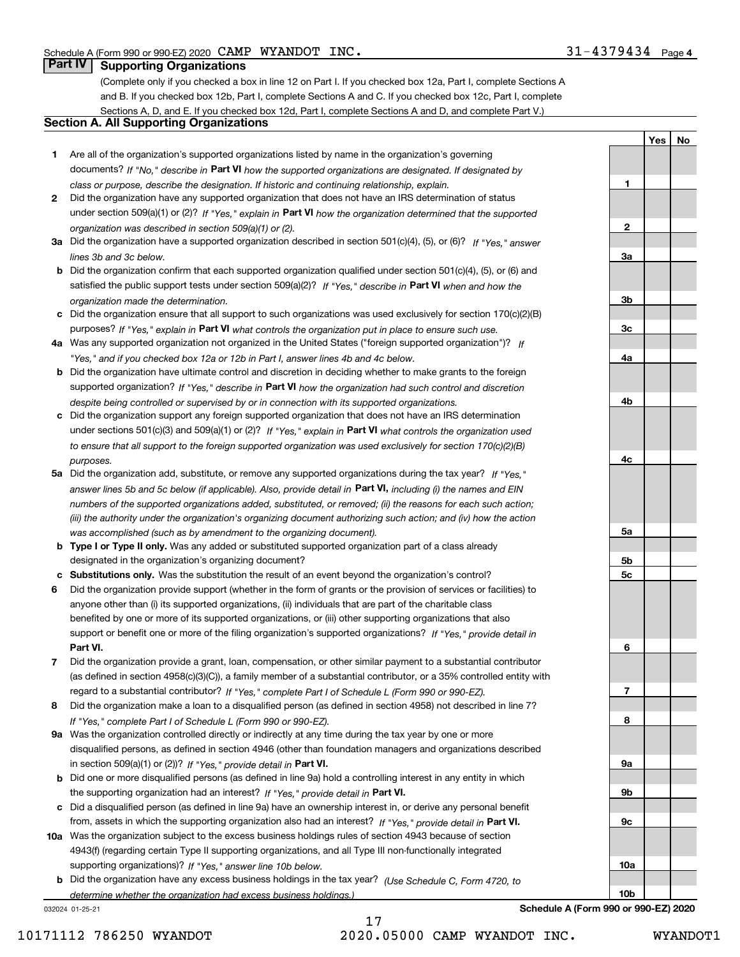**1**

**2**

**3a**

**3b**

**3c**

**4a**

**4b**

**4c**

**YesNo**

## **Part IV Supporting Organizations**

(Complete only if you checked a box in line 12 on Part I. If you checked box 12a, Part I, complete Sections A and B. If you checked box 12b, Part I, complete Sections A and C. If you checked box 12c, Part I, complete Sections A, D, and E. If you checked box 12d, Part I, complete Sections A and D, and complete Part V.)

## **Section A. All Supporting Organizations**

- **1** Are all of the organization's supported organizations listed by name in the organization's governing documents? If "No," describe in **Part VI** how the supported organizations are designated. If designated by *class or purpose, describe the designation. If historic and continuing relationship, explain.*
- **2** Did the organization have any supported organization that does not have an IRS determination of status under section 509(a)(1) or (2)? If "Yes," explain in Part VI how the organization determined that the supported *organization was described in section 509(a)(1) or (2).*
- **3a** Did the organization have a supported organization described in section 501(c)(4), (5), or (6)? If "Yes," answer *lines 3b and 3c below.*
- **b** Did the organization confirm that each supported organization qualified under section 501(c)(4), (5), or (6) and satisfied the public support tests under section 509(a)(2)? If "Yes," describe in **Part VI** when and how the *organization made the determination.*
- **c**Did the organization ensure that all support to such organizations was used exclusively for section 170(c)(2)(B) purposes? If "Yes," explain in **Part VI** what controls the organization put in place to ensure such use.
- **4a***If* Was any supported organization not organized in the United States ("foreign supported organization")? *"Yes," and if you checked box 12a or 12b in Part I, answer lines 4b and 4c below.*
- **b** Did the organization have ultimate control and discretion in deciding whether to make grants to the foreign supported organization? If "Yes," describe in **Part VI** how the organization had such control and discretion *despite being controlled or supervised by or in connection with its supported organizations.*
- **c** Did the organization support any foreign supported organization that does not have an IRS determination under sections 501(c)(3) and 509(a)(1) or (2)? If "Yes," explain in **Part VI** what controls the organization used *to ensure that all support to the foreign supported organization was used exclusively for section 170(c)(2)(B) purposes.*
- **5a** Did the organization add, substitute, or remove any supported organizations during the tax year? If "Yes," answer lines 5b and 5c below (if applicable). Also, provide detail in **Part VI,** including (i) the names and EIN *numbers of the supported organizations added, substituted, or removed; (ii) the reasons for each such action; (iii) the authority under the organization's organizing document authorizing such action; and (iv) how the action was accomplished (such as by amendment to the organizing document).*
- **b** Type I or Type II only. Was any added or substituted supported organization part of a class already designated in the organization's organizing document?
- **cSubstitutions only.**  Was the substitution the result of an event beyond the organization's control?
- **6** Did the organization provide support (whether in the form of grants or the provision of services or facilities) to **Part VI.** *If "Yes," provide detail in* support or benefit one or more of the filing organization's supported organizations? anyone other than (i) its supported organizations, (ii) individuals that are part of the charitable class benefited by one or more of its supported organizations, or (iii) other supporting organizations that also
- **7**Did the organization provide a grant, loan, compensation, or other similar payment to a substantial contributor *If "Yes," complete Part I of Schedule L (Form 990 or 990-EZ).* regard to a substantial contributor? (as defined in section 4958(c)(3)(C)), a family member of a substantial contributor, or a 35% controlled entity with
- **8** Did the organization make a loan to a disqualified person (as defined in section 4958) not described in line 7? *If "Yes," complete Part I of Schedule L (Form 990 or 990-EZ).*
- **9a** Was the organization controlled directly or indirectly at any time during the tax year by one or more in section 509(a)(1) or (2))? If "Yes," *provide detail in* <code>Part VI.</code> disqualified persons, as defined in section 4946 (other than foundation managers and organizations described
- **b** Did one or more disqualified persons (as defined in line 9a) hold a controlling interest in any entity in which the supporting organization had an interest? If "Yes," provide detail in P**art VI**.
- **c**Did a disqualified person (as defined in line 9a) have an ownership interest in, or derive any personal benefit from, assets in which the supporting organization also had an interest? If "Yes," provide detail in P**art VI.**
- **10a** Was the organization subject to the excess business holdings rules of section 4943 because of section supporting organizations)? If "Yes," answer line 10b below. 4943(f) (regarding certain Type II supporting organizations, and all Type III non-functionally integrated
- **b** Did the organization have any excess business holdings in the tax year? (Use Schedule C, Form 4720, to *determine whether the organization had excess business holdings.)*

032024 01-25-21

**5a 5b5c6789a 9b9c10a10b**

**Schedule A (Form 990 or 990-EZ) 2020**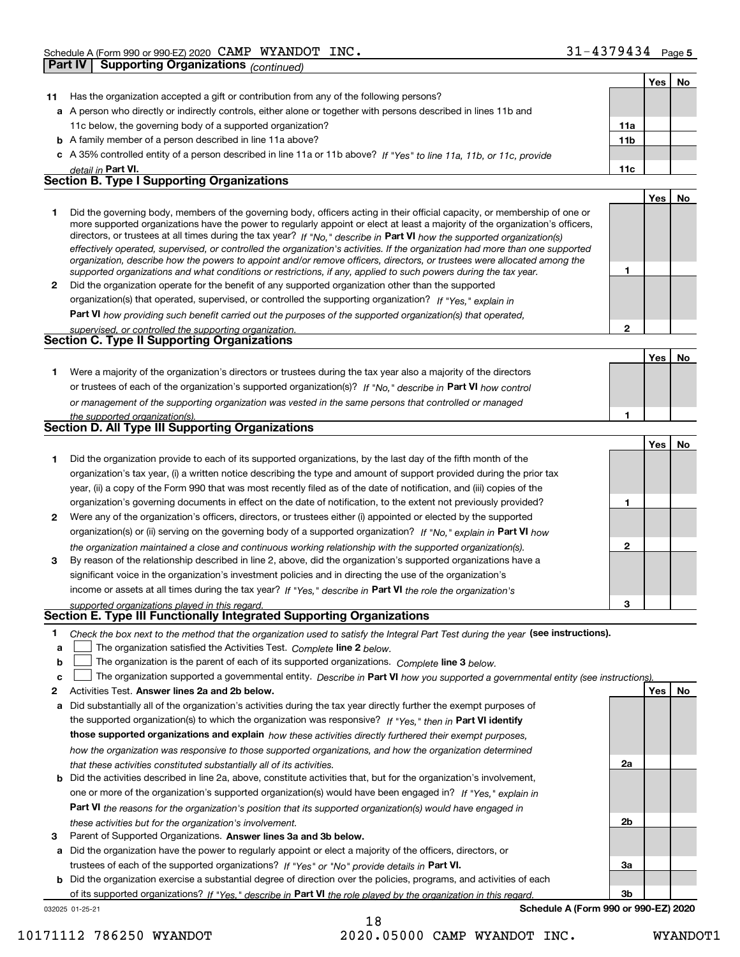| Part IV |                                | <b>Supporting Organizations (continued)</b>                                                                                       |                 |     |    |
|---------|--------------------------------|-----------------------------------------------------------------------------------------------------------------------------------|-----------------|-----|----|
|         |                                |                                                                                                                                   |                 | Yes | No |
| 11      |                                | Has the organization accepted a gift or contribution from any of the following persons?                                           |                 |     |    |
|         |                                | a A person who directly or indirectly controls, either alone or together with persons described in lines 11b and                  |                 |     |    |
|         |                                | 11c below, the governing body of a supported organization?                                                                        | 11a             |     |    |
|         |                                | <b>b</b> A family member of a person described in line 11a above?                                                                 | 11 <sub>b</sub> |     |    |
|         |                                | c A 35% controlled entity of a person described in line 11a or 11b above? If "Yes" to line 11a, 11b, or 11c, provide              |                 |     |    |
|         | detail in Part VI.             |                                                                                                                                   | 11c             |     |    |
|         |                                | <b>Section B. Type I Supporting Organizations</b>                                                                                 |                 |     |    |
|         |                                |                                                                                                                                   |                 | Yes | No |
| 1       |                                | Did the governing body, members of the governing body, officers acting in their official capacity, or membership of one or        |                 |     |    |
|         |                                | more supported organizations have the power to regularly appoint or elect at least a majority of the organization's officers,     |                 |     |    |
|         |                                | directors, or trustees at all times during the tax year? If "No," describe in Part VI how the supported organization(s)           |                 |     |    |
|         |                                | effectively operated, supervised, or controlled the organization's activities. If the organization had more than one supported    |                 |     |    |
|         |                                | organization, describe how the powers to appoint and/or remove officers, directors, or trustees were allocated among the          | 1               |     |    |
|         |                                | supported organizations and what conditions or restrictions, if any, applied to such powers during the tax year.                  |                 |     |    |
| 2       |                                | Did the organization operate for the benefit of any supported organization other than the supported                               |                 |     |    |
|         |                                | organization(s) that operated, supervised, or controlled the supporting organization? If "Yes," explain in                        |                 |     |    |
|         |                                | Part VI how providing such benefit carried out the purposes of the supported organization(s) that operated,                       |                 |     |    |
|         |                                | supervised, or controlled the supporting organization.<br>Section C. Type II Supporting Organizations                             | $\overline{2}$  |     |    |
|         |                                |                                                                                                                                   |                 |     |    |
|         |                                |                                                                                                                                   |                 | Yes | No |
| 1.      |                                | Were a majority of the organization's directors or trustees during the tax year also a majority of the directors                  |                 |     |    |
|         |                                | or trustees of each of the organization's supported organization(s)? If "No," describe in Part VI how control                     |                 |     |    |
|         |                                | or management of the supporting organization was vested in the same persons that controlled or managed                            |                 |     |    |
|         | the supported organization(s). |                                                                                                                                   | 1               |     |    |
|         |                                | Section D. All Type III Supporting Organizations                                                                                  |                 |     |    |
|         |                                |                                                                                                                                   |                 | Yes | No |
| 1       |                                | Did the organization provide to each of its supported organizations, by the last day of the fifth month of the                    |                 |     |    |
|         |                                | organization's tax year, (i) a written notice describing the type and amount of support provided during the prior tax             |                 |     |    |
|         |                                | year, (ii) a copy of the Form 990 that was most recently filed as of the date of notification, and (iii) copies of the            |                 |     |    |
|         |                                | organization's governing documents in effect on the date of notification, to the extent not previously provided?                  | 1               |     |    |
| 2       |                                | Were any of the organization's officers, directors, or trustees either (i) appointed or elected by the supported                  |                 |     |    |
|         |                                | organization(s) or (ii) serving on the governing body of a supported organization? If "No." explain in <b>Part VI</b> how         |                 |     |    |
|         |                                | the organization maintained a close and continuous working relationship with the supported organization(s).                       | 2               |     |    |
| 3       |                                | By reason of the relationship described in line 2, above, did the organization's supported organizations have a                   |                 |     |    |
|         |                                | significant voice in the organization's investment policies and in directing the use of the organization's                        |                 |     |    |
|         |                                | income or assets at all times during the tax year? If "Yes," describe in Part VI the role the organization's                      |                 |     |    |
|         |                                | supported organizations played in this regard.                                                                                    |                 |     |    |
|         |                                | Section E. Type III Functionally Integrated Supporting Organizations                                                              |                 |     |    |
| 1.      |                                | Check the box next to the method that the organization used to satisfy the Integral Part Test during the year (see instructions). |                 |     |    |
| a       |                                | The organization satisfied the Activities Test. Complete line 2 below.                                                            |                 |     |    |
| b       |                                | The organization is the parent of each of its supported organizations. Complete line 3 below.                                     |                 |     |    |
| c       |                                | The organization supported a governmental entity. Describe in Part VI how you supported a governmental entity (see instructions)  |                 |     |    |
| 2       |                                | Activities Test. Answer lines 2a and 2b below.                                                                                    |                 | Yes | No |
| а       |                                | Did substantially all of the organization's activities during the tax year directly further the exempt purposes of                |                 |     |    |
|         |                                | the supported organization(s) to which the organization was responsive? If "Yes," then in Part VI identify                        |                 |     |    |
|         |                                | those supported organizations and explain how these activities directly furthered their exempt purposes,                          |                 |     |    |
|         |                                | how the organization was responsive to those supported organizations, and how the organization determined                         |                 |     |    |
|         |                                | that these activities constituted substantially all of its activities.                                                            | 2a              |     |    |
| b       |                                | Did the activities described in line 2a, above, constitute activities that, but for the organization's involvement,               |                 |     |    |
|         |                                | one or more of the organization's supported organization(s) would have been engaged in? If "Yes," explain in                      |                 |     |    |
|         |                                | Part VI the reasons for the organization's position that its supported organization(s) would have engaged in                      |                 |     |    |
|         |                                |                                                                                                                                   | 2b              |     |    |
|         |                                | these activities but for the organization's involvement.                                                                          |                 |     |    |

**3** Parent of Supported Organizations. Answer lines 3a and 3b below.

**a** Did the organization have the power to regularly appoint or elect a majority of the officers, directors, or trustees of each of the supported organizations? If "Yes" or "No" provide details in P**art VI.** 

032025 01-25-21 **b** Did the organization exercise a substantial degree of direction over the policies, programs, and activities of each of its supported organizations? If "Yes," describe in Part VI the role played by the organization in this regard. **Schedule A (Form 990 or 990-EZ) 2020**

18

10171112 786250 WYANDOT 2020.05000 CAMP WYANDOT INC. WYANDOT1

**3a**

**3b**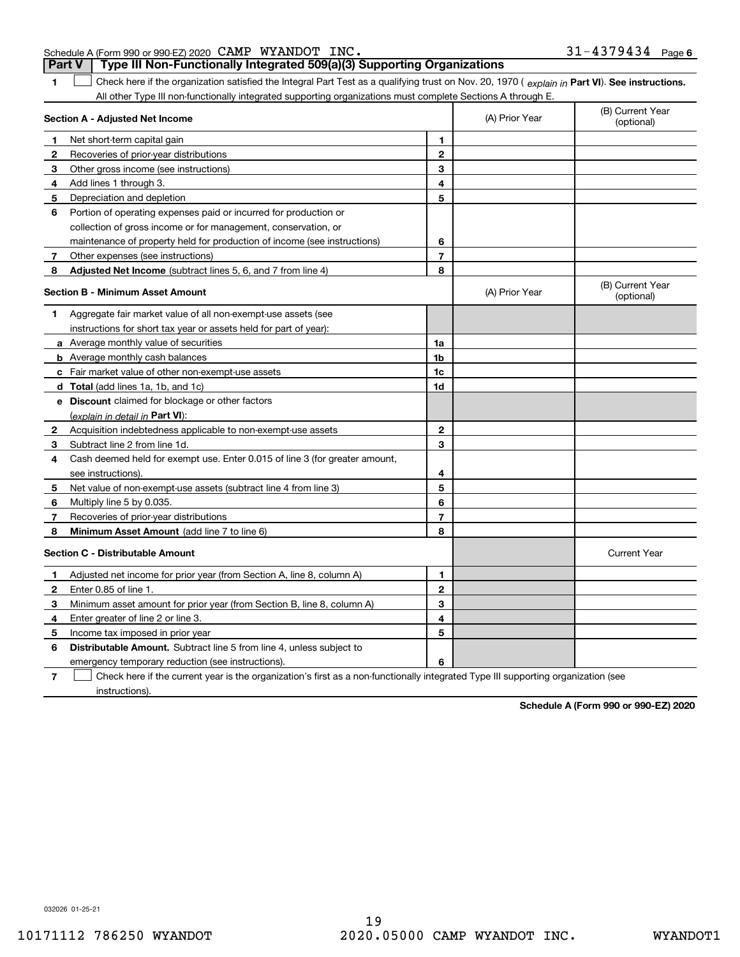| Schedule A (Form 990 or 990-EZ) 2020 CAMP WYANDOT INC.                                | 31-4379434 Page 6 |  |
|---------------------------------------------------------------------------------------|-------------------|--|
| <b>Part V</b> Type III Non-Functionally Integrated 509(a)(3) Supporting Organizations |                   |  |

**1**1 Check here if the organization satisfied the Integral Part Test as a qualifying trust on Nov. 20, 1970 (explain in Part VI). See instructions. All other Type III non-functionally integrated supporting organizations must complete Sections A through E.

|    | Section A - Adjusted Net Income                                             |                | (A) Prior Year | (B) Current Year<br>(optional) |
|----|-----------------------------------------------------------------------------|----------------|----------------|--------------------------------|
| 1  | Net short-term capital gain                                                 | 1              |                |                                |
| 2  | Recoveries of prior-year distributions                                      | $\overline{2}$ |                |                                |
| З  | Other gross income (see instructions)                                       | 3              |                |                                |
| 4  | Add lines 1 through 3.                                                      | 4              |                |                                |
| 5  | Depreciation and depletion                                                  | 5              |                |                                |
| 6  | Portion of operating expenses paid or incurred for production or            |                |                |                                |
|    | collection of gross income or for management, conservation, or              |                |                |                                |
|    | maintenance of property held for production of income (see instructions)    | 6              |                |                                |
| 7  | Other expenses (see instructions)                                           | 7              |                |                                |
| 8  | Adjusted Net Income (subtract lines 5, 6, and 7 from line 4)                | 8              |                |                                |
|    | <b>Section B - Minimum Asset Amount</b>                                     |                | (A) Prior Year | (B) Current Year<br>(optional) |
| 1  | Aggregate fair market value of all non-exempt-use assets (see               |                |                |                                |
|    | instructions for short tax year or assets held for part of year):           |                |                |                                |
|    | a Average monthly value of securities                                       | 1a             |                |                                |
|    | <b>b</b> Average monthly cash balances                                      | 1b             |                |                                |
|    | c Fair market value of other non-exempt-use assets                          | 1c             |                |                                |
|    | <b>d</b> Total (add lines 1a, 1b, and 1c)                                   | 1d             |                |                                |
|    | e Discount claimed for blockage or other factors                            |                |                |                                |
|    | (explain in detail in Part VI):                                             |                |                |                                |
| 2  | Acquisition indebtedness applicable to non-exempt-use assets                | $\mathbf{2}$   |                |                                |
| З  | Subtract line 2 from line 1d.                                               | 3              |                |                                |
| 4  | Cash deemed held for exempt use. Enter 0.015 of line 3 (for greater amount, |                |                |                                |
|    | see instructions).                                                          | 4              |                |                                |
| 5  | Net value of non-exempt-use assets (subtract line 4 from line 3)            | 5              |                |                                |
| 6  | Multiply line 5 by 0.035.                                                   | 6              |                |                                |
| 7  | Recoveries of prior-year distributions                                      | $\overline{7}$ |                |                                |
| 8  | Minimum Asset Amount (add line 7 to line 6)                                 | 8              |                |                                |
|    | <b>Section C - Distributable Amount</b>                                     |                |                | <b>Current Year</b>            |
| 1  | Adjusted net income for prior year (from Section A, line 8, column A)       | 1              |                |                                |
| 2  | Enter 0.85 of line 1.                                                       | $\overline{2}$ |                |                                |
| 3  | Minimum asset amount for prior year (from Section B, line 8, column A)      | 3              |                |                                |
| 4  | Enter greater of line 2 or line 3.                                          | 4              |                |                                |
| 5. | Income tax imposed in prior year                                            | 5              |                |                                |
| 6  | <b>Distributable Amount.</b> Subtract line 5 from line 4, unless subject to |                |                |                                |
|    | emergency temporary reduction (see instructions).                           | 6              |                |                                |
|    |                                                                             |                |                |                                |

**7**Check here if the current year is the organization's first as a non-functionally integrated Type III supporting organization (see instructions).

**Schedule A (Form 990 or 990-EZ) 2020**

032026 01-25-21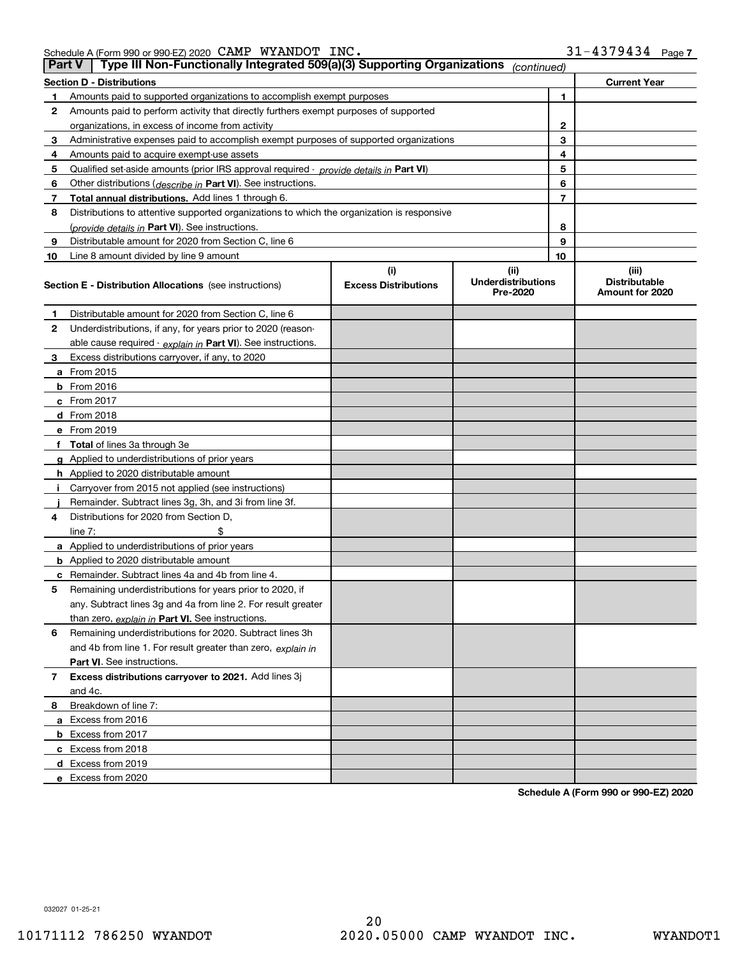Schedule A (Form 990 or 990-EZ) 2020 Page CAMP WYANDOT INC. 31-4379434

|    | Type III Non-Functionally Integrated 509(a)(3) Supporting Organizations<br>  Part V  <br>(continued) |                                    |                                               |                                                  |  |  |  |
|----|------------------------------------------------------------------------------------------------------|------------------------------------|-----------------------------------------------|--------------------------------------------------|--|--|--|
|    | Section D - Distributions<br><b>Current Year</b>                                                     |                                    |                                               |                                                  |  |  |  |
| 1  | 1<br>Amounts paid to supported organizations to accomplish exempt purposes                           |                                    |                                               |                                                  |  |  |  |
| 2  | Amounts paid to perform activity that directly furthers exempt purposes of supported                 |                                    |                                               |                                                  |  |  |  |
|    | organizations, in excess of income from activity                                                     |                                    | $\mathbf{2}$                                  |                                                  |  |  |  |
| 3  | Administrative expenses paid to accomplish exempt purposes of supported organizations                |                                    | 3                                             |                                                  |  |  |  |
| 4  | Amounts paid to acquire exempt-use assets                                                            |                                    | 4                                             |                                                  |  |  |  |
| 5  | Qualified set aside amounts (prior IRS approval required - provide details in Part VI)               |                                    | 5                                             |                                                  |  |  |  |
| 6  | Other distributions ( <i>describe in</i> Part VI). See instructions.                                 |                                    | 6                                             |                                                  |  |  |  |
| 7  | Total annual distributions. Add lines 1 through 6.                                                   |                                    | $\overline{7}$                                |                                                  |  |  |  |
| 8  | Distributions to attentive supported organizations to which the organization is responsive           |                                    |                                               |                                                  |  |  |  |
|    | (provide details in Part VI). See instructions.                                                      |                                    | 8                                             |                                                  |  |  |  |
| 9  | Distributable amount for 2020 from Section C, line 6                                                 |                                    | 9                                             |                                                  |  |  |  |
| 10 | Line 8 amount divided by line 9 amount                                                               |                                    | 10                                            |                                                  |  |  |  |
|    | <b>Section E - Distribution Allocations</b> (see instructions)                                       | (i)<br><b>Excess Distributions</b> | (ii)<br><b>Underdistributions</b><br>Pre-2020 | (iii)<br><b>Distributable</b><br>Amount for 2020 |  |  |  |
| 1  | Distributable amount for 2020 from Section C, line 6                                                 |                                    |                                               |                                                  |  |  |  |
| 2  | Underdistributions, if any, for years prior to 2020 (reason-                                         |                                    |                                               |                                                  |  |  |  |
|    | able cause required - explain in Part VI). See instructions.                                         |                                    |                                               |                                                  |  |  |  |
| 3  | Excess distributions carryover, if any, to 2020                                                      |                                    |                                               |                                                  |  |  |  |
|    | a From 2015                                                                                          |                                    |                                               |                                                  |  |  |  |
|    | $b$ From 2016                                                                                        |                                    |                                               |                                                  |  |  |  |
|    | <b>c</b> From 2017                                                                                   |                                    |                                               |                                                  |  |  |  |
|    | d From 2018                                                                                          |                                    |                                               |                                                  |  |  |  |
|    | e From 2019                                                                                          |                                    |                                               |                                                  |  |  |  |
|    | f Total of lines 3a through 3e                                                                       |                                    |                                               |                                                  |  |  |  |
|    | g Applied to underdistributions of prior years                                                       |                                    |                                               |                                                  |  |  |  |
|    | <b>h</b> Applied to 2020 distributable amount                                                        |                                    |                                               |                                                  |  |  |  |
|    | Carryover from 2015 not applied (see instructions)                                                   |                                    |                                               |                                                  |  |  |  |
|    | Remainder. Subtract lines 3g, 3h, and 3i from line 3f.                                               |                                    |                                               |                                                  |  |  |  |
| 4  | Distributions for 2020 from Section D.                                                               |                                    |                                               |                                                  |  |  |  |
|    | line $7:$                                                                                            |                                    |                                               |                                                  |  |  |  |
|    | a Applied to underdistributions of prior years                                                       |                                    |                                               |                                                  |  |  |  |
|    | <b>b</b> Applied to 2020 distributable amount                                                        |                                    |                                               |                                                  |  |  |  |
|    | c Remainder. Subtract lines 4a and 4b from line 4.                                                   |                                    |                                               |                                                  |  |  |  |
| 5. | Remaining underdistributions for years prior to 2020, if                                             |                                    |                                               |                                                  |  |  |  |
|    | any. Subtract lines 3g and 4a from line 2. For result greater                                        |                                    |                                               |                                                  |  |  |  |
|    | than zero, explain in Part VI. See instructions.                                                     |                                    |                                               |                                                  |  |  |  |
| 6  | Remaining underdistributions for 2020. Subtract lines 3h                                             |                                    |                                               |                                                  |  |  |  |
|    | and 4b from line 1. For result greater than zero, explain in                                         |                                    |                                               |                                                  |  |  |  |
|    | Part VI. See instructions.                                                                           |                                    |                                               |                                                  |  |  |  |
| 7  | Excess distributions carryover to 2021. Add lines 3j                                                 |                                    |                                               |                                                  |  |  |  |
|    | and 4c.                                                                                              |                                    |                                               |                                                  |  |  |  |
| 8  | Breakdown of line 7:                                                                                 |                                    |                                               |                                                  |  |  |  |
|    | a Excess from 2016                                                                                   |                                    |                                               |                                                  |  |  |  |
|    | <b>b</b> Excess from 2017                                                                            |                                    |                                               |                                                  |  |  |  |
|    | c Excess from 2018                                                                                   |                                    |                                               |                                                  |  |  |  |
|    | d Excess from 2019                                                                                   |                                    |                                               |                                                  |  |  |  |
|    | e Excess from 2020                                                                                   |                                    |                                               |                                                  |  |  |  |

**Schedule A (Form 990 or 990-EZ) 2020**

032027 01-25-21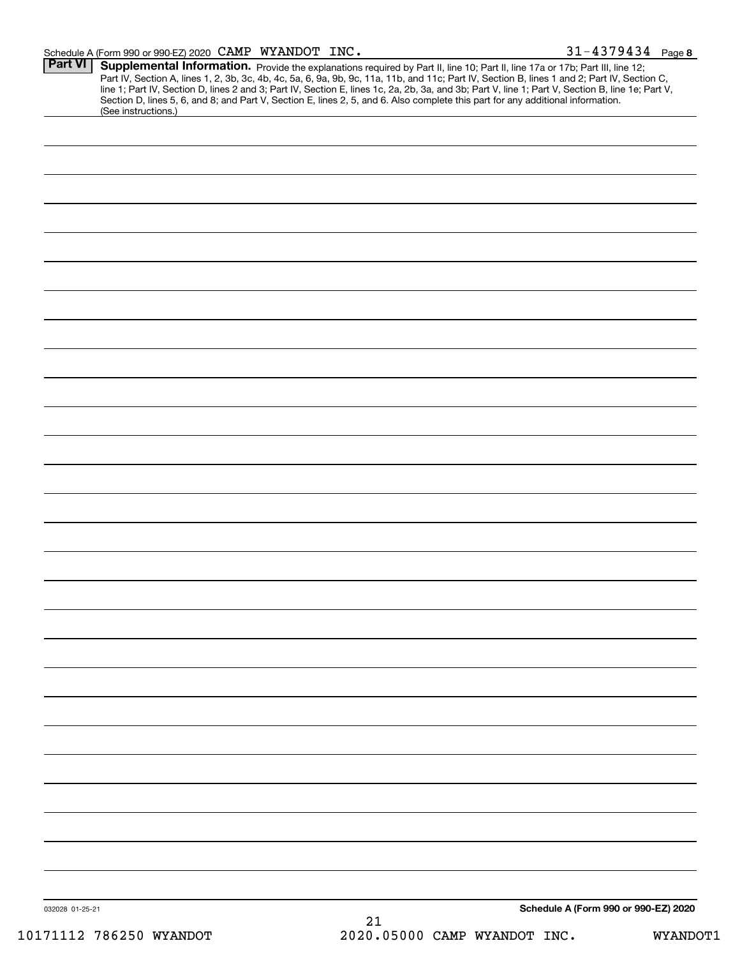|  |  | INC. | -4379434 | Page 8 |
|--|--|------|----------|--------|
|  |  |      |          |        |

| <b>Part VI</b>  | (See instructions.)     | Supplemental Information. Provide the explanations required by Part II, line 10; Part II, line 17a or 17b; Part III, line 12;<br>Part IV, Section A, lines 1, 2, 3b, 3c, 4b, 4c, 5a, 6, 9a, 9b, 9c, 11a, 11b, and 11c; Part IV, Section B, lines 1 and 2; Part IV, Section C,<br>line 1; Part IV, Section D, lines 2 and 3; Part IV, Section E, lines 1c, 2a, 2b, 3a, and 3b; Part V, line 1; Part V, Section B, line 1e; Part V,<br>Section D, lines 5, 6, and 8; and Part V, Section E, lines 2, 5, and 6. Also complete this part for any additional information. |
|-----------------|-------------------------|----------------------------------------------------------------------------------------------------------------------------------------------------------------------------------------------------------------------------------------------------------------------------------------------------------------------------------------------------------------------------------------------------------------------------------------------------------------------------------------------------------------------------------------------------------------------|
|                 |                         |                                                                                                                                                                                                                                                                                                                                                                                                                                                                                                                                                                      |
|                 |                         |                                                                                                                                                                                                                                                                                                                                                                                                                                                                                                                                                                      |
|                 |                         |                                                                                                                                                                                                                                                                                                                                                                                                                                                                                                                                                                      |
|                 |                         |                                                                                                                                                                                                                                                                                                                                                                                                                                                                                                                                                                      |
|                 |                         |                                                                                                                                                                                                                                                                                                                                                                                                                                                                                                                                                                      |
|                 |                         |                                                                                                                                                                                                                                                                                                                                                                                                                                                                                                                                                                      |
|                 |                         |                                                                                                                                                                                                                                                                                                                                                                                                                                                                                                                                                                      |
|                 |                         |                                                                                                                                                                                                                                                                                                                                                                                                                                                                                                                                                                      |
|                 |                         |                                                                                                                                                                                                                                                                                                                                                                                                                                                                                                                                                                      |
|                 |                         |                                                                                                                                                                                                                                                                                                                                                                                                                                                                                                                                                                      |
|                 |                         |                                                                                                                                                                                                                                                                                                                                                                                                                                                                                                                                                                      |
|                 |                         |                                                                                                                                                                                                                                                                                                                                                                                                                                                                                                                                                                      |
|                 |                         |                                                                                                                                                                                                                                                                                                                                                                                                                                                                                                                                                                      |
|                 |                         |                                                                                                                                                                                                                                                                                                                                                                                                                                                                                                                                                                      |
|                 |                         |                                                                                                                                                                                                                                                                                                                                                                                                                                                                                                                                                                      |
|                 |                         |                                                                                                                                                                                                                                                                                                                                                                                                                                                                                                                                                                      |
|                 |                         |                                                                                                                                                                                                                                                                                                                                                                                                                                                                                                                                                                      |
|                 |                         |                                                                                                                                                                                                                                                                                                                                                                                                                                                                                                                                                                      |
|                 |                         |                                                                                                                                                                                                                                                                                                                                                                                                                                                                                                                                                                      |
|                 |                         |                                                                                                                                                                                                                                                                                                                                                                                                                                                                                                                                                                      |
|                 |                         |                                                                                                                                                                                                                                                                                                                                                                                                                                                                                                                                                                      |
|                 |                         |                                                                                                                                                                                                                                                                                                                                                                                                                                                                                                                                                                      |
|                 |                         |                                                                                                                                                                                                                                                                                                                                                                                                                                                                                                                                                                      |
|                 |                         |                                                                                                                                                                                                                                                                                                                                                                                                                                                                                                                                                                      |
|                 |                         |                                                                                                                                                                                                                                                                                                                                                                                                                                                                                                                                                                      |
|                 |                         |                                                                                                                                                                                                                                                                                                                                                                                                                                                                                                                                                                      |
|                 |                         |                                                                                                                                                                                                                                                                                                                                                                                                                                                                                                                                                                      |
|                 |                         |                                                                                                                                                                                                                                                                                                                                                                                                                                                                                                                                                                      |
|                 |                         |                                                                                                                                                                                                                                                                                                                                                                                                                                                                                                                                                                      |
|                 |                         |                                                                                                                                                                                                                                                                                                                                                                                                                                                                                                                                                                      |
|                 |                         |                                                                                                                                                                                                                                                                                                                                                                                                                                                                                                                                                                      |
|                 |                         |                                                                                                                                                                                                                                                                                                                                                                                                                                                                                                                                                                      |
|                 |                         |                                                                                                                                                                                                                                                                                                                                                                                                                                                                                                                                                                      |
|                 |                         |                                                                                                                                                                                                                                                                                                                                                                                                                                                                                                                                                                      |
|                 |                         |                                                                                                                                                                                                                                                                                                                                                                                                                                                                                                                                                                      |
|                 |                         |                                                                                                                                                                                                                                                                                                                                                                                                                                                                                                                                                                      |
|                 |                         |                                                                                                                                                                                                                                                                                                                                                                                                                                                                                                                                                                      |
|                 |                         |                                                                                                                                                                                                                                                                                                                                                                                                                                                                                                                                                                      |
|                 |                         |                                                                                                                                                                                                                                                                                                                                                                                                                                                                                                                                                                      |
|                 |                         |                                                                                                                                                                                                                                                                                                                                                                                                                                                                                                                                                                      |
|                 |                         |                                                                                                                                                                                                                                                                                                                                                                                                                                                                                                                                                                      |
|                 |                         |                                                                                                                                                                                                                                                                                                                                                                                                                                                                                                                                                                      |
|                 |                         |                                                                                                                                                                                                                                                                                                                                                                                                                                                                                                                                                                      |
|                 |                         |                                                                                                                                                                                                                                                                                                                                                                                                                                                                                                                                                                      |
|                 |                         |                                                                                                                                                                                                                                                                                                                                                                                                                                                                                                                                                                      |
| 032028 01-25-21 |                         | Schedule A (Form 990 or 990-EZ) 2020                                                                                                                                                                                                                                                                                                                                                                                                                                                                                                                                 |
|                 | 10171112 786250 WYANDOT | 21<br>2020.05000 CAMP WYANDOT INC. WYANDOT1                                                                                                                                                                                                                                                                                                                                                                                                                                                                                                                          |
|                 |                         |                                                                                                                                                                                                                                                                                                                                                                                                                                                                                                                                                                      |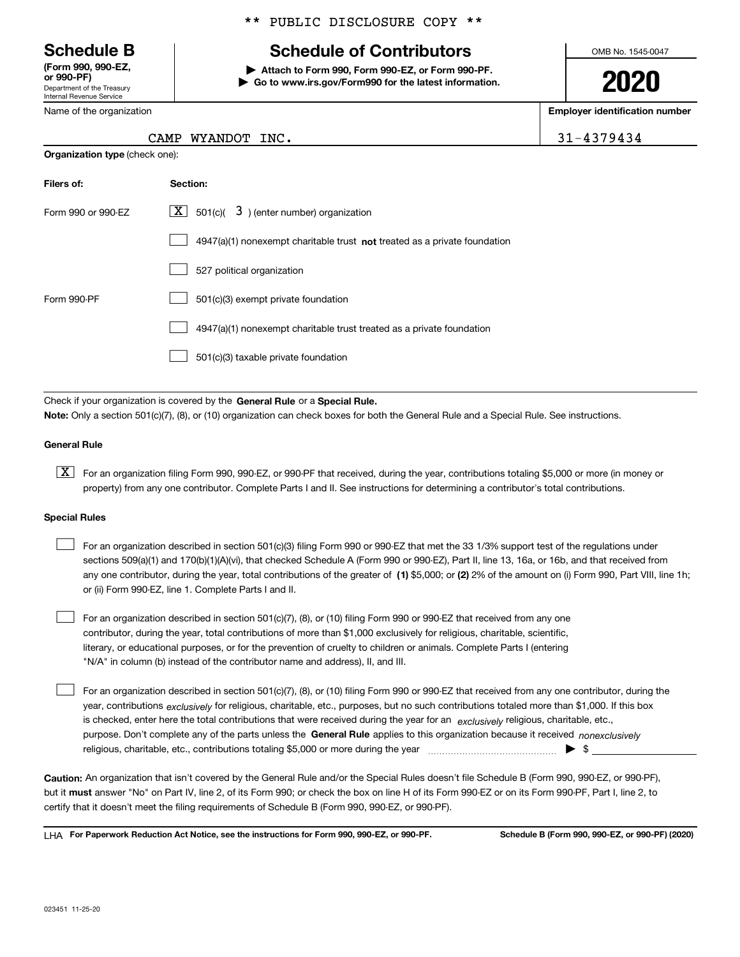Department of the Treasury Internal Revenue Service **(Form 990, 990-EZ, or 990-PF)**

Name of the organization

\*\* PUBLIC DISCLOSURE COPY \*\*

# **Schedule B Schedule of Contributors**

**| Attach to Form 990, Form 990-EZ, or Form 990-PF. | Go to www.irs.gov/Form990 for the latest information.** OMB No. 1545-0047

**2020**

**Employer identification number**

31-4379434

| CAMP WYANDOT INC. |  |
|-------------------|--|

| <b>Organization type (check one):</b> |                                                                           |  |  |  |  |
|---------------------------------------|---------------------------------------------------------------------------|--|--|--|--|
| Filers of:                            | Section:                                                                  |  |  |  |  |
| Form 990 or 990-EZ                    | $\underline{X}$ 501(c)( 3) (enter number) organization                    |  |  |  |  |
|                                       | 4947(a)(1) nonexempt charitable trust not treated as a private foundation |  |  |  |  |
|                                       | 527 political organization                                                |  |  |  |  |
| Form 990-PF                           | 501(c)(3) exempt private foundation                                       |  |  |  |  |
|                                       | 4947(a)(1) nonexempt charitable trust treated as a private foundation     |  |  |  |  |
|                                       | 501(c)(3) taxable private foundation                                      |  |  |  |  |

Check if your organization is covered by the **General Rule** or a **Special Rule. Note:**  Only a section 501(c)(7), (8), or (10) organization can check boxes for both the General Rule and a Special Rule. See instructions.

### **General Rule**

 $\boxed{\textbf{X}}$  For an organization filing Form 990, 990-EZ, or 990-PF that received, during the year, contributions totaling \$5,000 or more (in money or property) from any one contributor. Complete Parts I and II. See instructions for determining a contributor's total contributions.

#### **Special Rules**

| For an organization described in section 501(c)(3) filing Form 990 or 990-EZ that met the 33 1/3% support test of the regulations under               |
|-------------------------------------------------------------------------------------------------------------------------------------------------------|
| sections 509(a)(1) and 170(b)(1)(A)(vi), that checked Schedule A (Form 990 or 990-EZ), Part II, line 13, 16a, or 16b, and that received from          |
| any one contributor, during the year, total contributions of the greater of (1) \$5,000; or (2) 2% of the amount on (i) Form 990, Part VIII, line 1h; |
| or (ii) Form 990-EZ, line 1. Complete Parts I and II.                                                                                                 |

For an organization described in section 501(c)(7), (8), or (10) filing Form 990 or 990-EZ that received from any one contributor, during the year, total contributions of more than \$1,000 exclusively for religious, charitable, scientific, literary, or educational purposes, or for the prevention of cruelty to children or animals. Complete Parts I (entering "N/A" in column (b) instead of the contributor name and address), II, and III.  $\mathcal{L}^{\text{max}}$ 

purpose. Don't complete any of the parts unless the **General Rule** applies to this organization because it received *nonexclusively* year, contributions <sub>exclusively</sub> for religious, charitable, etc., purposes, but no such contributions totaled more than \$1,000. If this box is checked, enter here the total contributions that were received during the year for an  $\;$ exclusively religious, charitable, etc., For an organization described in section 501(c)(7), (8), or (10) filing Form 990 or 990-EZ that received from any one contributor, during the religious, charitable, etc., contributions totaling \$5,000 or more during the year  $\Box$ — $\Box$   $\Box$  $\mathcal{L}^{\text{max}}$ 

**Caution:**  An organization that isn't covered by the General Rule and/or the Special Rules doesn't file Schedule B (Form 990, 990-EZ, or 990-PF),  **must** but it answer "No" on Part IV, line 2, of its Form 990; or check the box on line H of its Form 990-EZ or on its Form 990-PF, Part I, line 2, to certify that it doesn't meet the filing requirements of Schedule B (Form 990, 990-EZ, or 990-PF).

**For Paperwork Reduction Act Notice, see the instructions for Form 990, 990-EZ, or 990-PF. Schedule B (Form 990, 990-EZ, or 990-PF) (2020)** LHA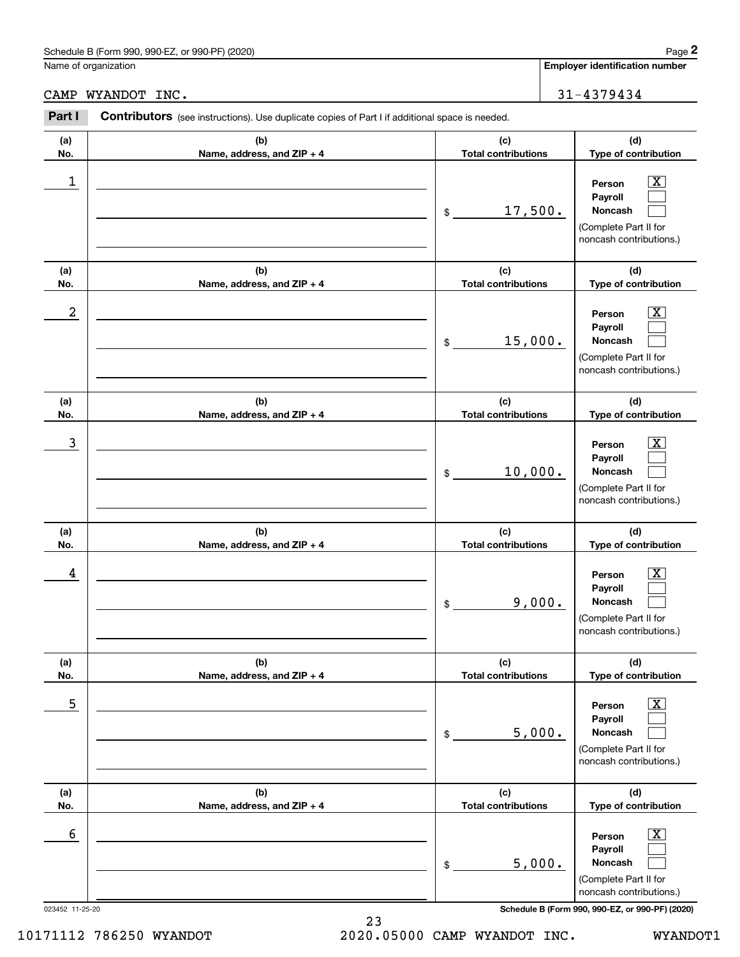# Schedule B (Form 990, 990-EZ, or 990-PF) (2020) Page 2

|                      | Schedule B (Form 990, 990-EZ, or 990-PF) (2020)                                                       |                                       | Page 2                                                                                                      |
|----------------------|-------------------------------------------------------------------------------------------------------|---------------------------------------|-------------------------------------------------------------------------------------------------------------|
| Name of organization |                                                                                                       | <b>Employer identification number</b> |                                                                                                             |
| CAMP                 | WYANDOT INC.                                                                                          |                                       | 31-4379434                                                                                                  |
| Part I               | <b>Contributors</b> (see instructions). Use duplicate copies of Part I if additional space is needed. |                                       |                                                                                                             |
| (a)<br>No.           | (b)<br>Name, address, and ZIP + 4                                                                     | (c)<br><b>Total contributions</b>     | (d)<br>Type of contribution                                                                                 |
| 1                    |                                                                                                       | 17,500.<br>\$                         | $\overline{\mathbf{X}}$<br>Person<br>Payroll<br>Noncash<br>(Complete Part II for<br>noncash contributions.) |
| (a)<br>No.           | (b)<br>Name, address, and ZIP + 4                                                                     | (c)<br><b>Total contributions</b>     | (d)<br>Type of contribution                                                                                 |
| 2                    |                                                                                                       | 15,000.<br>\$                         | $\overline{\mathbf{X}}$<br>Person<br>Payroll<br>Noncash<br>(Complete Part II for<br>noncash contributions.) |
| (a)<br>No.           | (b)<br>Name, address, and ZIP + 4                                                                     | (c)<br><b>Total contributions</b>     | (d)<br>Type of contribution                                                                                 |
| 3                    |                                                                                                       | 10,000.<br>\$                         | $\overline{\text{X}}$<br>Person<br>Payroll<br>Noncash<br>(Complete Part II for<br>noncash contributions.)   |
| (a)<br>No.           | (b)<br>Name, address, and ZIP + 4                                                                     | (c)<br><b>Total contributions</b>     | (d)<br>Type of contribution                                                                                 |
| 4                    |                                                                                                       | 9,000.<br>\$                          | $\mathbf{X}$<br>Person<br>Payroll<br>Noncash<br>(Complete Part II for<br>noncash contributions.)            |
| (a)<br>No.           | (b)<br>Name, address, and ZIP + 4                                                                     | (c)<br><b>Total contributions</b>     | (d)<br>Type of contribution                                                                                 |
| 5                    |                                                                                                       | 5,000.<br>\$                          | $\overline{\mathbf{X}}$<br>Person<br>Payroll<br>Noncash<br>(Complete Part II for<br>noncash contributions.) |
| (a)<br>No.           | (b)<br>Name, address, and ZIP + 4                                                                     | (c)<br><b>Total contributions</b>     | (d)<br>Type of contribution                                                                                 |
| 6                    |                                                                                                       | 5,000.<br>\$                          | $\overline{\mathbf{X}}$<br>Person<br>Payroll<br>Noncash<br>(Complete Part II for<br>noncash contributions.) |
| 023452 11-25-20      |                                                                                                       |                                       | Schedule B (Form 990, 990-EZ, or 990-PF) (2020)                                                             |

23 10171112 786250 WYANDOT 2020.05000 CAMP WYANDOT INC. WYANDOT1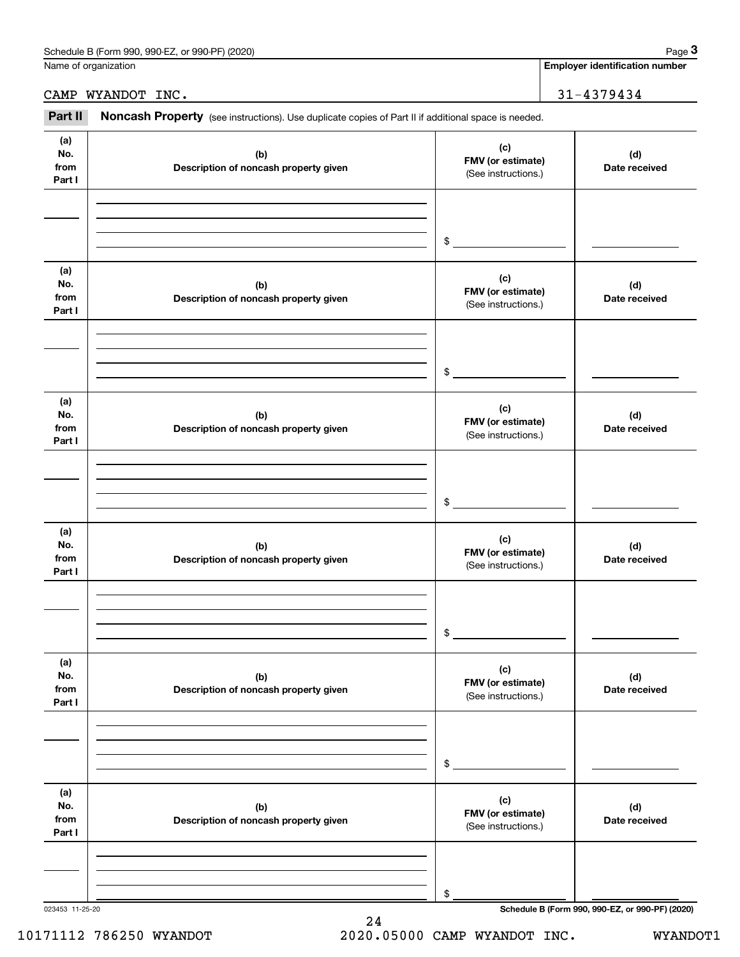| Schedule B (Form 990. 990-EZ. ‹<br>or 990-PF) (2020) | Page |
|------------------------------------------------------|------|
|                                                      |      |

|                              | Schedule B (Form 990, 990-EZ, or 990-PF) (2020)                                                     |                                                 | Page 3                                          |
|------------------------------|-----------------------------------------------------------------------------------------------------|-------------------------------------------------|-------------------------------------------------|
| Name of organization         |                                                                                                     |                                                 | <b>Employer identification number</b>           |
|                              | CAMP WYANDOT INC.                                                                                   |                                                 | 31-4379434                                      |
| Part II                      | Noncash Property (see instructions). Use duplicate copies of Part II if additional space is needed. |                                                 |                                                 |
| (a)<br>No.<br>from<br>Part I | (b)<br>Description of noncash property given                                                        | (c)<br>FMV (or estimate)<br>(See instructions.) | (d)<br>Date received                            |
|                              |                                                                                                     | \$                                              |                                                 |
| (a)<br>No.<br>from<br>Part I | (b)<br>Description of noncash property given                                                        | (c)<br>FMV (or estimate)<br>(See instructions.) | (d)<br>Date received                            |
|                              |                                                                                                     | \$                                              |                                                 |
| (a)<br>No.<br>from<br>Part I | (b)<br>Description of noncash property given                                                        | (c)<br>FMV (or estimate)<br>(See instructions.) | (d)<br>Date received                            |
|                              |                                                                                                     | \$                                              |                                                 |
| (a)<br>No.<br>from<br>Part I | (b)<br>Description of noncash property given                                                        | (c)<br>FMV (or estimate)<br>(See instructions.) | (d)<br>Date received                            |
|                              |                                                                                                     | \$                                              |                                                 |
| (a)<br>No.<br>from<br>Part I | (b)<br>Description of noncash property given                                                        | (c)<br>FMV (or estimate)<br>(See instructions.) | (d)<br>Date received                            |
|                              |                                                                                                     | \$                                              |                                                 |
| (a)<br>No.<br>from<br>Part I | (b)<br>Description of noncash property given                                                        | (c)<br>FMV (or estimate)<br>(See instructions.) | (d)<br>Date received                            |
|                              |                                                                                                     | \$                                              |                                                 |
| 023453 11-25-20              |                                                                                                     |                                                 | Schedule B (Form 990, 990-EZ, or 990-PF) (2020) |

10171112 786250 WYANDOT 2020.05000 CAMP WYANDOT INC. WYANDOT1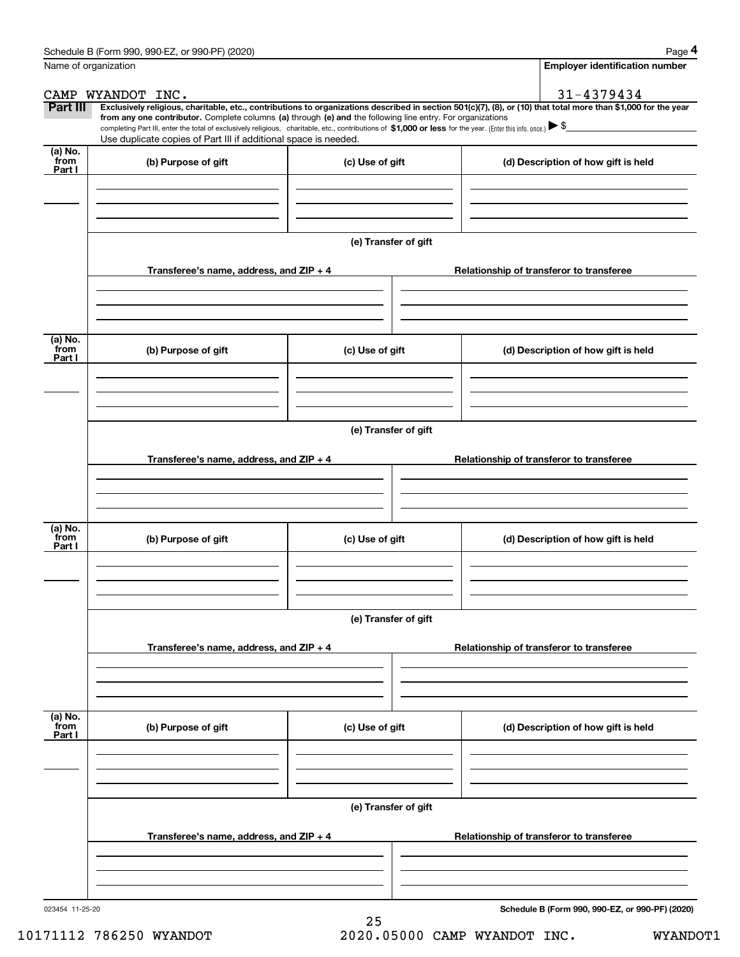|                           | Schedule B (Form 990, 990-EZ, or 990-PF) (2020)                                                                                                                                                                                                                                                 |                                          | Page 4                                                                                                                                                         |  |  |  |  |  |  |
|---------------------------|-------------------------------------------------------------------------------------------------------------------------------------------------------------------------------------------------------------------------------------------------------------------------------------------------|------------------------------------------|----------------------------------------------------------------------------------------------------------------------------------------------------------------|--|--|--|--|--|--|
|                           | Name of organization                                                                                                                                                                                                                                                                            |                                          | <b>Employer identification number</b>                                                                                                                          |  |  |  |  |  |  |
| CAMP                      | WYANDOT INC.                                                                                                                                                                                                                                                                                    |                                          | 31-4379434                                                                                                                                                     |  |  |  |  |  |  |
| Part III                  |                                                                                                                                                                                                                                                                                                 |                                          | Exclusively religious, charitable, etc., contributions to organizations described in section 501(c)(7), (8), or (10) that total more than \$1,000 for the year |  |  |  |  |  |  |
|                           | from any one contributor. Complete columns (a) through (e) and the following line entry. For organizations<br>completing Part III, enter the total of exclusively religious, charitable, etc., contributions of \$1,000 or less for the year. (Enter this info. once.) $\blacktriangleright$ \$ |                                          |                                                                                                                                                                |  |  |  |  |  |  |
|                           | Use duplicate copies of Part III if additional space is needed.                                                                                                                                                                                                                                 |                                          |                                                                                                                                                                |  |  |  |  |  |  |
| (a) No.<br>from<br>Part I | (b) Purpose of gift                                                                                                                                                                                                                                                                             | (c) Use of gift                          | (d) Description of how gift is held                                                                                                                            |  |  |  |  |  |  |
|                           |                                                                                                                                                                                                                                                                                                 |                                          |                                                                                                                                                                |  |  |  |  |  |  |
|                           |                                                                                                                                                                                                                                                                                                 |                                          |                                                                                                                                                                |  |  |  |  |  |  |
|                           |                                                                                                                                                                                                                                                                                                 | (e) Transfer of gift                     |                                                                                                                                                                |  |  |  |  |  |  |
|                           | Transferee's name, address, and ZIP + 4                                                                                                                                                                                                                                                         |                                          | Relationship of transferor to transferee                                                                                                                       |  |  |  |  |  |  |
|                           |                                                                                                                                                                                                                                                                                                 |                                          |                                                                                                                                                                |  |  |  |  |  |  |
|                           |                                                                                                                                                                                                                                                                                                 |                                          |                                                                                                                                                                |  |  |  |  |  |  |
| (a) No.<br>from<br>Part I | (b) Purpose of gift                                                                                                                                                                                                                                                                             | (c) Use of gift                          | (d) Description of how gift is held                                                                                                                            |  |  |  |  |  |  |
|                           |                                                                                                                                                                                                                                                                                                 |                                          |                                                                                                                                                                |  |  |  |  |  |  |
|                           |                                                                                                                                                                                                                                                                                                 |                                          |                                                                                                                                                                |  |  |  |  |  |  |
|                           | (e) Transfer of gift                                                                                                                                                                                                                                                                            |                                          |                                                                                                                                                                |  |  |  |  |  |  |
|                           | Transferee's name, address, and ZIP + 4                                                                                                                                                                                                                                                         | Relationship of transferor to transferee |                                                                                                                                                                |  |  |  |  |  |  |
|                           |                                                                                                                                                                                                                                                                                                 |                                          |                                                                                                                                                                |  |  |  |  |  |  |
|                           |                                                                                                                                                                                                                                                                                                 |                                          |                                                                                                                                                                |  |  |  |  |  |  |
| (a) No.<br>from<br>Part I | (b) Purpose of gift                                                                                                                                                                                                                                                                             | (c) Use of gift                          | (d) Description of how gift is held                                                                                                                            |  |  |  |  |  |  |
|                           |                                                                                                                                                                                                                                                                                                 |                                          |                                                                                                                                                                |  |  |  |  |  |  |
|                           | (e) Transfer of gift                                                                                                                                                                                                                                                                            |                                          |                                                                                                                                                                |  |  |  |  |  |  |
|                           | Transferee's name, address, and ZIP + 4                                                                                                                                                                                                                                                         |                                          | Relationship of transferor to transferee                                                                                                                       |  |  |  |  |  |  |
|                           |                                                                                                                                                                                                                                                                                                 |                                          |                                                                                                                                                                |  |  |  |  |  |  |
|                           |                                                                                                                                                                                                                                                                                                 |                                          |                                                                                                                                                                |  |  |  |  |  |  |
| (a) No.<br>from<br>Part I | (b) Purpose of gift                                                                                                                                                                                                                                                                             | (c) Use of gift                          | (d) Description of how gift is held                                                                                                                            |  |  |  |  |  |  |
|                           |                                                                                                                                                                                                                                                                                                 |                                          |                                                                                                                                                                |  |  |  |  |  |  |
|                           |                                                                                                                                                                                                                                                                                                 |                                          |                                                                                                                                                                |  |  |  |  |  |  |
|                           | (e) Transfer of gift                                                                                                                                                                                                                                                                            |                                          |                                                                                                                                                                |  |  |  |  |  |  |
|                           | Transferee's name, address, and ZIP + 4                                                                                                                                                                                                                                                         |                                          | Relationship of transferor to transferee                                                                                                                       |  |  |  |  |  |  |
|                           |                                                                                                                                                                                                                                                                                                 |                                          |                                                                                                                                                                |  |  |  |  |  |  |
|                           |                                                                                                                                                                                                                                                                                                 |                                          |                                                                                                                                                                |  |  |  |  |  |  |
| 023454 11-25-20           |                                                                                                                                                                                                                                                                                                 |                                          | Schedule B (Form 990, 990-EZ, or 990-PF) (2020)                                                                                                                |  |  |  |  |  |  |

25 10171112 786250 WYANDOT 2020.05000 CAMP WYANDOT INC. WYANDOT1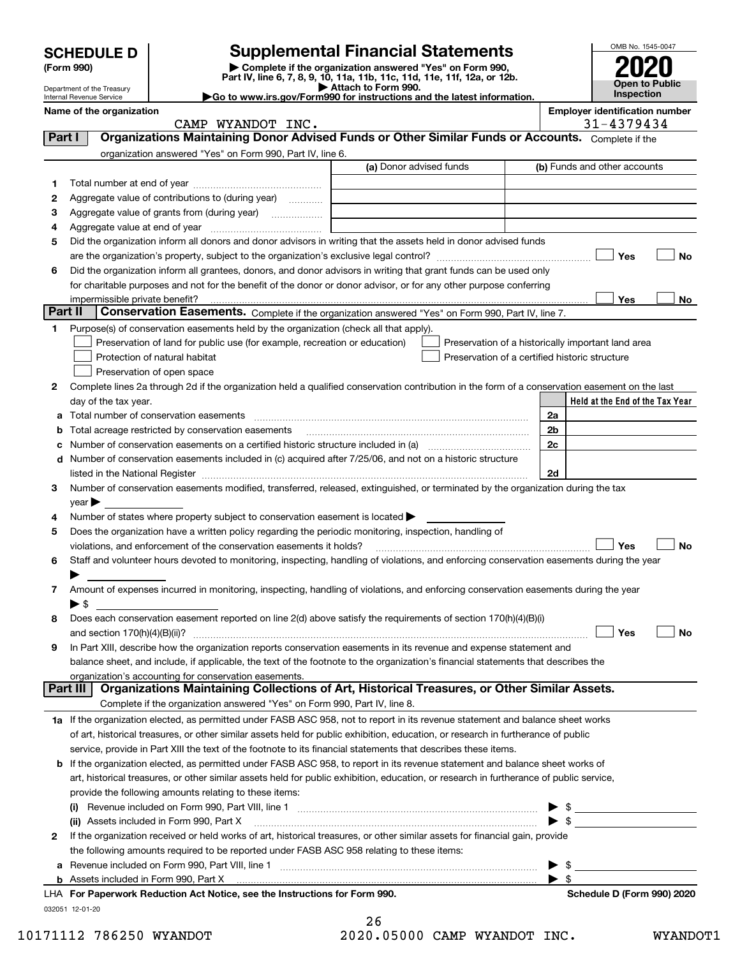|         | <b>SCHEDULE D</b>                                                                                                                                  |                                                                                                             | <b>Supplemental Financial Statements</b>                                                                                                                                                                                                                             |                                                                                                      | OMB No. 1545-0047                     |
|---------|----------------------------------------------------------------------------------------------------------------------------------------------------|-------------------------------------------------------------------------------------------------------------|----------------------------------------------------------------------------------------------------------------------------------------------------------------------------------------------------------------------------------------------------------------------|------------------------------------------------------------------------------------------------------|---------------------------------------|
|         | Complete if the organization answered "Yes" on Form 990,<br>(Form 990)<br>Part IV, line 6, 7, 8, 9, 10, 11a, 11b, 11c, 11d, 11e, 11f, 12a, or 12b. |                                                                                                             |                                                                                                                                                                                                                                                                      |                                                                                                      |                                       |
|         | Department of the Treasury<br>Internal Revenue Service                                                                                             |                                                                                                             | Attach to Form 990.<br>Go to www.irs.gov/Form990 for instructions and the latest information.                                                                                                                                                                        |                                                                                                      | <b>Open to Public</b><br>Inspection   |
|         | Name of the organization                                                                                                                           |                                                                                                             |                                                                                                                                                                                                                                                                      |                                                                                                      | <b>Employer identification number</b> |
|         |                                                                                                                                                    | CAMP WYANDOT INC.                                                                                           |                                                                                                                                                                                                                                                                      |                                                                                                      | 31-4379434                            |
| Part I  |                                                                                                                                                    |                                                                                                             | Organizations Maintaining Donor Advised Funds or Other Similar Funds or Accounts. Complete if the                                                                                                                                                                    |                                                                                                      |                                       |
|         |                                                                                                                                                    | organization answered "Yes" on Form 990, Part IV, line 6.                                                   | (a) Donor advised funds                                                                                                                                                                                                                                              | (b) Funds and other accounts                                                                         |                                       |
| 1       |                                                                                                                                                    |                                                                                                             |                                                                                                                                                                                                                                                                      |                                                                                                      |                                       |
| 2       |                                                                                                                                                    | Aggregate value of contributions to (during year)                                                           |                                                                                                                                                                                                                                                                      |                                                                                                      |                                       |
| з       |                                                                                                                                                    |                                                                                                             |                                                                                                                                                                                                                                                                      |                                                                                                      |                                       |
| 4       |                                                                                                                                                    |                                                                                                             |                                                                                                                                                                                                                                                                      |                                                                                                      |                                       |
| 5       |                                                                                                                                                    |                                                                                                             | Did the organization inform all donors and donor advisors in writing that the assets held in donor advised funds                                                                                                                                                     |                                                                                                      |                                       |
|         |                                                                                                                                                    |                                                                                                             |                                                                                                                                                                                                                                                                      |                                                                                                      | Yes<br><b>No</b>                      |
| 6       |                                                                                                                                                    |                                                                                                             | Did the organization inform all grantees, donors, and donor advisors in writing that grant funds can be used only                                                                                                                                                    |                                                                                                      |                                       |
|         |                                                                                                                                                    |                                                                                                             | for charitable purposes and not for the benefit of the donor or donor advisor, or for any other purpose conferring                                                                                                                                                   |                                                                                                      |                                       |
|         | impermissible private benefit?                                                                                                                     |                                                                                                             |                                                                                                                                                                                                                                                                      |                                                                                                      | Yes<br>No                             |
| Part II |                                                                                                                                                    |                                                                                                             | Conservation Easements. Complete if the organization answered "Yes" on Form 990, Part IV, line 7.                                                                                                                                                                    |                                                                                                      |                                       |
| 1       |                                                                                                                                                    | Purpose(s) of conservation easements held by the organization (check all that apply).                       |                                                                                                                                                                                                                                                                      |                                                                                                      |                                       |
|         |                                                                                                                                                    | Preservation of land for public use (for example, recreation or education)<br>Protection of natural habitat |                                                                                                                                                                                                                                                                      | Preservation of a historically important land area<br>Preservation of a certified historic structure |                                       |
|         |                                                                                                                                                    | Preservation of open space                                                                                  |                                                                                                                                                                                                                                                                      |                                                                                                      |                                       |
| 2       |                                                                                                                                                    |                                                                                                             | Complete lines 2a through 2d if the organization held a qualified conservation contribution in the form of a conservation easement on the last                                                                                                                       |                                                                                                      |                                       |
|         | day of the tax year.                                                                                                                               |                                                                                                             |                                                                                                                                                                                                                                                                      |                                                                                                      | Held at the End of the Tax Year       |
| а       |                                                                                                                                                    | Total number of conservation easements                                                                      |                                                                                                                                                                                                                                                                      | 2a                                                                                                   |                                       |
| b       |                                                                                                                                                    | Total acreage restricted by conservation easements                                                          |                                                                                                                                                                                                                                                                      | 2 <sub>b</sub>                                                                                       |                                       |
| с       |                                                                                                                                                    |                                                                                                             | Number of conservation easements on a certified historic structure included in (a) manufacture included in (a)                                                                                                                                                       | 2c                                                                                                   |                                       |
| d       |                                                                                                                                                    |                                                                                                             | Number of conservation easements included in (c) acquired after 7/25/06, and not on a historic structure                                                                                                                                                             |                                                                                                      |                                       |
|         |                                                                                                                                                    |                                                                                                             | listed in the National Register [111] Marshall Register [11] Marshall Register [11] Marshall Register [11] Marshall Register [11] Marshall Register [11] Marshall Register [11] Marshall Register [11] Marshall Register [11]                                        | 2d                                                                                                   |                                       |
| З       |                                                                                                                                                    |                                                                                                             | Number of conservation easements modified, transferred, released, extinguished, or terminated by the organization during the tax                                                                                                                                     |                                                                                                      |                                       |
|         | year                                                                                                                                               |                                                                                                             |                                                                                                                                                                                                                                                                      |                                                                                                      |                                       |
| 4       |                                                                                                                                                    | Number of states where property subject to conservation easement is located >                               |                                                                                                                                                                                                                                                                      |                                                                                                      |                                       |
| 5       |                                                                                                                                                    | Does the organization have a written policy regarding the periodic monitoring, inspection, handling of      |                                                                                                                                                                                                                                                                      |                                                                                                      |                                       |
| 6       |                                                                                                                                                    | violations, and enforcement of the conservation easements it holds?                                         | Staff and volunteer hours devoted to monitoring, inspecting, handling of violations, and enforcing conservation easements during the year                                                                                                                            |                                                                                                      | <b>No</b><br>Yes                      |
|         |                                                                                                                                                    |                                                                                                             |                                                                                                                                                                                                                                                                      |                                                                                                      |                                       |
| 7       |                                                                                                                                                    |                                                                                                             | Amount of expenses incurred in monitoring, inspecting, handling of violations, and enforcing conservation easements during the year                                                                                                                                  |                                                                                                      |                                       |
|         | $\blacktriangleright$ \$                                                                                                                           |                                                                                                             |                                                                                                                                                                                                                                                                      |                                                                                                      |                                       |
| 8       |                                                                                                                                                    |                                                                                                             | Does each conservation easement reported on line 2(d) above satisfy the requirements of section 170(h)(4)(B)(i)                                                                                                                                                      |                                                                                                      |                                       |
|         |                                                                                                                                                    |                                                                                                             |                                                                                                                                                                                                                                                                      |                                                                                                      | Yes<br>No                             |
| 9       |                                                                                                                                                    |                                                                                                             | In Part XIII, describe how the organization reports conservation easements in its revenue and expense statement and                                                                                                                                                  |                                                                                                      |                                       |
|         |                                                                                                                                                    |                                                                                                             | balance sheet, and include, if applicable, the text of the footnote to the organization's financial statements that describes the                                                                                                                                    |                                                                                                      |                                       |
|         |                                                                                                                                                    | organization's accounting for conservation easements.                                                       | Organizations Maintaining Collections of Art, Historical Treasures, or Other Similar Assets.                                                                                                                                                                         |                                                                                                      |                                       |
|         | Part III                                                                                                                                           |                                                                                                             |                                                                                                                                                                                                                                                                      |                                                                                                      |                                       |
|         |                                                                                                                                                    | Complete if the organization answered "Yes" on Form 990, Part IV, line 8.                                   |                                                                                                                                                                                                                                                                      |                                                                                                      |                                       |
|         |                                                                                                                                                    |                                                                                                             | 1a If the organization elected, as permitted under FASB ASC 958, not to report in its revenue statement and balance sheet works<br>of art, historical treasures, or other similar assets held for public exhibition, education, or research in furtherance of public |                                                                                                      |                                       |
|         |                                                                                                                                                    |                                                                                                             | service, provide in Part XIII the text of the footnote to its financial statements that describes these items.                                                                                                                                                       |                                                                                                      |                                       |
|         |                                                                                                                                                    |                                                                                                             | b If the organization elected, as permitted under FASB ASC 958, to report in its revenue statement and balance sheet works of                                                                                                                                        |                                                                                                      |                                       |
|         |                                                                                                                                                    |                                                                                                             | art, historical treasures, or other similar assets held for public exhibition, education, or research in furtherance of public service,                                                                                                                              |                                                                                                      |                                       |
|         |                                                                                                                                                    | provide the following amounts relating to these items:                                                      |                                                                                                                                                                                                                                                                      |                                                                                                      |                                       |
|         | (i)                                                                                                                                                |                                                                                                             |                                                                                                                                                                                                                                                                      |                                                                                                      | $\frac{1}{2}$                         |
|         |                                                                                                                                                    |                                                                                                             | (ii) Assets included in Form 990, Part X <b>Process and Construction Construction</b> Assets included in Form 990, Part X                                                                                                                                            |                                                                                                      |                                       |
| 2       |                                                                                                                                                    |                                                                                                             | If the organization received or held works of art, historical treasures, or other similar assets for financial gain, provide                                                                                                                                         |                                                                                                      |                                       |
|         |                                                                                                                                                    | the following amounts required to be reported under FASB ASC 958 relating to these items:                   |                                                                                                                                                                                                                                                                      |                                                                                                      |                                       |
| а       |                                                                                                                                                    |                                                                                                             |                                                                                                                                                                                                                                                                      |                                                                                                      | $\sim$ $\sim$                         |
|         |                                                                                                                                                    |                                                                                                             |                                                                                                                                                                                                                                                                      | $\blacktriangleright$ s                                                                              |                                       |
|         | 032051 12-01-20                                                                                                                                    | LHA For Paperwork Reduction Act Notice, see the Instructions for Form 990.                                  |                                                                                                                                                                                                                                                                      |                                                                                                      | Schedule D (Form 990) 2020            |
|         |                                                                                                                                                    |                                                                                                             |                                                                                                                                                                                                                                                                      |                                                                                                      |                                       |

26 10171112 786250 WYANDOT 2020.05000 CAMP WYANDOT INC. WYANDOT1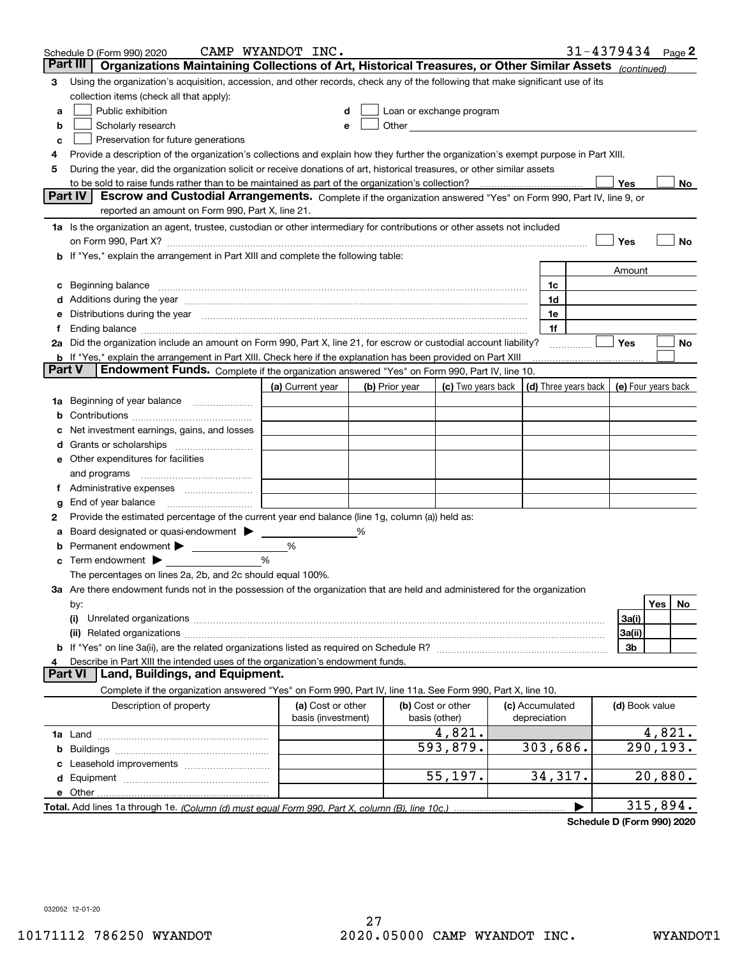|        | Schedule D (Form 990) 2020                                                                                                                                                                                                     | CAMP WYANDOT INC.                       |   |                |                                                                                                                                                                                                                                      |                                 | $31 - 4379434$ Page 2 |                     |                        |     |
|--------|--------------------------------------------------------------------------------------------------------------------------------------------------------------------------------------------------------------------------------|-----------------------------------------|---|----------------|--------------------------------------------------------------------------------------------------------------------------------------------------------------------------------------------------------------------------------------|---------------------------------|-----------------------|---------------------|------------------------|-----|
|        | Part III<br>Organizations Maintaining Collections of Art, Historical Treasures, or Other Similar Assets (continued)                                                                                                            |                                         |   |                |                                                                                                                                                                                                                                      |                                 |                       |                     |                        |     |
| 3      | Using the organization's acquisition, accession, and other records, check any of the following that make significant use of its                                                                                                |                                         |   |                |                                                                                                                                                                                                                                      |                                 |                       |                     |                        |     |
|        | collection items (check all that apply):                                                                                                                                                                                       |                                         |   |                |                                                                                                                                                                                                                                      |                                 |                       |                     |                        |     |
| a      | Public exhibition                                                                                                                                                                                                              |                                         |   |                | Loan or exchange program                                                                                                                                                                                                             |                                 |                       |                     |                        |     |
| b      | Scholarly research                                                                                                                                                                                                             | е                                       |   |                | Other <u>with the contract of the contract of the contract of the contract of the contract of the contract of the contract of the contract of the contract of the contract of the contract of the contract of the contract of th</u> |                                 |                       |                     |                        |     |
| с      | Preservation for future generations                                                                                                                                                                                            |                                         |   |                |                                                                                                                                                                                                                                      |                                 |                       |                     |                        |     |
| 4      | Provide a description of the organization's collections and explain how they further the organization's exempt purpose in Part XIII.                                                                                           |                                         |   |                |                                                                                                                                                                                                                                      |                                 |                       |                     |                        |     |
| 5      | During the year, did the organization solicit or receive donations of art, historical treasures, or other similar assets                                                                                                       |                                         |   |                |                                                                                                                                                                                                                                      |                                 |                       |                     |                        |     |
|        | to be sold to raise funds rather than to be maintained as part of the organization's collection?                                                                                                                               |                                         |   |                |                                                                                                                                                                                                                                      |                                 |                       | Yes                 |                        | No  |
|        | <b>Part IV</b><br>Escrow and Custodial Arrangements. Complete if the organization answered "Yes" on Form 990, Part IV, line 9, or                                                                                              |                                         |   |                |                                                                                                                                                                                                                                      |                                 |                       |                     |                        |     |
|        | reported an amount on Form 990, Part X, line 21.                                                                                                                                                                               |                                         |   |                |                                                                                                                                                                                                                                      |                                 |                       |                     |                        |     |
|        | 1a Is the organization an agent, trustee, custodian or other intermediary for contributions or other assets not included                                                                                                       |                                         |   |                |                                                                                                                                                                                                                                      |                                 |                       |                     |                        |     |
|        | on Form 990, Part X? [11] matter contracts and contracts and contracts are contracted and contracts are contracted and contract and contract of the contract of the contract of the contract of the contract of the contract o |                                         |   |                |                                                                                                                                                                                                                                      |                                 |                       | Yes                 |                        | No  |
|        | b If "Yes," explain the arrangement in Part XIII and complete the following table:                                                                                                                                             |                                         |   |                |                                                                                                                                                                                                                                      |                                 |                       |                     |                        |     |
|        |                                                                                                                                                                                                                                |                                         |   |                |                                                                                                                                                                                                                                      |                                 |                       | Amount              |                        |     |
| c      | Beginning balance measurements and contain a series of the series of the series of the series of the series of                                                                                                                 |                                         |   |                |                                                                                                                                                                                                                                      | 1c                              |                       |                     |                        |     |
|        | Additions during the year manufactured and an account of the state of the state of the state of the state of the state of the state of the state of the state of the state of the state of the state of the state of the state |                                         |   |                |                                                                                                                                                                                                                                      | 1d                              |                       |                     |                        |     |
|        | Distributions during the year manufactured and continuum and continuum and continuum and continuum and continuum                                                                                                               |                                         |   |                |                                                                                                                                                                                                                                      | 1e                              |                       |                     |                        |     |
| 1.     |                                                                                                                                                                                                                                |                                         |   |                |                                                                                                                                                                                                                                      | 1f                              |                       |                     |                        |     |
|        | 2a Did the organization include an amount on Form 990, Part X, line 21, for escrow or custodial account liability?                                                                                                             |                                         |   |                |                                                                                                                                                                                                                                      |                                 | .                     | Yes                 |                        | No  |
| Part V | <b>b</b> If "Yes," explain the arrangement in Part XIII. Check here if the explanation has been provided on Part XIII<br>Endowment Funds. Complete if the organization answered "Yes" on Form 990, Part IV, line 10.           |                                         |   |                |                                                                                                                                                                                                                                      |                                 |                       |                     |                        |     |
|        |                                                                                                                                                                                                                                |                                         |   |                |                                                                                                                                                                                                                                      |                                 |                       |                     |                        |     |
|        |                                                                                                                                                                                                                                | (a) Current year                        |   | (b) Prior year | (c) Two years back                                                                                                                                                                                                                   | (d) Three years back            |                       | (e) Four years back |                        |     |
| 1a     | Beginning of year balance                                                                                                                                                                                                      |                                         |   |                |                                                                                                                                                                                                                                      |                                 |                       |                     |                        |     |
|        |                                                                                                                                                                                                                                |                                         |   |                |                                                                                                                                                                                                                                      |                                 |                       |                     |                        |     |
|        | Net investment earnings, gains, and losses                                                                                                                                                                                     |                                         |   |                |                                                                                                                                                                                                                                      |                                 |                       |                     |                        |     |
| d      |                                                                                                                                                                                                                                |                                         |   |                |                                                                                                                                                                                                                                      |                                 |                       |                     |                        |     |
|        | e Other expenditures for facilities                                                                                                                                                                                            |                                         |   |                |                                                                                                                                                                                                                                      |                                 |                       |                     |                        |     |
|        | and programs                                                                                                                                                                                                                   |                                         |   |                |                                                                                                                                                                                                                                      |                                 |                       |                     |                        |     |
|        | End of year balance                                                                                                                                                                                                            |                                         |   |                |                                                                                                                                                                                                                                      |                                 |                       |                     |                        |     |
| g<br>2 | Provide the estimated percentage of the current year end balance (line 1g, column (a)) held as:                                                                                                                                |                                         |   |                |                                                                                                                                                                                                                                      |                                 |                       |                     |                        |     |
| а      | Board designated or quasi-endowment                                                                                                                                                                                            |                                         | % |                |                                                                                                                                                                                                                                      |                                 |                       |                     |                        |     |
|        | Permanent endowment > <u>example</u>                                                                                                                                                                                           | %                                       |   |                |                                                                                                                                                                                                                                      |                                 |                       |                     |                        |     |
|        | Term endowment $\blacktriangleright$                                                                                                                                                                                           | %                                       |   |                |                                                                                                                                                                                                                                      |                                 |                       |                     |                        |     |
|        | The percentages on lines 2a, 2b, and 2c should equal 100%.                                                                                                                                                                     |                                         |   |                |                                                                                                                                                                                                                                      |                                 |                       |                     |                        |     |
|        | 3a Are there endowment funds not in the possession of the organization that are held and administered for the organization                                                                                                     |                                         |   |                |                                                                                                                                                                                                                                      |                                 |                       |                     |                        |     |
|        | by:                                                                                                                                                                                                                            |                                         |   |                |                                                                                                                                                                                                                                      |                                 |                       |                     | Yes                    | No. |
|        | (i)                                                                                                                                                                                                                            |                                         |   |                |                                                                                                                                                                                                                                      |                                 |                       | 3a(i)               |                        |     |
|        |                                                                                                                                                                                                                                |                                         |   |                |                                                                                                                                                                                                                                      |                                 |                       | 3a(ii)              |                        |     |
|        |                                                                                                                                                                                                                                |                                         |   |                |                                                                                                                                                                                                                                      |                                 |                       | 3b                  |                        |     |
| 4      | Describe in Part XIII the intended uses of the organization's endowment funds.                                                                                                                                                 |                                         |   |                |                                                                                                                                                                                                                                      |                                 |                       |                     |                        |     |
|        | Land, Buildings, and Equipment.<br>Part VI                                                                                                                                                                                     |                                         |   |                |                                                                                                                                                                                                                                      |                                 |                       |                     |                        |     |
|        | Complete if the organization answered "Yes" on Form 990, Part IV, line 11a. See Form 990, Part X, line 10.                                                                                                                     |                                         |   |                |                                                                                                                                                                                                                                      |                                 |                       |                     |                        |     |
|        | Description of property                                                                                                                                                                                                        | (a) Cost or other<br>basis (investment) |   |                | (b) Cost or other<br>basis (other)                                                                                                                                                                                                   | (c) Accumulated<br>depreciation |                       | (d) Book value      |                        |     |
|        |                                                                                                                                                                                                                                |                                         |   |                | 4,821.                                                                                                                                                                                                                               |                                 |                       |                     | 4,821.                 |     |
| b      |                                                                                                                                                                                                                                |                                         |   |                | 593,879.                                                                                                                                                                                                                             | 303,686.                        |                       |                     | $\overline{290,193}$ . |     |
|        |                                                                                                                                                                                                                                |                                         |   |                |                                                                                                                                                                                                                                      |                                 |                       |                     |                        |     |
|        |                                                                                                                                                                                                                                |                                         |   |                | 55,197.                                                                                                                                                                                                                              | 34,317.                         |                       |                     | 20,880.                |     |
|        | e Other                                                                                                                                                                                                                        |                                         |   |                |                                                                                                                                                                                                                                      |                                 |                       |                     |                        |     |
|        |                                                                                                                                                                                                                                |                                         |   |                |                                                                                                                                                                                                                                      |                                 |                       |                     | 315,894.               |     |
|        |                                                                                                                                                                                                                                |                                         |   |                |                                                                                                                                                                                                                                      |                                 |                       |                     |                        |     |

**Schedule D (Form 990) 2020**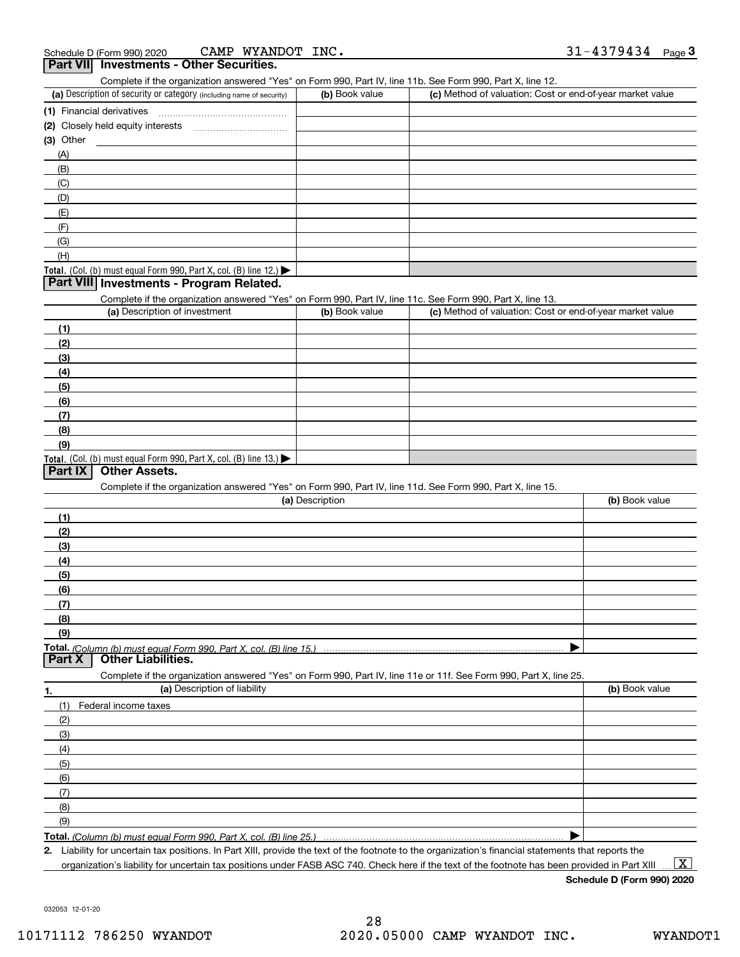| CAMP WYANDOT INC.<br>Schedule D (Form 990) 2020                                                                                                      |                 |                                                           | $31 - 4379434$ Page 3 |
|------------------------------------------------------------------------------------------------------------------------------------------------------|-----------------|-----------------------------------------------------------|-----------------------|
| <b>Part VII</b> Investments - Other Securities.                                                                                                      |                 |                                                           |                       |
| Complete if the organization answered "Yes" on Form 990, Part IV, line 11b. See Form 990, Part X, line 12.                                           |                 |                                                           |                       |
| (a) Description of security or category (including name of security)                                                                                 | (b) Book value  | (c) Method of valuation: Cost or end-of-year market value |                       |
|                                                                                                                                                      |                 |                                                           |                       |
|                                                                                                                                                      |                 |                                                           |                       |
| (3) Other                                                                                                                                            |                 |                                                           |                       |
| (A)                                                                                                                                                  |                 |                                                           |                       |
| (B)                                                                                                                                                  |                 |                                                           |                       |
| (C)                                                                                                                                                  |                 |                                                           |                       |
| (D)                                                                                                                                                  |                 |                                                           |                       |
| (E)                                                                                                                                                  |                 |                                                           |                       |
| (F)                                                                                                                                                  |                 |                                                           |                       |
| (G)                                                                                                                                                  |                 |                                                           |                       |
| (H)                                                                                                                                                  |                 |                                                           |                       |
| Total. (Col. (b) must equal Form 990, Part X, col. (B) line 12.)                                                                                     |                 |                                                           |                       |
| Part VIII Investments - Program Related.                                                                                                             |                 |                                                           |                       |
| Complete if the organization answered "Yes" on Form 990, Part IV, line 11c. See Form 990, Part X, line 13.                                           |                 |                                                           |                       |
| (a) Description of investment                                                                                                                        | (b) Book value  | (c) Method of valuation: Cost or end-of-year market value |                       |
| (1)                                                                                                                                                  |                 |                                                           |                       |
| (2)                                                                                                                                                  |                 |                                                           |                       |
| (3)                                                                                                                                                  |                 |                                                           |                       |
| (4)                                                                                                                                                  |                 |                                                           |                       |
| (5)                                                                                                                                                  |                 |                                                           |                       |
| (6)                                                                                                                                                  |                 |                                                           |                       |
| (7)                                                                                                                                                  |                 |                                                           |                       |
| (8)                                                                                                                                                  |                 |                                                           |                       |
| (9)                                                                                                                                                  |                 |                                                           |                       |
| Total. (Col. (b) must equal Form 990, Part X, col. (B) line 13.)                                                                                     |                 |                                                           |                       |
| <b>Other Assets.</b><br><b>Part IX</b>                                                                                                               |                 |                                                           |                       |
| Complete if the organization answered "Yes" on Form 990, Part IV, line 11d. See Form 990, Part X, line 15.                                           |                 |                                                           |                       |
|                                                                                                                                                      | (a) Description |                                                           | (b) Book value        |
| (1)                                                                                                                                                  |                 |                                                           |                       |
| (2)                                                                                                                                                  |                 |                                                           |                       |
| (3)                                                                                                                                                  |                 |                                                           |                       |
| (4)                                                                                                                                                  |                 |                                                           |                       |
| (5)                                                                                                                                                  |                 |                                                           |                       |
| (6)                                                                                                                                                  |                 |                                                           |                       |
| (7)                                                                                                                                                  |                 |                                                           |                       |
| (8)                                                                                                                                                  |                 |                                                           |                       |
| (9)                                                                                                                                                  |                 |                                                           |                       |
| Total. (Column (b) must equal Form 990. Part X. col. (B) line 15.)                                                                                   |                 |                                                           |                       |
| <b>Other Liabilities.</b><br><b>Part X</b>                                                                                                           |                 |                                                           |                       |
| Complete if the organization answered "Yes" on Form 990, Part IV, line 11e or 11f. See Form 990, Part X, line 25.                                    |                 |                                                           |                       |
| (a) Description of liability<br>1.                                                                                                                   |                 |                                                           | (b) Book value        |
| (1)<br>Federal income taxes                                                                                                                          |                 |                                                           |                       |
| (2)                                                                                                                                                  |                 |                                                           |                       |
| (3)                                                                                                                                                  |                 |                                                           |                       |
|                                                                                                                                                      |                 |                                                           |                       |
| (4)                                                                                                                                                  |                 |                                                           |                       |
| (5)                                                                                                                                                  |                 |                                                           |                       |
| (6)                                                                                                                                                  |                 |                                                           |                       |
| (7)                                                                                                                                                  |                 |                                                           |                       |
| (8)                                                                                                                                                  |                 |                                                           |                       |
| (9)                                                                                                                                                  |                 |                                                           |                       |
| Total. (Column (b) must equal Form 990, Part X, col. (B) line 25.)                                                                                   |                 |                                                           |                       |
| 2. Liability for uncertain tax positions. In Part XIII, provide the text of the footnote to the organization's financial statements that reports the |                 |                                                           |                       |

organization's liability for uncertain tax positions under FASB ASC 740. Check here if the text of the footnote has been provided in Part XIII.

**Schedule D (Form 990) 2020**

032053 12-01-20

 $\boxed{\text{X}}$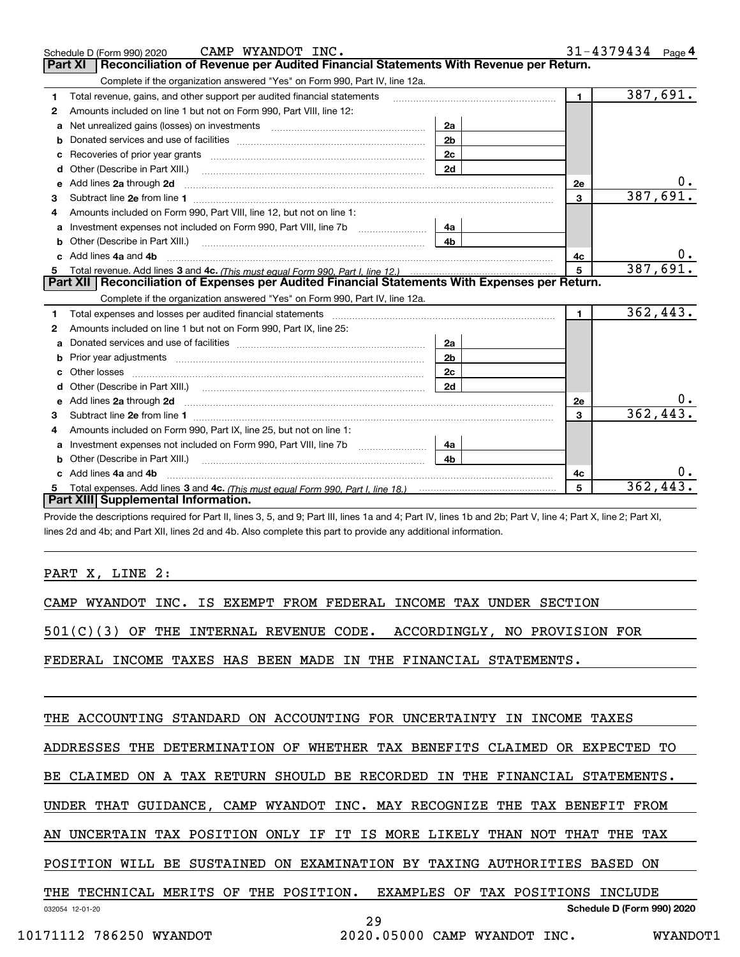|    | CAMP WYANDOT INC.<br>Schedule D (Form 990) 2020                                                                                                                                                                               |                |                | 31-4379434 $_{Page}$ |
|----|-------------------------------------------------------------------------------------------------------------------------------------------------------------------------------------------------------------------------------|----------------|----------------|----------------------|
|    | Reconciliation of Revenue per Audited Financial Statements With Revenue per Return.<br>Part XI                                                                                                                                |                |                |                      |
|    | Complete if the organization answered "Yes" on Form 990, Part IV, line 12a.                                                                                                                                                   |                |                |                      |
| 1  | Total revenue, gains, and other support per audited financial statements                                                                                                                                                      |                | $\blacksquare$ | 387,691.             |
| 2  | Amounts included on line 1 but not on Form 990, Part VIII, line 12:                                                                                                                                                           |                |                |                      |
| a  | Net unrealized gains (losses) on investments [11] matter contracts and the unrealized gains (losses) on investments                                                                                                           | 2a             |                |                      |
|    |                                                                                                                                                                                                                               | 2 <sub>b</sub> |                |                      |
|    |                                                                                                                                                                                                                               | 2c             |                |                      |
| d  |                                                                                                                                                                                                                               | 2d             |                |                      |
| е  | Add lines 2a through 2d                                                                                                                                                                                                       |                | <b>2e</b>      |                      |
| 3  |                                                                                                                                                                                                                               |                | $\mathbf{3}$   | 387,691              |
| 4  | Amounts included on Form 990, Part VIII, line 12, but not on line 1:                                                                                                                                                          |                |                |                      |
|    |                                                                                                                                                                                                                               |                |                |                      |
|    |                                                                                                                                                                                                                               | 4 <sub>h</sub> |                |                      |
| c. | Add lines 4a and 4b                                                                                                                                                                                                           |                | 4c             |                      |
|    |                                                                                                                                                                                                                               |                | $\overline{5}$ | 387,691.             |
|    | Part XII   Reconciliation of Expenses per Audited Financial Statements With Expenses per Return.                                                                                                                              |                |                |                      |
|    | Complete if the organization answered "Yes" on Form 990, Part IV, line 12a.                                                                                                                                                   |                |                |                      |
| 1. | Total expenses and losses per audited financial statements [11, 11] manuscription control expenses and losses per audited financial statements [11] manuscription of the statements [11] manuscription of the statements [11] |                | $\mathbf{1}$   | 362,443.             |
| 2  | Amounts included on line 1 but not on Form 990, Part IX, line 25:                                                                                                                                                             |                |                |                      |
| a  |                                                                                                                                                                                                                               | 2a             |                |                      |
|    | Prior year adjustments entitled and the control of the control of the control of the control of the control of                                                                                                                | 2 <sub>b</sub> |                |                      |
| c  |                                                                                                                                                                                                                               | 2 <sub>c</sub> |                |                      |
|    |                                                                                                                                                                                                                               | 2d             |                |                      |
|    |                                                                                                                                                                                                                               |                | 2e             | 0.                   |
| 3  |                                                                                                                                                                                                                               |                | $\overline{3}$ | 362,443.             |
| 4  | Amounts included on Form 990, Part IX, line 25, but not on line 1:                                                                                                                                                            |                |                |                      |
| a  |                                                                                                                                                                                                                               | 4a             |                |                      |
| b  |                                                                                                                                                                                                                               | 4b             |                |                      |
|    | Add lines 4a and 4b                                                                                                                                                                                                           |                | 4c             |                      |
|    |                                                                                                                                                                                                                               |                | 5              | 362,443              |
|    | Part XIII Supplemental Information.                                                                                                                                                                                           |                |                |                      |

Provide the descriptions required for Part II, lines 3, 5, and 9; Part III, lines 1a and 4; Part IV, lines 1b and 2b; Part V, line 4; Part X, line 2; Part XI, lines 2d and 4b; and Part XII, lines 2d and 4b. Also complete this part to provide any additional information.

PART X, LINE 2:

CAMP WYANDOT INC. IS EXEMPT FROM FEDERAL INCOME TAX UNDER SECTION

501(C)(3) OF THE INTERNAL REVENUE CODE. ACCORDINGLY, NO PROVISION FOR

FEDERAL INCOME TAXES HAS BEEN MADE IN THE FINANCIAL STATEMENTS.

THE ACCOUNTING STANDARD ON ACCOUNTING FOR UNCERTAINTY IN INCOME TAXES

ADDRESSES THE DETERMINATION OF WHETHER TAX BENEFITS CLAIMED OR EXPECTED TO

BE CLAIMED ON A TAX RETURN SHOULD BE RECORDED IN THE FINANCIAL STATEMENTS.

UNDER THAT GUIDANCE, CAMP WYANDOT INC. MAY RECOGNIZE THE TAX BENEFIT FROM

AN UNCERTAIN TAX POSITION ONLY IF IT IS MORE LIKELY THAN NOT THAT THE TAX

POSITION WILL BE SUSTAINED ON EXAMINATION BY TAXING AUTHORITIES BASED ON

032054 12-01-20 **Schedule D (Form 990) 2020** THE TECHNICAL MERITS OF THE POSITION. EXAMPLES OF TAX POSITIONS INCLUDE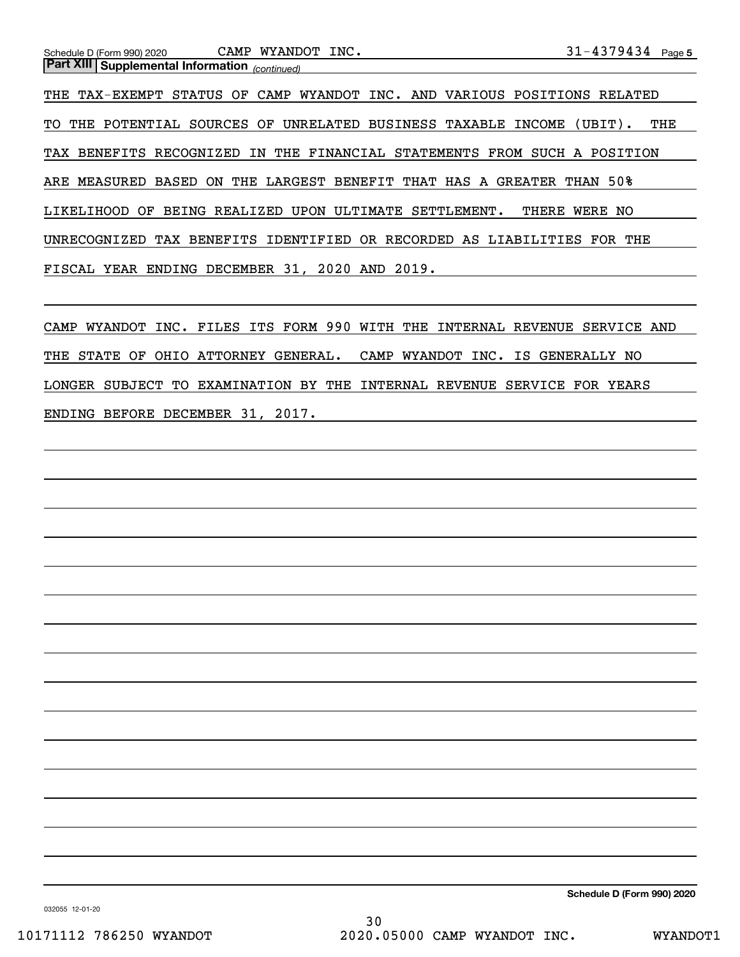| Schedule D (Form 990) 2020                            | CAMP<br>WYANDOT INC.                                   |                                  | 31-4379434 Page 5           |
|-------------------------------------------------------|--------------------------------------------------------|----------------------------------|-----------------------------|
| <b>Part XIII Supplemental Information</b> (continued) |                                                        |                                  |                             |
| THE TAX-EXEMPT<br>STATUS                              | CAMP<br>OF                                             | WYANDOT INC. AND VARIOUS         | POSITIONS<br>RELATED        |
| TO.<br>POTENTIAL<br>THE                               | SOURCES OF                                             | UNRELATED BUSINESS TAXABLE       | INCOME<br>$(UBIT)$ .<br>THE |
| TAX<br>BENEFITS RECOGNIZED                            | IN                                                     | THE FINANCIAL STATEMENTS<br>FROM | SUCH A<br>POSITION          |
| ARE MEASURED<br>BASED                                 | THE LARGEST BENEFIT THAT HAS A<br>ON                   |                                  | GREATER<br>THAN 50%         |
| BEING<br>LIKELIHOOD<br>ΟF                             | REALIZED<br><b>UPON</b>                                | SETTLEMENT.<br>ULTIMATE          | WERE NO<br>THERE            |
| UNRECOGNIZED<br>TAX                                   | BENEFITS IDENTIFIED OR RECORDED AS LIABILITIES FOR THE |                                  |                             |
|                                                       |                                                        |                                  |                             |

FISCAL YEAR ENDING DECEMBER 31, 2020 AND 2019.

CAMP WYANDOT INC. FILES ITS FORM 990 WITH THE INTERNAL REVENUE SERVICE AND THE STATE OF OHIO ATTORNEY GENERAL. CAMP WYANDOT INC. IS GENERALLY NO LONGER SUBJECT TO EXAMINATION BY THE INTERNAL REVENUE SERVICE FOR YEARS ENDING BEFORE DECEMBER 31, 2017.

032055 12-01-20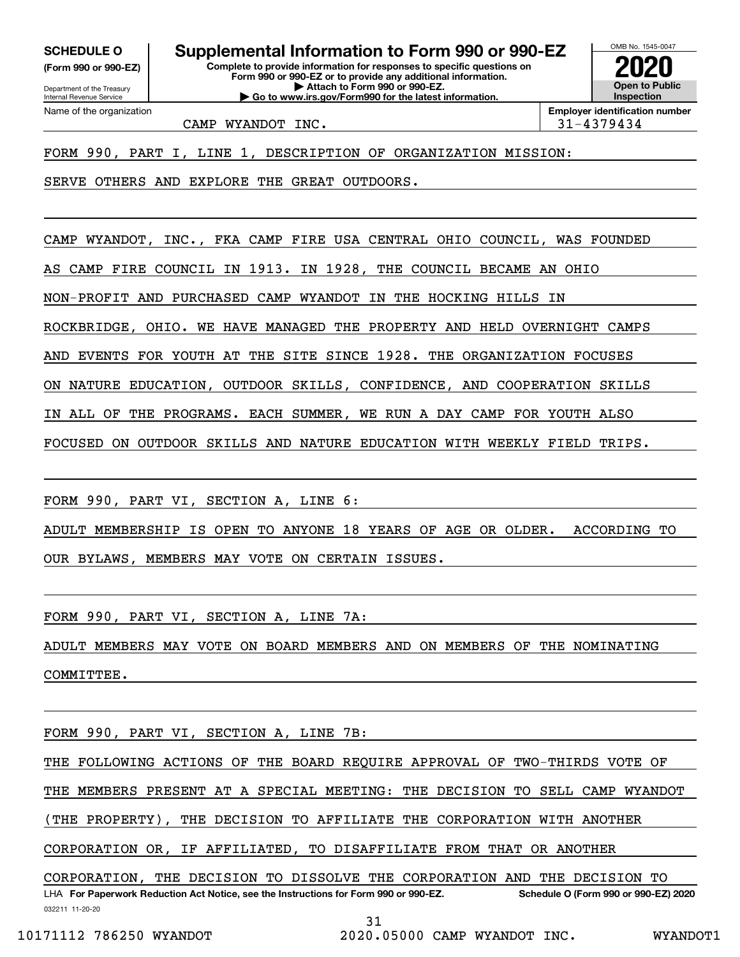**(Form 990 or 990-EZ)**

Department of the Treasury Internal Revenue Service Name of the organization

**Complete to provide information for responses to specific questions on Form 990 or 990-EZ or to provide any additional information. | Attach to Form 990 or 990-EZ. SCHEDULE O Supplemental Information to Form 990 or 990-EZ**

**| Go to www.irs.gov/Form990 for the latest information.**



CAMP WYANDOT INC. 31-4379434

FORM 990, PART I, LINE 1, DESCRIPTION OF ORGANIZATION MISSION:

SERVE OTHERS AND EXPLORE THE GREAT OUTDOORS.

CAMP WYANDOT, INC., FKA CAMP FIRE USA CENTRAL OHIO COUNCIL, WAS FOUNDED

AS CAMP FIRE COUNCIL IN 1913. IN 1928, THE COUNCIL BECAME AN OHIO

NON-PROFIT AND PURCHASED CAMP WYANDOT IN THE HOCKING HILLS IN

ROCKBRIDGE, OHIO. WE HAVE MANAGED THE PROPERTY AND HELD OVERNIGHT CAMPS

AND EVENTS FOR YOUTH AT THE SITE SINCE 1928. THE ORGANIZATION FOCUSES

ON NATURE EDUCATION, OUTDOOR SKILLS, CONFIDENCE, AND COOPERATION SKILLS

IN ALL OF THE PROGRAMS. EACH SUMMER, WE RUN A DAY CAMP FOR YOUTH ALSO

FOCUSED ON OUTDOOR SKILLS AND NATURE EDUCATION WITH WEEKLY FIELD TRIPS.

FORM 990, PART VI, SECTION A, LINE 6:

ADULT MEMBERSHIP IS OPEN TO ANYONE 18 YEARS OF AGE OR OLDER. ACCORDING TO OUR BYLAWS, MEMBERS MAY VOTE ON CERTAIN ISSUES.

FORM 990, PART VI, SECTION A, LINE 7A:

ADULT MEMBERS MAY VOTE ON BOARD MEMBERS AND ON MEMBERS OF THE NOMINATING COMMITTEE.

FORM 990, PART VI, SECTION A, LINE 7B:

LHA For Paperwork Reduction Act Notice, see the Instructions for Form 990 or 990-EZ. Schedule O (Form 990 or 990-EZ) 2020 THE FOLLOWING ACTIONS OF THE BOARD REQUIRE APPROVAL OF TWO-THIRDS VOTE OF THE MEMBERS PRESENT AT A SPECIAL MEETING: THE DECISION TO SELL CAMP WYANDOT (THE PROPERTY), THE DECISION TO AFFILIATE THE CORPORATION WITH ANOTHER CORPORATION OR, IF AFFILIATED, TO DISAFFILIATE FROM THAT OR ANOTHER CORPORATION, THE DECISION TO DISSOLVE THE CORPORATION AND THE DECISION TO

31

032211 11-20-20